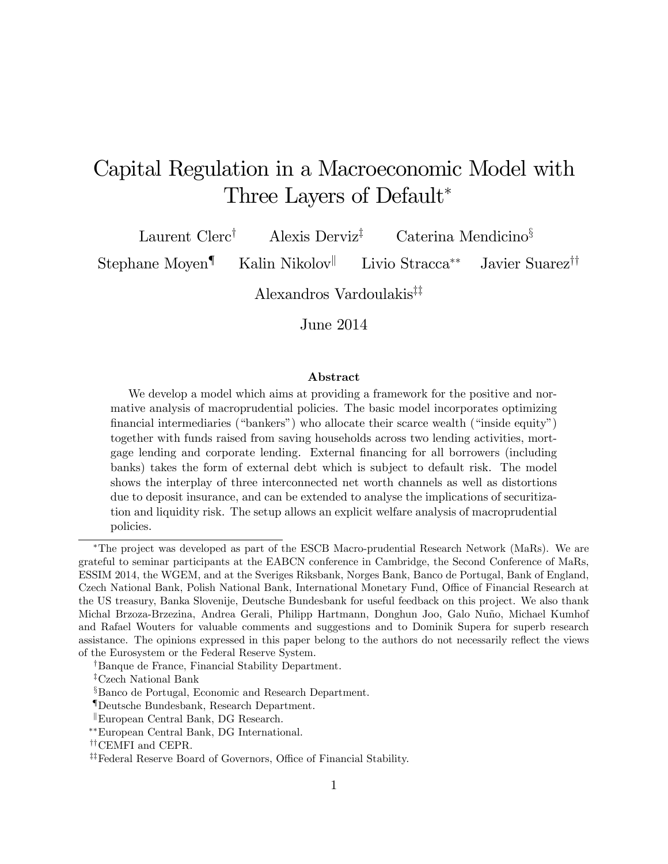# Capital Regulation in a Macroeconomic Model with Three Layers of Default

Laurent Clerc<sup>†</sup> Alexis Derviz<sup>‡</sup> Caterina Mendicino<sup>§</sup>

Stephane Moyen<sup>¶</sup> Kalin Nikolov<sup>||</sup> Livio Stracca<sup>\*\*</sup> Javier Suarez<sup>††</sup>

Alexandros Vardoulakis<sup> $\ddagger\ddagger$ </sup>

June 2014

#### Abstract

We develop a model which aims at providing a framework for the positive and normative analysis of macroprudential policies. The basic model incorporates optimizing financial intermediaries ("bankers") who allocate their scarce wealth ("inside equity") together with funds raised from saving households across two lending activities, mortgage lending and corporate lending. External financing for all borrowers (including banks) takes the form of external debt which is subject to default risk. The model shows the interplay of three interconnected net worth channels as well as distortions due to deposit insurance, and can be extended to analyse the implications of securitization and liquidity risk. The setup allows an explicit welfare analysis of macroprudential policies.

The project was developed as part of the ESCB Macro-prudential Research Network (MaRs). We are grateful to seminar participants at the EABCN conference in Cambridge, the Second Conference of MaRs, ESSIM 2014, the WGEM, and at the Sveriges Riksbank, Norges Bank, Banco de Portugal, Bank of England, Czech National Bank, Polish National Bank, International Monetary Fund, Office of Financial Research at the US treasury, Banka Slovenije, Deutsche Bundesbank for useful feedback on this project. We also thank Michal Brzoza-Brzezina, Andrea Gerali, Philipp Hartmann, Donghun Joo, Galo Nuño, Michael Kumhof and Rafael Wouters for valuable comments and suggestions and to Dominik Supera for superb research assistance. The opinions expressed in this paper belong to the authors do not necessarily reflect the views of the Eurosystem or the Federal Reserve System.

<sup>&</sup>lt;sup>†</sup>Banque de France, Financial Stability Department.

<sup>&</sup>lt;sup>‡</sup>Czech National Bank

<sup>&</sup>lt;sup>§</sup>Banco de Portugal, Economic and Research Department.

<sup>{</sup>Deutsche Bundesbank, Research Department.

 $\mathbb{E}$ uropean Central Bank, DG Research.

European Central Bank, DG International.

<sup>&</sup>lt;sup>††</sup>CEMFI and CEPR.

<sup>&</sup>lt;sup>##</sup>Federal Reserve Board of Governors, Office of Financial Stability.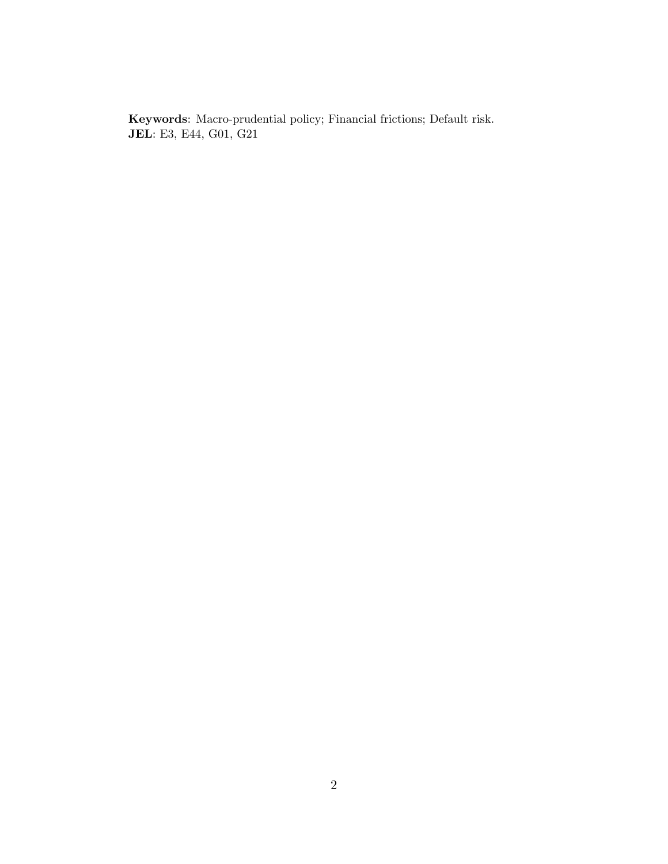Keywords: Macro-prudential policy; Financial frictions; Default risk. JEL: E3, E44, G01, G21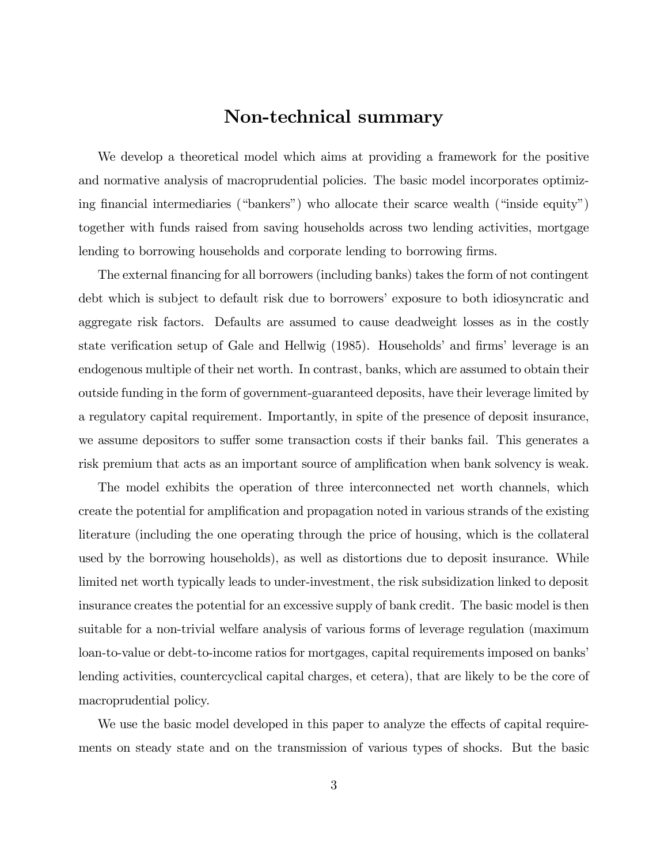# Non-technical summary

We develop a theoretical model which aims at providing a framework for the positive and normative analysis of macroprudential policies. The basic model incorporates optimizing financial intermediaries ("bankers") who allocate their scarce wealth ("inside equity") together with funds raised from saving households across two lending activities, mortgage lending to borrowing households and corporate lending to borrowing firms.

The external financing for all borrowers (including banks) takes the form of not contingent debt which is subject to default risk due to borrowers' exposure to both idiosyncratic and aggregate risk factors. Defaults are assumed to cause deadweight losses as in the costly state verification setup of Gale and Hellwig (1985). Households' and firms' leverage is an endogenous multiple of their net worth. In contrast, banks, which are assumed to obtain their outside funding in the form of government-guaranteed deposits, have their leverage limited by a regulatory capital requirement. Importantly, in spite of the presence of deposit insurance, we assume depositors to suffer some transaction costs if their banks fail. This generates a risk premium that acts as an important source of amplification when bank solvency is weak.

The model exhibits the operation of three interconnected net worth channels, which create the potential for amplification and propagation noted in various strands of the existing literature (including the one operating through the price of housing, which is the collateral used by the borrowing households), as well as distortions due to deposit insurance. While limited net worth typically leads to under-investment, the risk subsidization linked to deposit insurance creates the potential for an excessive supply of bank credit. The basic model is then suitable for a non-trivial welfare analysis of various forms of leverage regulation (maximum loan-to-value or debt-to-income ratios for mortgages, capital requirements imposed on banks' lending activities, countercyclical capital charges, et cetera), that are likely to be the core of macroprudential policy.

We use the basic model developed in this paper to analyze the effects of capital requirements on steady state and on the transmission of various types of shocks. But the basic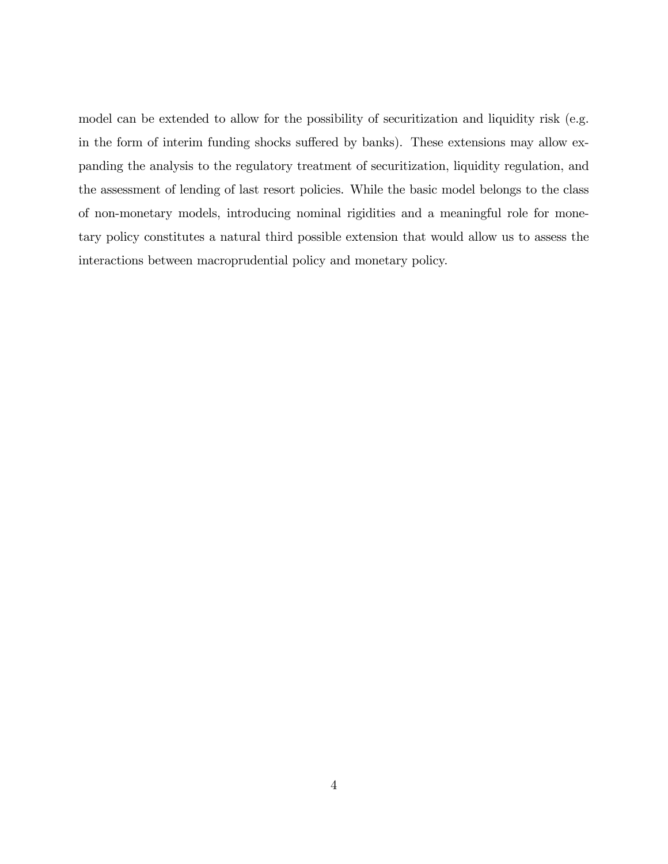model can be extended to allow for the possibility of securitization and liquidity risk (e.g. in the form of interim funding shocks suffered by banks). These extensions may allow expanding the analysis to the regulatory treatment of securitization, liquidity regulation, and the assessment of lending of last resort policies. While the basic model belongs to the class of non-monetary models, introducing nominal rigidities and a meaningful role for monetary policy constitutes a natural third possible extension that would allow us to assess the interactions between macroprudential policy and monetary policy.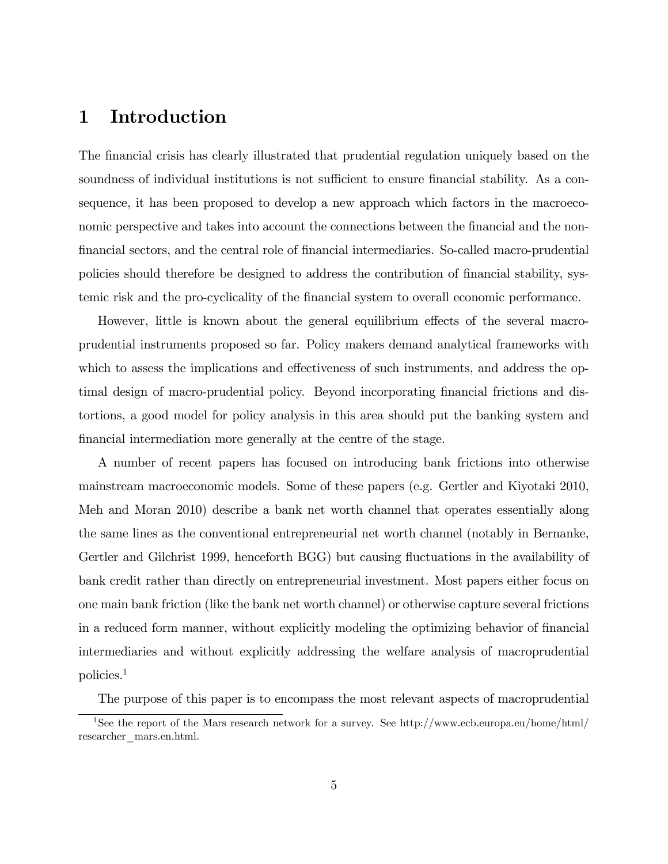# 1 Introduction

The financial crisis has clearly illustrated that prudential regulation uniquely based on the soundness of individual institutions is not sufficient to ensure financial stability. As a consequence, it has been proposed to develop a new approach which factors in the macroeconomic perspective and takes into account the connections between the financial and the non-Önancial sectors, and the central role of Önancial intermediaries. So-called macro-prudential policies should therefore be designed to address the contribution of Önancial stability, systemic risk and the pro-cyclicality of the Önancial system to overall economic performance.

However, little is known about the general equilibrium effects of the several macroprudential instruments proposed so far. Policy makers demand analytical frameworks with which to assess the implications and effectiveness of such instruments, and address the optimal design of macro-prudential policy. Beyond incorporating financial frictions and distortions, a good model for policy analysis in this area should put the banking system and financial intermediation more generally at the centre of the stage.

A number of recent papers has focused on introducing bank frictions into otherwise mainstream macroeconomic models. Some of these papers (e.g. Gertler and Kiyotaki 2010, Meh and Moran 2010) describe a bank net worth channel that operates essentially along the same lines as the conventional entrepreneurial net worth channel (notably in Bernanke, Gertler and Gilchrist 1999, henceforth BGG) but causing fluctuations in the availability of bank credit rather than directly on entrepreneurial investment. Most papers either focus on one main bank friction (like the bank net worth channel) or otherwise capture several frictions in a reduced form manner, without explicitly modeling the optimizing behavior of financial intermediaries and without explicitly addressing the welfare analysis of macroprudential policies.<sup>1</sup>

The purpose of this paper is to encompass the most relevant aspects of macroprudential

<sup>1</sup>See the report of the Mars research network for a survey. See http://www.ecb.europa.eu/home/html/ researcher\_mars.en.html.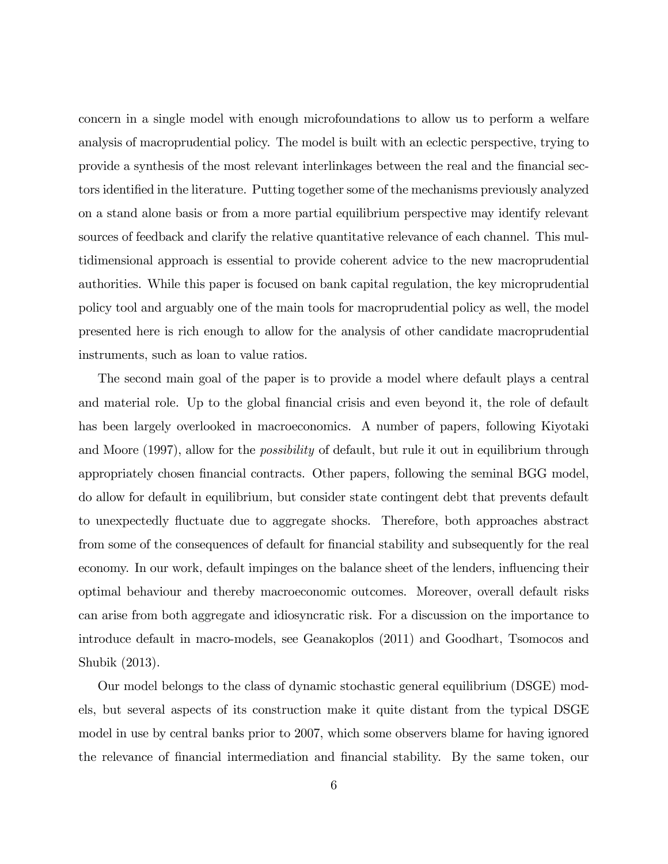concern in a single model with enough microfoundations to allow us to perform a welfare analysis of macroprudential policy. The model is built with an eclectic perspective, trying to provide a synthesis of the most relevant interlinkages between the real and the financial sectors identified in the literature. Putting together some of the mechanisms previously analyzed on a stand alone basis or from a more partial equilibrium perspective may identify relevant sources of feedback and clarify the relative quantitative relevance of each channel. This multidimensional approach is essential to provide coherent advice to the new macroprudential authorities. While this paper is focused on bank capital regulation, the key microprudential policy tool and arguably one of the main tools for macroprudential policy as well, the model presented here is rich enough to allow for the analysis of other candidate macroprudential instruments, such as loan to value ratios.

The second main goal of the paper is to provide a model where default plays a central and material role. Up to the global financial crisis and even beyond it, the role of default has been largely overlooked in macroeconomics. A number of papers, following Kiyotaki and Moore (1997), allow for the *possibility* of default, but rule it out in equilibrium through appropriately chosen financial contracts. Other papers, following the seminal BGG model, do allow for default in equilibrium, but consider state contingent debt that prevents default to unexpectedly fluctuate due to aggregate shocks. Therefore, both approaches abstract from some of the consequences of default for financial stability and subsequently for the real economy. In our work, default impinges on the balance sheet of the lenders, influencing their optimal behaviour and thereby macroeconomic outcomes. Moreover, overall default risks can arise from both aggregate and idiosyncratic risk. For a discussion on the importance to introduce default in macro-models, see Geanakoplos (2011) and Goodhart, Tsomocos and Shubik (2013).

Our model belongs to the class of dynamic stochastic general equilibrium (DSGE) models, but several aspects of its construction make it quite distant from the typical DSGE model in use by central banks prior to 2007, which some observers blame for having ignored the relevance of Önancial intermediation and Önancial stability. By the same token, our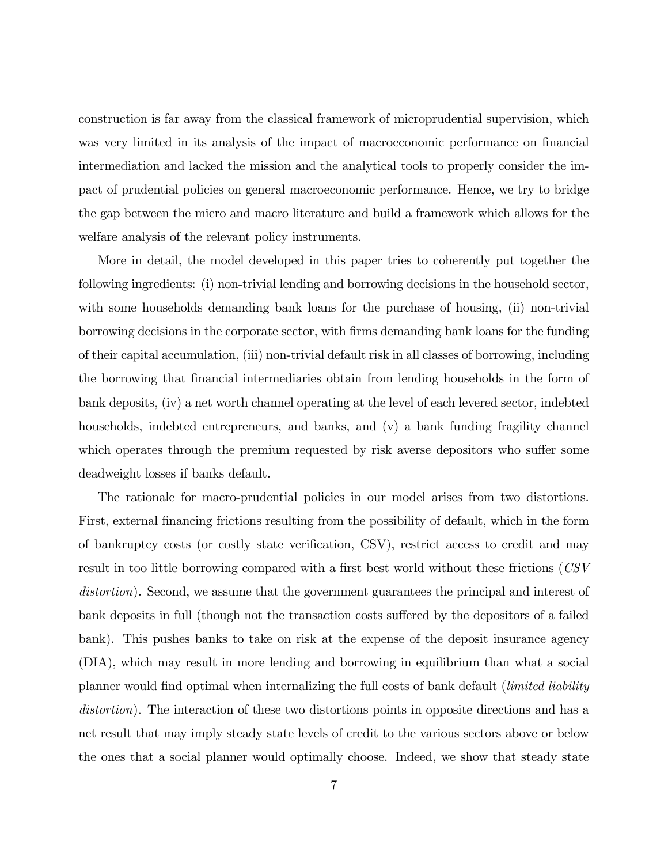construction is far away from the classical framework of microprudential supervision, which was very limited in its analysis of the impact of macroeconomic performance on financial intermediation and lacked the mission and the analytical tools to properly consider the impact of prudential policies on general macroeconomic performance. Hence, we try to bridge the gap between the micro and macro literature and build a framework which allows for the welfare analysis of the relevant policy instruments.

More in detail, the model developed in this paper tries to coherently put together the following ingredients: (i) non-trivial lending and borrowing decisions in the household sector, with some households demanding bank loans for the purchase of housing, (ii) non-trivial borrowing decisions in the corporate sector, with Örms demanding bank loans for the funding of their capital accumulation, (iii) non-trivial default risk in all classes of borrowing, including the borrowing that Önancial intermediaries obtain from lending households in the form of bank deposits, (iv) a net worth channel operating at the level of each levered sector, indebted households, indebted entrepreneurs, and banks, and (v) a bank funding fragility channel which operates through the premium requested by risk averse depositors who suffer some deadweight losses if banks default.

The rationale for macro-prudential policies in our model arises from two distortions. First, external financing frictions resulting from the possibility of default, which in the form of bankruptcy costs (or costly state verification, CSV), restrict access to credit and may result in too little borrowing compared with a first best world without these frictions (CSV distortion). Second, we assume that the government guarantees the principal and interest of bank deposits in full (though not the transaction costs suffered by the depositors of a failed bank). This pushes banks to take on risk at the expense of the deposit insurance agency (DIA), which may result in more lending and borrowing in equilibrium than what a social planner would find optimal when internalizing the full costs of bank default (*limited liability* distortion). The interaction of these two distortions points in opposite directions and has a net result that may imply steady state levels of credit to the various sectors above or below the ones that a social planner would optimally choose. Indeed, we show that steady state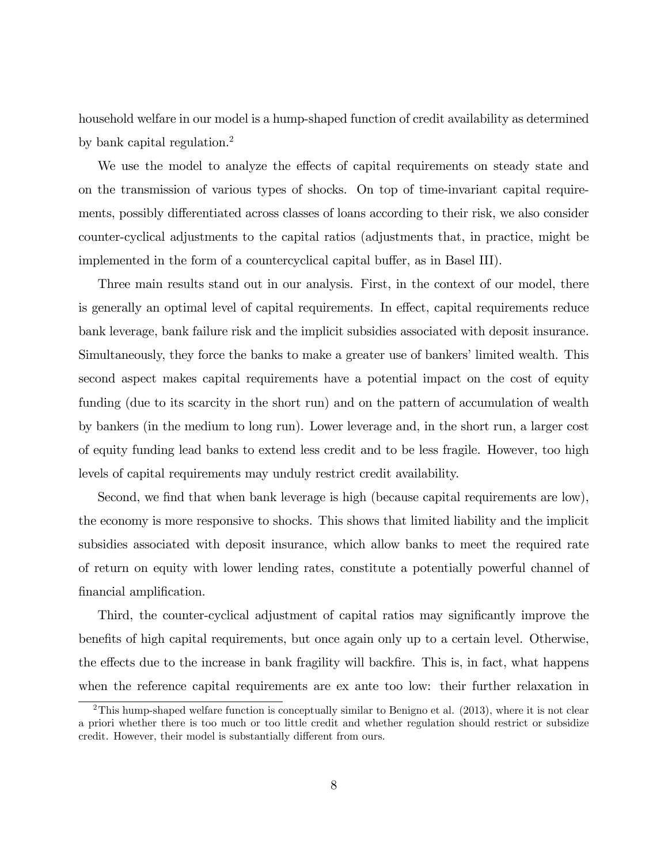household welfare in our model is a hump-shaped function of credit availability as determined by bank capital regulation.<sup>2</sup>

We use the model to analyze the effects of capital requirements on steady state and on the transmission of various types of shocks. On top of time-invariant capital requirements, possibly differentiated across classes of loans according to their risk, we also consider counter-cyclical adjustments to the capital ratios (adjustments that, in practice, might be implemented in the form of a countercyclical capital buffer, as in Basel III).

Three main results stand out in our analysis. First, in the context of our model, there is generally an optimal level of capital requirements. In effect, capital requirements reduce bank leverage, bank failure risk and the implicit subsidies associated with deposit insurance. Simultaneously, they force the banks to make a greater use of bankers' limited wealth. This second aspect makes capital requirements have a potential impact on the cost of equity funding (due to its scarcity in the short run) and on the pattern of accumulation of wealth by bankers (in the medium to long run). Lower leverage and, in the short run, a larger cost of equity funding lead banks to extend less credit and to be less fragile. However, too high levels of capital requirements may unduly restrict credit availability.

Second, we find that when bank leverage is high (because capital requirements are low), the economy is more responsive to shocks. This shows that limited liability and the implicit subsidies associated with deposit insurance, which allow banks to meet the required rate of return on equity with lower lending rates, constitute a potentially powerful channel of financial amplification.

Third, the counter-cyclical adjustment of capital ratios may significantly improve the benefits of high capital requirements, but once again only up to a certain level. Otherwise, the effects due to the increase in bank fragility will backfire. This is, in fact, what happens when the reference capital requirements are ex ante too low: their further relaxation in

<sup>&</sup>lt;sup>2</sup>This hump-shaped welfare function is conceptually similar to Benigno et al. (2013), where it is not clear a priori whether there is too much or too little credit and whether regulation should restrict or subsidize credit. However, their model is substantially different from ours.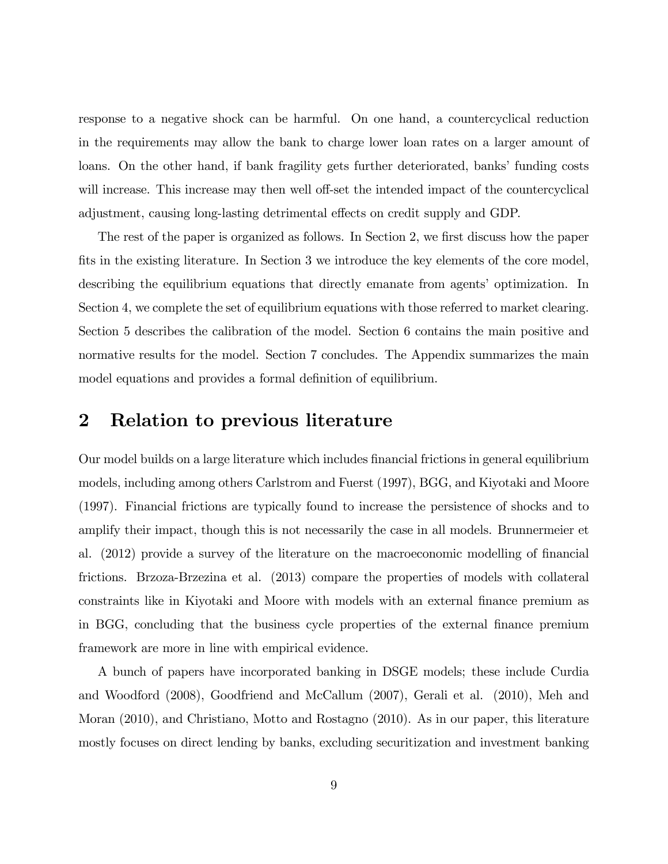response to a negative shock can be harmful. On one hand, a countercyclical reduction in the requirements may allow the bank to charge lower loan rates on a larger amount of loans. On the other hand, if bank fragility gets further deteriorated, banks' funding costs will increase. This increase may then well off-set the intended impact of the countercyclical adjustment, causing long-lasting detrimental effects on credit supply and GDP.

The rest of the paper is organized as follows. In Section 2, we first discuss how the paper fits in the existing literature. In Section 3 we introduce the key elements of the core model, describing the equilibrium equations that directly emanate from agents' optimization. In Section 4, we complete the set of equilibrium equations with those referred to market clearing. Section 5 describes the calibration of the model. Section 6 contains the main positive and normative results for the model. Section 7 concludes. The Appendix summarizes the main model equations and provides a formal definition of equilibrium.

# 2 Relation to previous literature

Our model builds on a large literature which includes Önancial frictions in general equilibrium models, including among others Carlstrom and Fuerst (1997), BGG, and Kiyotaki and Moore (1997). Financial frictions are typically found to increase the persistence of shocks and to amplify their impact, though this is not necessarily the case in all models. Brunnermeier et al. (2012) provide a survey of the literature on the macroeconomic modelling of financial frictions. Brzoza-Brzezina et al. (2013) compare the properties of models with collateral constraints like in Kiyotaki and Moore with models with an external finance premium as in BGG, concluding that the business cycle properties of the external Önance premium framework are more in line with empirical evidence.

A bunch of papers have incorporated banking in DSGE models; these include Curdia and Woodford (2008), Goodfriend and McCallum (2007), Gerali et al. (2010), Meh and Moran (2010), and Christiano, Motto and Rostagno (2010). As in our paper, this literature mostly focuses on direct lending by banks, excluding securitization and investment banking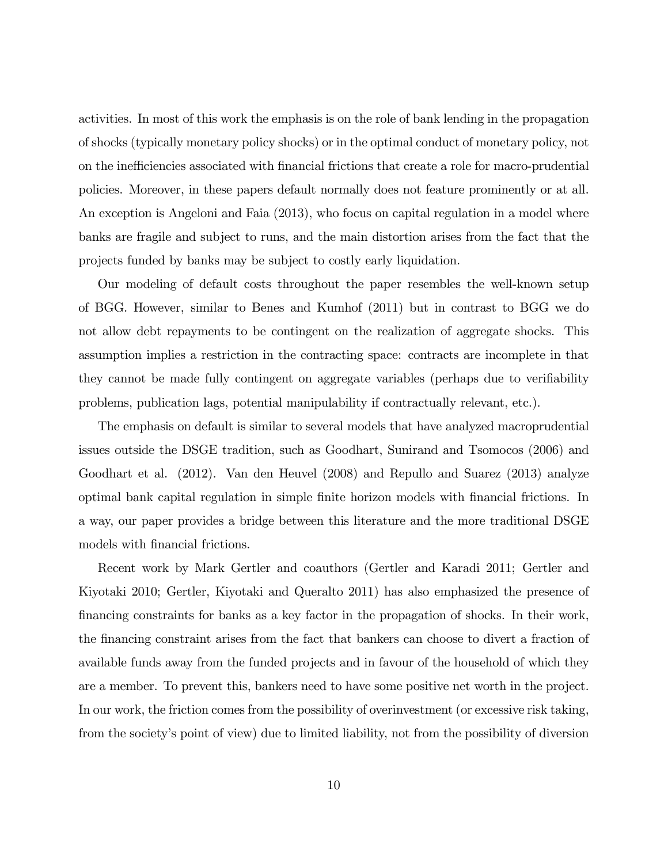activities. In most of this work the emphasis is on the role of bank lending in the propagation of shocks (typically monetary policy shocks) or in the optimal conduct of monetary policy, not on the inefficiencies associated with financial frictions that create a role for macro-prudential policies. Moreover, in these papers default normally does not feature prominently or at all. An exception is Angeloni and Faia (2013), who focus on capital regulation in a model where banks are fragile and subject to runs, and the main distortion arises from the fact that the projects funded by banks may be subject to costly early liquidation.

Our modeling of default costs throughout the paper resembles the well-known setup of BGG. However, similar to Benes and Kumhof (2011) but in contrast to BGG we do not allow debt repayments to be contingent on the realization of aggregate shocks. This assumption implies a restriction in the contracting space: contracts are incomplete in that they cannot be made fully contingent on aggregate variables (perhaps due to verifiability problems, publication lags, potential manipulability if contractually relevant, etc.).

The emphasis on default is similar to several models that have analyzed macroprudential issues outside the DSGE tradition, such as Goodhart, Sunirand and Tsomocos (2006) and Goodhart et al. (2012). Van den Heuvel (2008) and Repullo and Suarez (2013) analyze optimal bank capital regulation in simple Önite horizon models with Önancial frictions. In a way, our paper provides a bridge between this literature and the more traditional DSGE models with financial frictions.

Recent work by Mark Gertler and coauthors (Gertler and Karadi 2011; Gertler and Kiyotaki 2010; Gertler, Kiyotaki and Queralto 2011) has also emphasized the presence of Önancing constraints for banks as a key factor in the propagation of shocks. In their work, the Önancing constraint arises from the fact that bankers can choose to divert a fraction of available funds away from the funded projects and in favour of the household of which they are a member. To prevent this, bankers need to have some positive net worth in the project. In our work, the friction comes from the possibility of overinvestment (or excessive risk taking, from the society's point of view) due to limited liability, not from the possibility of diversion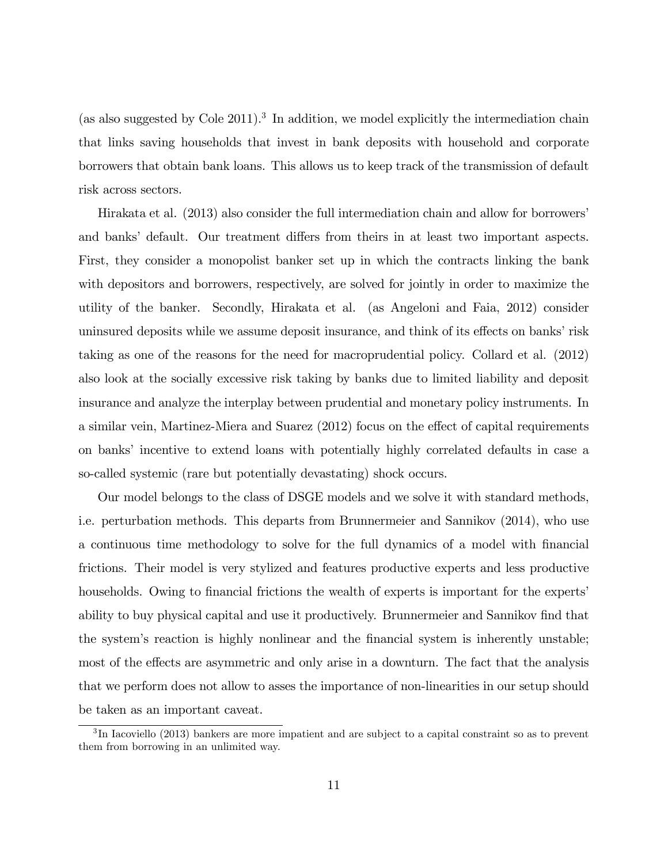(as also suggested by Cole  $2011$ ).<sup>3</sup> In addition, we model explicitly the intermediation chain that links saving households that invest in bank deposits with household and corporate borrowers that obtain bank loans. This allows us to keep track of the transmission of default risk across sectors.

Hirakata et al. (2013) also consider the full intermediation chain and allow for borrowersí and banks' default. Our treatment differs from theirs in at least two important aspects. First, they consider a monopolist banker set up in which the contracts linking the bank with depositors and borrowers, respectively, are solved for jointly in order to maximize the utility of the banker. Secondly, Hirakata et al. (as Angeloni and Faia, 2012) consider uninsured deposits while we assume deposit insurance, and think of its effects on banks' risk taking as one of the reasons for the need for macroprudential policy. Collard et al. (2012) also look at the socially excessive risk taking by banks due to limited liability and deposit insurance and analyze the interplay between prudential and monetary policy instruments. In a similar vein, Martinez-Miera and Suarez  $(2012)$  focus on the effect of capital requirements on banks' incentive to extend loans with potentially highly correlated defaults in case a so-called systemic (rare but potentially devastating) shock occurs.

Our model belongs to the class of DSGE models and we solve it with standard methods, i.e. perturbation methods. This departs from Brunnermeier and Sannikov (2014), who use a continuous time methodology to solve for the full dynamics of a model with Önancial frictions. Their model is very stylized and features productive experts and less productive households. Owing to financial frictions the wealth of experts is important for the experts' ability to buy physical capital and use it productively. Brunnermeier and Sannikov find that the system's reaction is highly nonlinear and the financial system is inherently unstable; most of the effects are asymmetric and only arise in a downturn. The fact that the analysis that we perform does not allow to asses the importance of non-linearities in our setup should be taken as an important caveat.

<sup>&</sup>lt;sup>3</sup>In Iacoviello (2013) bankers are more impatient and are subject to a capital constraint so as to prevent them from borrowing in an unlimited way.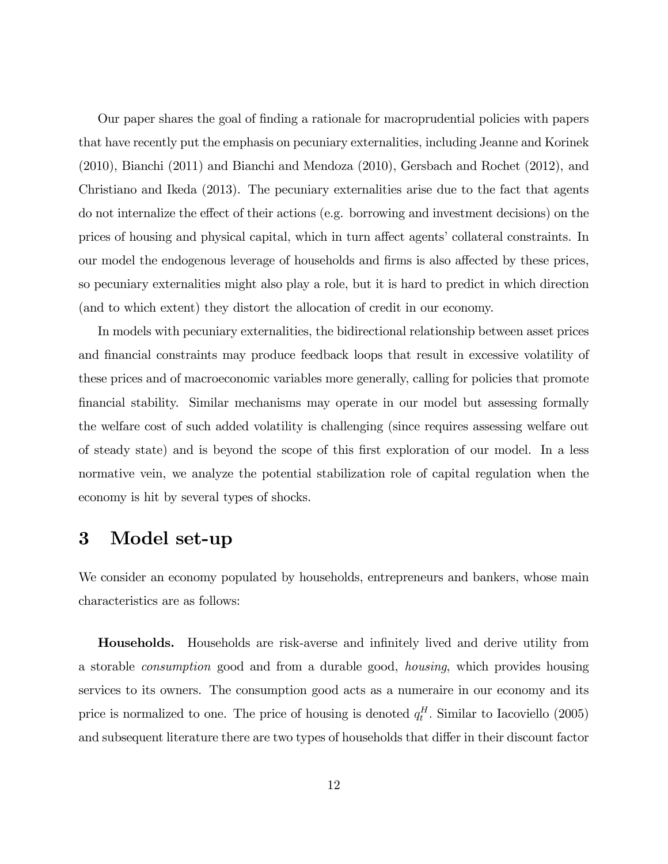Our paper shares the goal of Önding a rationale for macroprudential policies with papers that have recently put the emphasis on pecuniary externalities, including Jeanne and Korinek (2010), Bianchi (2011) and Bianchi and Mendoza (2010), Gersbach and Rochet (2012), and Christiano and Ikeda (2013). The pecuniary externalities arise due to the fact that agents do not internalize the effect of their actions (e.g. borrowing and investment decisions) on the prices of housing and physical capital, which in turn affect agents' collateral constraints. In our model the endogenous leverage of households and firms is also affected by these prices, so pecuniary externalities might also play a role, but it is hard to predict in which direction (and to which extent) they distort the allocation of credit in our economy.

In models with pecuniary externalities, the bidirectional relationship between asset prices and financial constraints may produce feedback loops that result in excessive volatility of these prices and of macroeconomic variables more generally, calling for policies that promote Önancial stability. Similar mechanisms may operate in our model but assessing formally the welfare cost of such added volatility is challenging (since requires assessing welfare out of steady state) and is beyond the scope of this first exploration of our model. In a less normative vein, we analyze the potential stabilization role of capital regulation when the economy is hit by several types of shocks.

# 3 Model set-up

We consider an economy populated by households, entrepreneurs and bankers, whose main characteristics are as follows:

**Households.** Households are risk-averse and infinitely lived and derive utility from a storable consumption good and from a durable good, housing, which provides housing services to its owners. The consumption good acts as a numeraire in our economy and its price is normalized to one. The price of housing is denoted  $q_t^H$ . Similar to Iacoviello (2005) and subsequent literature there are two types of households that differ in their discount factor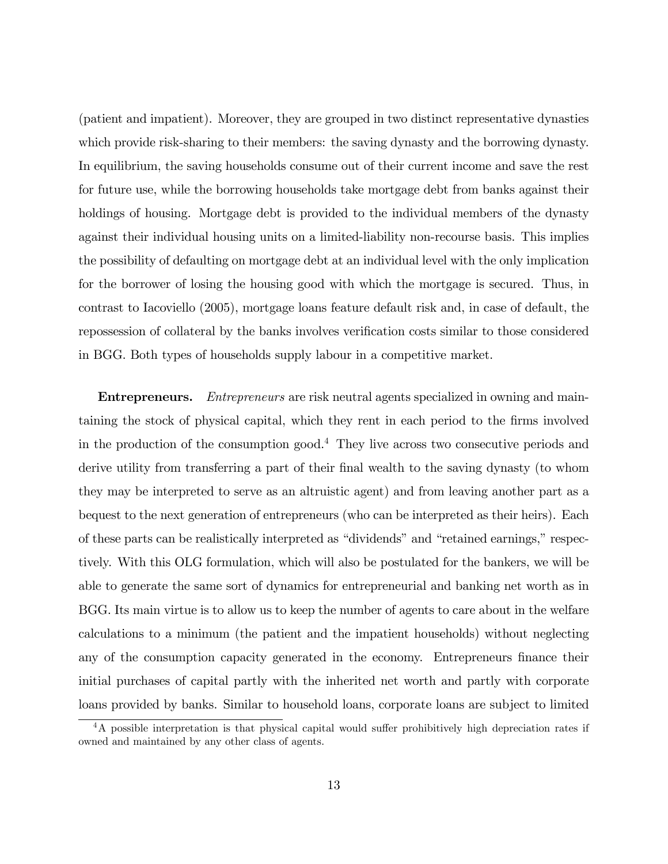(patient and impatient). Moreover, they are grouped in two distinct representative dynasties which provide risk-sharing to their members: the saving dynasty and the borrowing dynasty. In equilibrium, the saving households consume out of their current income and save the rest for future use, while the borrowing households take mortgage debt from banks against their holdings of housing. Mortgage debt is provided to the individual members of the dynasty against their individual housing units on a limited-liability non-recourse basis. This implies the possibility of defaulting on mortgage debt at an individual level with the only implication for the borrower of losing the housing good with which the mortgage is secured. Thus, in contrast to Iacoviello (2005), mortgage loans feature default risk and, in case of default, the repossession of collateral by the banks involves verification costs similar to those considered in BGG. Both types of households supply labour in a competitive market.

**Entrepreneurs.** *Entrepreneurs* are risk neutral agents specialized in owning and maintaining the stock of physical capital, which they rent in each period to the firms involved in the production of the consumption good.<sup>4</sup> They live across two consecutive periods and derive utility from transferring a part of their final wealth to the saving dynasty (to whom they may be interpreted to serve as an altruistic agent) and from leaving another part as a bequest to the next generation of entrepreneurs (who can be interpreted as their heirs). Each of these parts can be realistically interpreted as "dividends" and "retained earnings," respectively. With this OLG formulation, which will also be postulated for the bankers, we will be able to generate the same sort of dynamics for entrepreneurial and banking net worth as in BGG. Its main virtue is to allow us to keep the number of agents to care about in the welfare calculations to a minimum (the patient and the impatient households) without neglecting any of the consumption capacity generated in the economy. Entrepreneurs finance their initial purchases of capital partly with the inherited net worth and partly with corporate loans provided by banks. Similar to household loans, corporate loans are subject to limited

 $4A$  possible interpretation is that physical capital would suffer prohibitively high depreciation rates if owned and maintained by any other class of agents.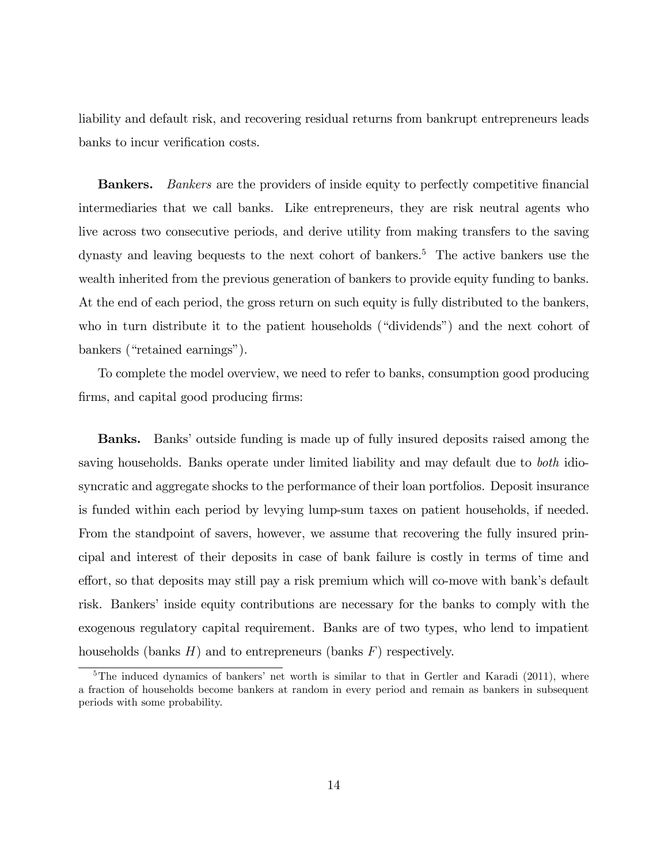liability and default risk, and recovering residual returns from bankrupt entrepreneurs leads banks to incur verification costs.

**Bankers.** Bankers are the providers of inside equity to perfectly competitive financial intermediaries that we call banks. Like entrepreneurs, they are risk neutral agents who live across two consecutive periods, and derive utility from making transfers to the saving dynasty and leaving bequests to the next cohort of bankers.<sup>5</sup> The active bankers use the wealth inherited from the previous generation of bankers to provide equity funding to banks. At the end of each period, the gross return on such equity is fully distributed to the bankers, who in turn distribute it to the patient households ("dividends") and the next cohort of bankers ("retained earnings").

To complete the model overview, we need to refer to banks, consumption good producing firms, and capital good producing firms:

**Banks.** Banks' outside funding is made up of fully insured deposits raised among the saving households. Banks operate under limited liability and may default due to both idiosyncratic and aggregate shocks to the performance of their loan portfolios. Deposit insurance is funded within each period by levying lump-sum taxes on patient households, if needed. From the standpoint of savers, however, we assume that recovering the fully insured principal and interest of their deposits in case of bank failure is costly in terms of time and effort, so that deposits may still pay a risk premium which will co-move with bank's default risk. Bankers' inside equity contributions are necessary for the banks to comply with the exogenous regulatory capital requirement. Banks are of two types, who lend to impatient households (banks  $H$ ) and to entrepreneurs (banks  $F$ ) respectively.

<sup>&</sup>lt;sup>5</sup>The induced dynamics of bankers' net worth is similar to that in Gertler and Karadi (2011), where a fraction of households become bankers at random in every period and remain as bankers in subsequent periods with some probability.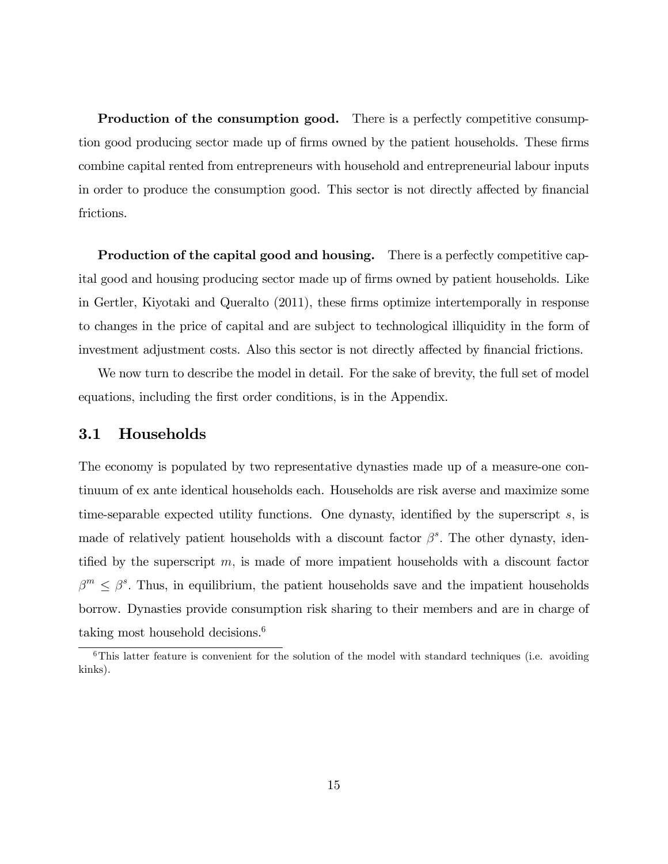**Production of the consumption good.** There is a perfectly competitive consumption good producing sector made up of firms owned by the patient households. These firms combine capital rented from entrepreneurs with household and entrepreneurial labour inputs in order to produce the consumption good. This sector is not directly affected by financial frictions.

Production of the capital good and housing. There is a perfectly competitive capital good and housing producing sector made up of firms owned by patient households. Like in Gertler, Kiyotaki and Queralto (2011), these firms optimize intertemporally in response to changes in the price of capital and are subject to technological illiquidity in the form of investment adjustment costs. Also this sector is not directly affected by financial frictions.

We now turn to describe the model in detail. For the sake of brevity, the full set of model equations, including the first order conditions, is in the Appendix.

#### 3.1 Households

The economy is populated by two representative dynasties made up of a measure-one continuum of ex ante identical households each. Households are risk averse and maximize some time-separable expected utility functions. One dynasty, identified by the superscript  $s$ , is made of relatively patient households with a discount factor  $\beta^s$ . The other dynasty, identified by the superscript  $m$ , is made of more impatient households with a discount factor  $\beta^m \leq \beta^s$ . Thus, in equilibrium, the patient households save and the impatient households borrow. Dynasties provide consumption risk sharing to their members and are in charge of taking most household decisions. $6$ 

 $6$ This latter feature is convenient for the solution of the model with standard techniques (i.e. avoiding kinks).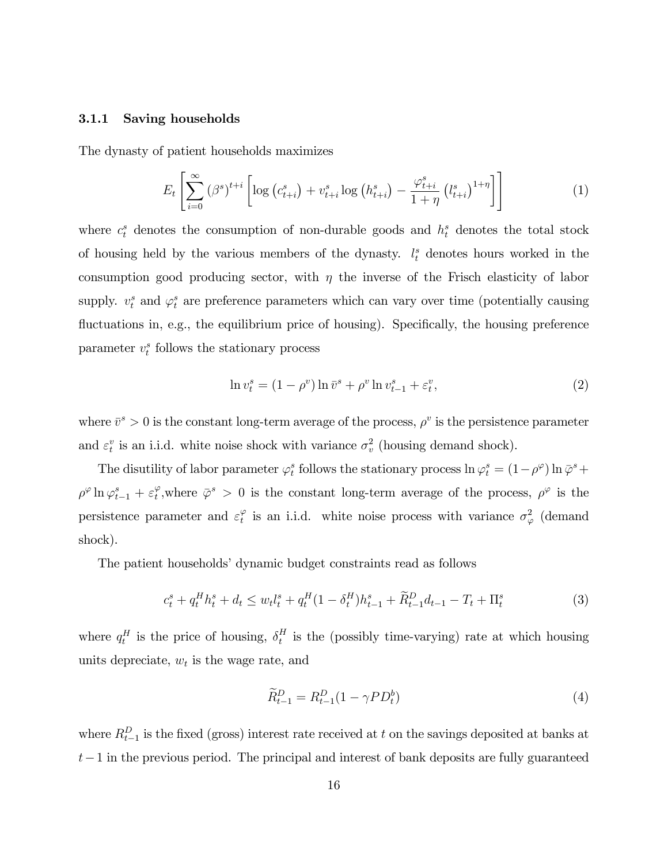#### 3.1.1 Saving households

The dynasty of patient households maximizes

$$
E_{t}\left[\sum_{i=0}^{\infty}(\beta^{s})^{t+i}\left[\log\left(c_{t+i}^{s}\right)+v_{t+i}^{s}\log\left(h_{t+i}^{s}\right)-\frac{\varphi_{t+i}^{s}}{1+\eta}\left(l_{t+i}^{s}\right)^{1+\eta}\right]\right]
$$
(1)

where  $c_t^s$  denotes the consumption of non-durable goods and  $h_t^s$  denotes the total stock of housing held by the various members of the dynasty.  $l_t^s$  denotes hours worked in the consumption good producing sector, with  $\eta$  the inverse of the Frisch elasticity of labor supply.  $v_t^s$  and  $\varphi_t^s$  are preference parameters which can vary over time (potentially causing fluctuations in, e.g., the equilibrium price of housing). Specifically, the housing preference parameter  $v_t^s$  follows the stationary process

$$
\ln v_t^s = (1 - \rho^v) \ln \bar{v}^s + \rho^v \ln v_{t-1}^s + \varepsilon_t^v,
$$
\n
$$
(2)
$$

where  $\bar{v}^s > 0$  is the constant long-term average of the process,  $\rho^v$  is the persistence parameter and  $\varepsilon_t^v$  is an i.i.d. white noise shock with variance  $\sigma_v^2$  (housing demand shock).

The disutility of labor parameter  $\varphi_t^s$  follows the stationary process  $\ln \varphi_t^s = (1 - \rho^\varphi) \ln \bar{\varphi}^s +$  $\rho^{\varphi} \ln \varphi_{t-1}^s + \varepsilon_t^{\varphi}$ , where  $\bar{\varphi}^s > 0$  is the constant long-term average of the process,  $\rho^{\varphi}$  is the persistence parameter and  $\varepsilon_t^{\varphi}$  is an i.i.d. white noise process with variance  $\sigma_{\varphi}^2$  (demand shock).

The patient households' dynamic budget constraints read as follows

$$
c_t^s + q_t^H h_t^s + d_t \le w_t l_t^s + q_t^H (1 - \delta_t^H) h_{t-1}^s + \widetilde{R}_{t-1}^D d_{t-1} - T_t + \Pi_t^s
$$
\n<sup>(3)</sup>

where  $q_t^H$  is the price of housing,  $\delta_t^H$  $t<sub>t</sub><sup>H</sup>$  is the (possibly time-varying) rate at which housing units depreciate,  $w_t$  is the wage rate, and

$$
\widetilde{R}_{t-1}^D = R_{t-1}^D (1 - \gamma P D_t^b) \tag{4}
$$

where  $R_{t-1}^D$  is the fixed (gross) interest rate received at t on the savings deposited at banks at  $t-1$  in the previous period. The principal and interest of bank deposits are fully guaranteed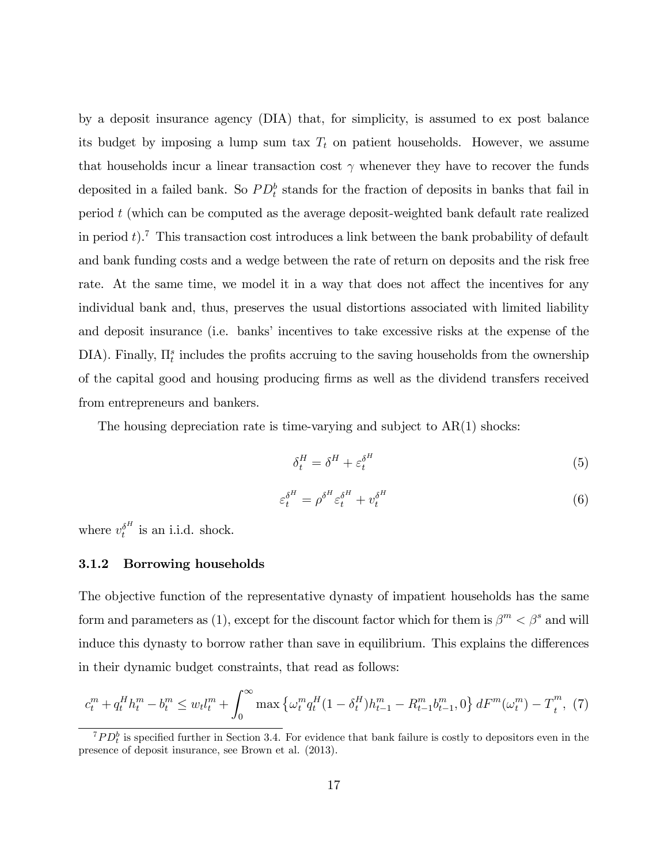by a deposit insurance agency (DIA) that, for simplicity, is assumed to ex post balance its budget by imposing a lump sum tax  $T_t$  on patient households. However, we assume that households incur a linear transaction cost  $\gamma$  whenever they have to recover the funds deposited in a failed bank. So  $PD_t^b$  stands for the fraction of deposits in banks that fail in period t (which can be computed as the average deposit-weighted bank default rate realized in period  $t$ ).<sup>7</sup> This transaction cost introduces a link between the bank probability of default and bank funding costs and a wedge between the rate of return on deposits and the risk free rate. At the same time, we model it in a way that does not affect the incentives for any individual bank and, thus, preserves the usual distortions associated with limited liability and deposit insurance (i.e. banks' incentives to take excessive risks at the expense of the DIA). Finally,  $\Pi_t^s$  includes the profits accruing to the saving households from the ownership of the capital good and housing producing Örms as well as the dividend transfers received from entrepreneurs and bankers.

The housing depreciation rate is time-varying and subject to  $AR(1)$  shocks:

$$
\delta_t^H = \delta^H + \varepsilon_t^{\delta^H} \tag{5}
$$

$$
\varepsilon_t^{\delta^H} = \rho^{\delta^H} \varepsilon_t^{\delta^H} + v_t^{\delta^H} \tag{6}
$$

where  $v_t^{\delta^H}$  $t<sup>0</sup>$  is an i.i.d. shock.

#### 3.1.2 Borrowing households

The objective function of the representative dynasty of impatient households has the same form and parameters as (1), except for the discount factor which for them is  $\beta^{m} < \beta^{s}$  and will induce this dynasty to borrow rather than save in equilibrium. This explains the differences in their dynamic budget constraints, that read as follows:

$$
c_t^m + q_t^H h_t^m - b_t^m \le w_t l_t^m + \int_0^\infty \max \left\{ \omega_t^m q_t^H (1 - \delta_t^H) h_{t-1}^m - R_{t-1}^m b_{t-1}^m, 0 \right\} dF^m(\omega_t^m) - T_t^m, \tag{7}
$$

 $^{7}PD_{t}^{b}$  is specified further in Section 3.4. For evidence that bank failure is costly to depositors even in the presence of deposit insurance, see Brown et al. (2013).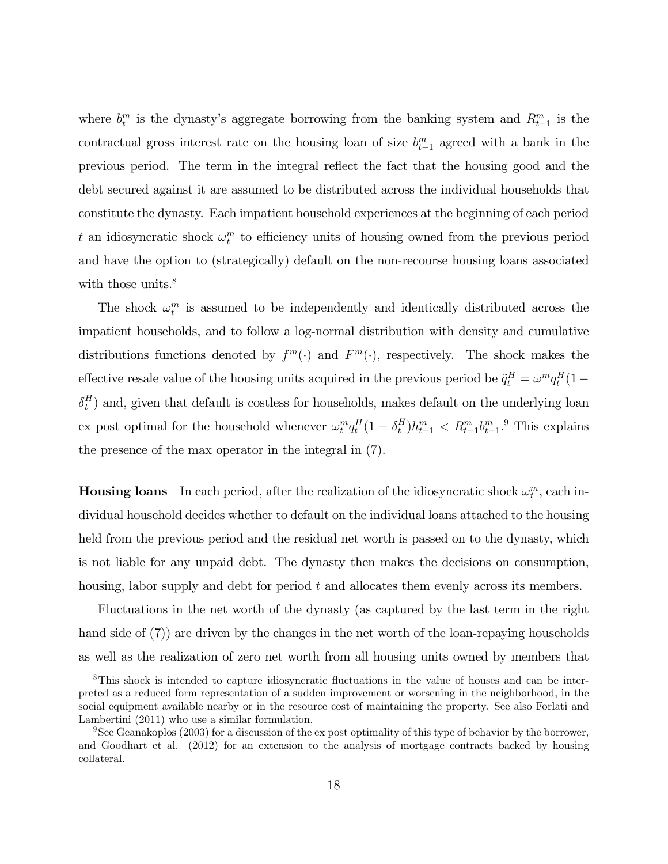where  $b_t^m$  is the dynasty's aggregate borrowing from the banking system and  $R_{t-1}^m$  is the contractual gross interest rate on the housing loan of size  $b_{t-1}^m$  agreed with a bank in the previous period. The term in the integral reáect the fact that the housing good and the debt secured against it are assumed to be distributed across the individual households that constitute the dynasty. Each impatient household experiences at the beginning of each period t an idiosyncratic shock  $\omega_t^m$  to efficiency units of housing owned from the previous period and have the option to (strategically) default on the non-recourse housing loans associated with those units.<sup>8</sup>

The shock  $\omega_t^m$  is assumed to be independently and identically distributed across the impatient households, and to follow a log-normal distribution with density and cumulative distributions functions denoted by  $f^m(\cdot)$  and  $F^m(\cdot)$ , respectively. The shock makes the effective resale value of the housing units acquired in the previous period be  $\tilde{q}^H_t = \omega^m q^H_t (1 \delta_t^H$  $_{t}^{H}$ ) and, given that default is costless for households, makes default on the underlying loan ex post optimal for the household whenever  $\omega_t^m q_t^H (1 - \delta_t^H)$  $\binom{H}{t} h_{t-1}^m < R_{t-1}^m b_{t-1}^m$ . This explains the presence of the max operator in the integral in (7).

**Housing loans** In each period, after the realization of the idiosyncratic shock  $\omega_t^m$ , each individual household decides whether to default on the individual loans attached to the housing held from the previous period and the residual net worth is passed on to the dynasty, which is not liable for any unpaid debt. The dynasty then makes the decisions on consumption, housing, labor supply and debt for period t and allocates them evenly across its members.

Fluctuations in the net worth of the dynasty (as captured by the last term in the right hand side of (7)) are driven by the changes in the net worth of the loan-repaying households as well as the realization of zero net worth from all housing units owned by members that

<sup>&</sup>lt;sup>8</sup>This shock is intended to capture idiosyncratic fluctuations in the value of houses and can be interpreted as a reduced form representation of a sudden improvement or worsening in the neighborhood, in the social equipment available nearby or in the resource cost of maintaining the property. See also Forlati and Lambertini (2011) who use a similar formulation.

<sup>&</sup>lt;sup>9</sup>See Geanakoplos (2003) for a discussion of the ex post optimality of this type of behavior by the borrower, and Goodhart et al. (2012) for an extension to the analysis of mortgage contracts backed by housing collateral.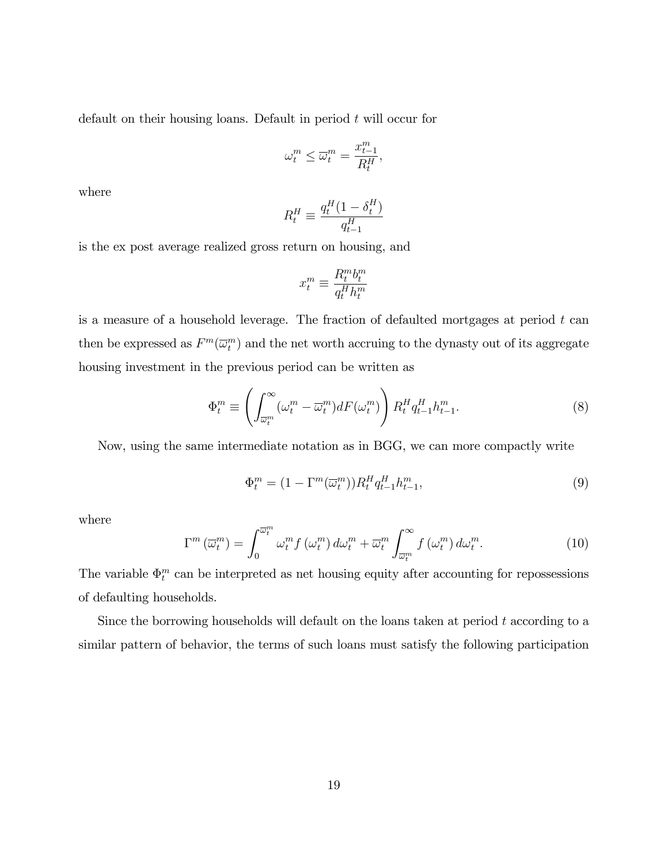default on their housing loans. Default in period  $t$  will occur for

$$
\omega_t^m \le \overline{\omega}_t^m = \frac{x_{t-1}^m}{R_t^H},
$$

where

$$
R_t^H \equiv \frac{q_t^H (1 - \delta_t^H)}{q_{t-1}^H}
$$

is the ex post average realized gross return on housing, and

$$
x_t^m \equiv \frac{R_t^m b_t^m}{q_t^H h_t^m}
$$

is a measure of a household leverage. The fraction of defaulted mortgages at period  $t$  can then be expressed as  $F^m(\overline{\omega}_t^m)$  and the net worth accruing to the dynasty out of its aggregate housing investment in the previous period can be written as

$$
\Phi_t^m \equiv \left( \int_{\overline{\omega}_t^m}^{\infty} (\omega_t^m - \overline{\omega}_t^m) dF(\omega_t^m) \right) R_t^H q_{t-1}^H h_{t-1}^m. \tag{8}
$$

Now, using the same intermediate notation as in BGG, we can more compactly write

$$
\Phi_t^m = \left(1 - \Gamma^m(\overline{\omega}_t^m)\right) R_t^H q_{t-1}^H h_{t-1}^m,\tag{9}
$$

where

$$
\Gamma^{m}\left(\overline{\omega}_{t}^{m}\right) = \int_{0}^{\overline{\omega}_{t}^{m}} \omega_{t}^{m} f\left(\omega_{t}^{m}\right) d\omega_{t}^{m} + \overline{\omega}_{t}^{m} \int_{\overline{\omega}_{t}^{m}}^{\infty} f\left(\omega_{t}^{m}\right) d\omega_{t}^{m}.
$$
\n(10)

The variable  $\Phi_t^m$  can be interpreted as net housing equity after accounting for repossessions of defaulting households.

Since the borrowing households will default on the loans taken at period  $t$  according to a similar pattern of behavior, the terms of such loans must satisfy the following participation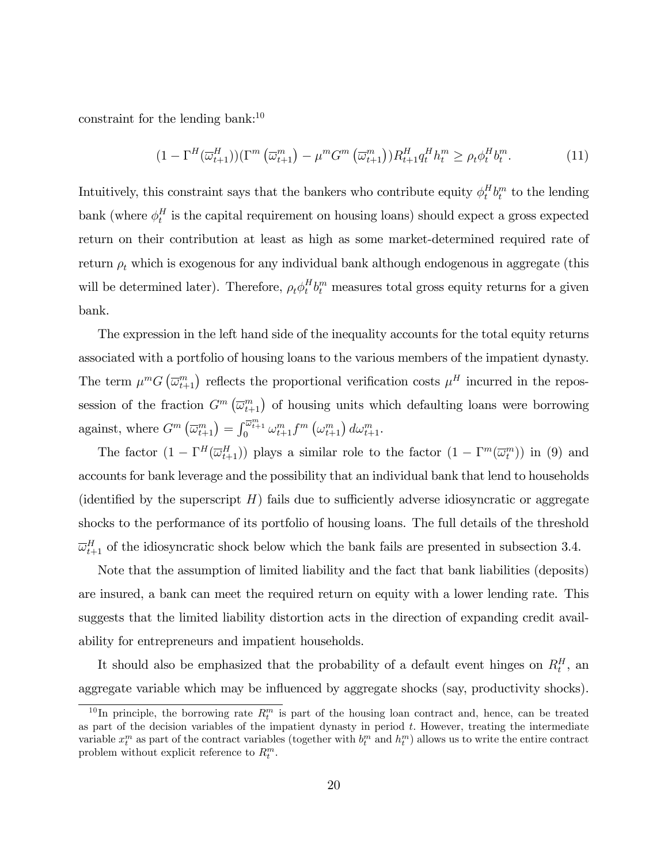constraint for the lending bank:  $10$ 

$$
(1 - \Gamma^H(\overline{\omega}_{t+1}^H))(\Gamma^m(\overline{\omega}_{t+1}^m) - \mu^m G^m(\overline{\omega}_{t+1}^m))R_{t+1}^H q_t^H h_t^m \ge \rho_t \phi_t^H b_t^m. \tag{11}
$$

Intuitively, this constraint says that the bankers who contribute equity  $\phi_t^H$  $_t^H b_t^m$  to the lending bank (where  $\phi_t^H$  $t<sub>t</sub><sup>H</sup>$  is the capital requirement on housing loans) should expect a gross expected return on their contribution at least as high as some market-determined required rate of return  $\rho_t$  which is exogenous for any individual bank although endogenous in aggregate (this will be determined later). Therefore,  $\rho_t \phi_t^H$  $_t^H b_t^m$  measures total gross equity returns for a given bank.

The expression in the left hand side of the inequality accounts for the total equity returns associated with a portfolio of housing loans to the various members of the impatient dynasty. The term  $\mu^m G\left(\overline{\omega}_{t+1}^m\right)$  reflects the proportional verification costs  $\mu^H$  incurred in the repossession of the fraction  $G^m(\overline{\omega}_{t+1}^m)$  of housing units which defaulting loans were borrowing against, where  $G^m\left(\overline{\omega}_{t+1}^m\right) = \int_0^{\overline{\omega}_{t+1}^m} {\omega}_{t+1}^m f^m\left({\omega}_{t+1}^m\right) d\omega_{t+1}^m$ .

The factor  $(1 - \Gamma^H(\overline{\omega}_{t+1}^H))$  plays a similar role to the factor  $(1 - \Gamma^m(\overline{\omega}_t^m))$  in (9) and accounts for bank leverage and the possibility that an individual bank that lend to households (identified by the superscript  $H$ ) fails due to sufficiently adverse idiosyncratic or aggregate shocks to the performance of its portfolio of housing loans. The full details of the threshold  $\overline{\omega}_{t+1}^H$  of the idiosyncratic shock below which the bank fails are presented in subsection 3.4.

Note that the assumption of limited liability and the fact that bank liabilities (deposits) are insured, a bank can meet the required return on equity with a lower lending rate. This suggests that the limited liability distortion acts in the direction of expanding credit availability for entrepreneurs and impatient households.

It should also be emphasized that the probability of a default event hinges on  $R_t^H$ , an aggregate variable which may be influenced by aggregate shocks (say, productivity shocks).

<sup>&</sup>lt;sup>10</sup>In principle, the borrowing rate  $R_t^m$  is part of the housing loan contract and, hence, can be treated as part of the decision variables of the impatient dynasty in period  $t$ . However, treating the intermediate variable  $x_t^m$  as part of the contract variables (together with  $b_t^m$  and  $h_t^m$ ) allows us to write the entire contract problem without explicit reference to  $R_t^m$ .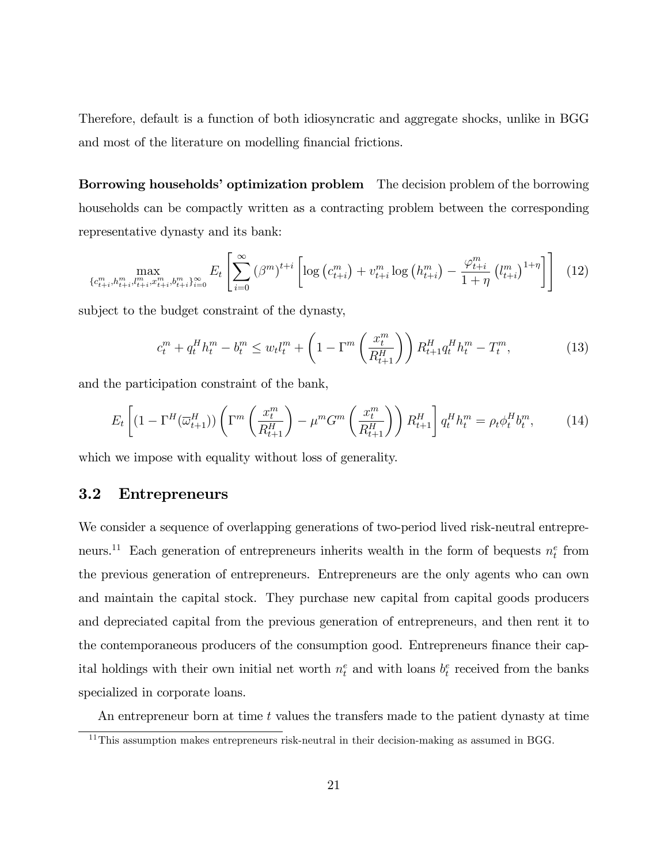Therefore, default is a function of both idiosyncratic and aggregate shocks, unlike in BGG and most of the literature on modelling financial frictions.

**Borrowing households' optimization problem** The decision problem of the borrowing households can be compactly written as a contracting problem between the corresponding representative dynasty and its bank:

$$
\max_{\{c_{t+i}^m, h_{t+i}^m, l_{t+i}^m, v_{t+i}^m\}_{i=0}^{\infty}} E_t \left[ \sum_{i=0}^{\infty} \left( \beta^m \right)^{t+i} \left[ \log \left( c_{t+i}^m \right) + v_{t+i}^m \log \left( h_{t+i}^m \right) - \frac{\varphi_{t+i}^m}{1+\eta} \left( l_{t+i}^m \right)^{1+\eta} \right] \right] \tag{12}
$$

subject to the budget constraint of the dynasty,

$$
c_t^m + q_t^H h_t^m - b_t^m \le w_t l_t^m + \left(1 - \Gamma^m \left(\frac{x_t^m}{R_{t+1}^H}\right)\right) R_{t+1}^H q_t^H h_t^m - T_t^m,\tag{13}
$$

and the participation constraint of the bank,

$$
E_t\left[ (1 - \Gamma^H(\overline{\omega}_{t+1}^H)) \left( \Gamma^m \left( \frac{x_t^m}{R_{t+1}^H} \right) - \mu^m G^m \left( \frac{x_t^m}{R_{t+1}^H} \right) \right) R_{t+1}^H \right] q_t^H h_t^m = \rho_t \phi_t^H b_t^m, \tag{14}
$$

which we impose with equality without loss of generality.

### 3.2 Entrepreneurs

We consider a sequence of overlapping generations of two-period lived risk-neutral entrepreneurs.<sup>11</sup> Each generation of entrepreneurs inherits wealth in the form of bequests  $n_t^e$  from the previous generation of entrepreneurs. Entrepreneurs are the only agents who can own and maintain the capital stock. They purchase new capital from capital goods producers and depreciated capital from the previous generation of entrepreneurs, and then rent it to the contemporaneous producers of the consumption good. Entrepreneurs finance their capital holdings with their own initial net worth  $n_t^e$  and with loans  $b_t^e$  received from the banks specialized in corporate loans.

An entrepreneur born at time  $t$  values the transfers made to the patient dynasty at time

<sup>&</sup>lt;sup>11</sup>This assumption makes entrepreneurs risk-neutral in their decision-making as assumed in BGG.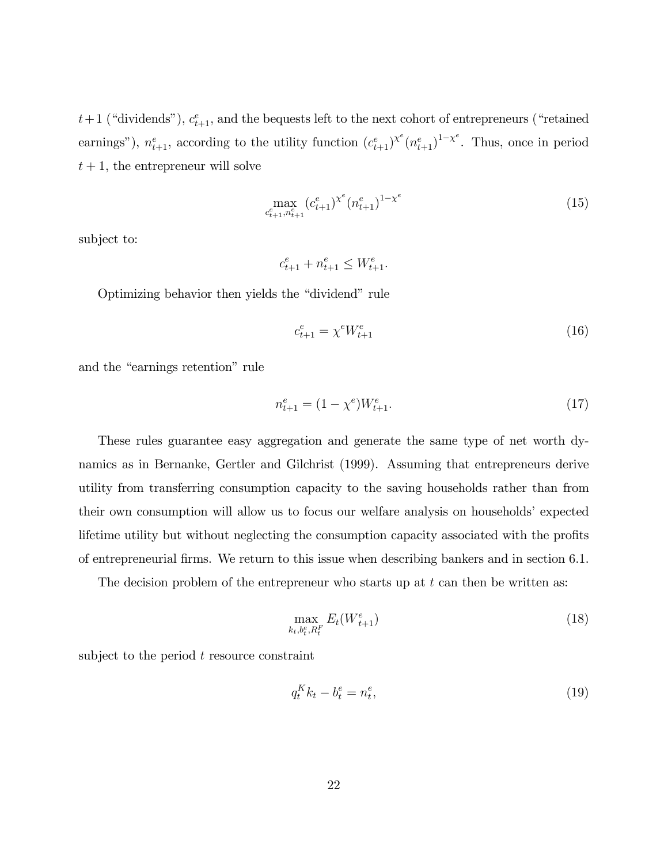$t+1$  ("dividends"),  $c_{t+1}^e$ , and the bequests left to the next cohort of entrepreneurs ("retained earnings"),  $n_{t+1}^e$ , according to the utility function  $(c_{t+1}^e)^{\chi^e}(n_{t+1}^e)^{1-\chi^e}$ . Thus, once in period  $t + 1$ , the entrepreneur will solve

$$
\max_{c_{t+1}^e, n_{t+1}^e} (c_{t+1}^e)^{\chi^e} (n_{t+1}^e)^{1-\chi^e} \tag{15}
$$

subject to:

 $c_{t+1}^e + n_{t+1}^e \leq W_{t+1}^e$ .

Optimizing behavior then yields the "dividend" rule

$$
c_{t+1}^e = \chi^e W_{t+1}^e \tag{16}
$$

and the "earnings retention" rule

$$
n_{t+1}^e = (1 - \chi^e)W_{t+1}^e.
$$
\n(17)

These rules guarantee easy aggregation and generate the same type of net worth dynamics as in Bernanke, Gertler and Gilchrist (1999). Assuming that entrepreneurs derive utility from transferring consumption capacity to the saving households rather than from their own consumption will allow us to focus our welfare analysis on households' expected lifetime utility but without neglecting the consumption capacity associated with the profits of entrepreneurial Örms. We return to this issue when describing bankers and in section 6.1.

The decision problem of the entrepreneur who starts up at  $t$  can then be written as:

$$
\max_{k_t, b_t^e, R_t^F} E_t(W_{t+1}^e) \tag{18}
$$

subject to the period  $t$  resource constraint

$$
q_t^K k_t - b_t^e = n_t^e,\tag{19}
$$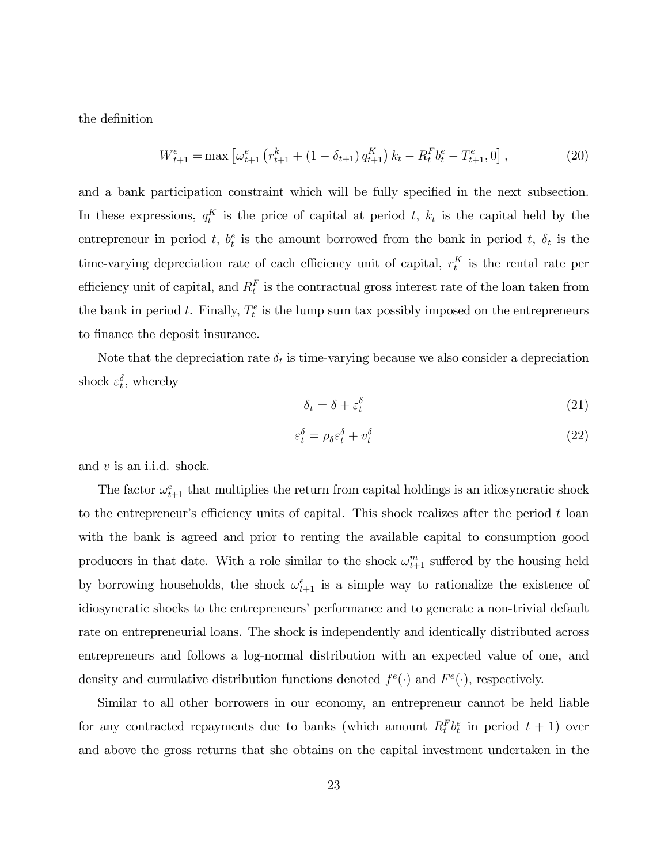the definition

$$
W_{t+1}^{e} = \max \left[ \omega_{t+1}^{e} \left( r_{t+1}^{k} + (1 - \delta_{t+1}) q_{t+1}^{K} \right) k_{t} - R_{t}^{F} b_{t}^{e} - T_{t+1}^{e}, 0 \right],
$$
\n(20)

and a bank participation constraint which will be fully specified in the next subsection. In these expressions,  $q_t^K$  is the price of capital at period t,  $k_t$  is the capital held by the entrepreneur in period t,  $b_t^e$  is the amount borrowed from the bank in period t,  $\delta_t$  is the time-varying depreciation rate of each efficiency unit of capital,  $r_t^K$  is the rental rate per efficiency unit of capital, and  $R_t^F$  is the contractual gross interest rate of the loan taken from the bank in period t. Finally,  $T_t^e$  is the lump sum tax possibly imposed on the entrepreneurs to finance the deposit insurance.

Note that the depreciation rate  $\delta_t$  is time-varying because we also consider a depreciation shock  $\varepsilon_t^{\delta}$ , whereby

$$
\delta_t = \delta + \varepsilon_t^{\delta} \tag{21}
$$

$$
\varepsilon_t^{\delta} = \rho_{\delta} \varepsilon_t^{\delta} + v_t^{\delta} \tag{22}
$$

and  $v$  is an i.i.d. shock.

The factor  $\omega_{t+1}^e$  that multiplies the return from capital holdings is an idiosyncratic shock to the entrepreneur's efficiency units of capital. This shock realizes after the period  $t$  loan with the bank is agreed and prior to renting the available capital to consumption good producers in that date. With a role similar to the shock  $\omega_{t+1}^m$  suffered by the housing held by borrowing households, the shock  $\omega_{t+1}^e$  is a simple way to rationalize the existence of idiosyncratic shocks to the entrepreneurs' performance and to generate a non-trivial default rate on entrepreneurial loans. The shock is independently and identically distributed across entrepreneurs and follows a log-normal distribution with an expected value of one, and density and cumulative distribution functions denoted  $f^e(\cdot)$  and  $F^e(\cdot)$ , respectively.

Similar to all other borrowers in our economy, an entrepreneur cannot be held liable for any contracted repayments due to banks (which amount  $R_t^F b_t^e$  in period  $t + 1$ ) over and above the gross returns that she obtains on the capital investment undertaken in the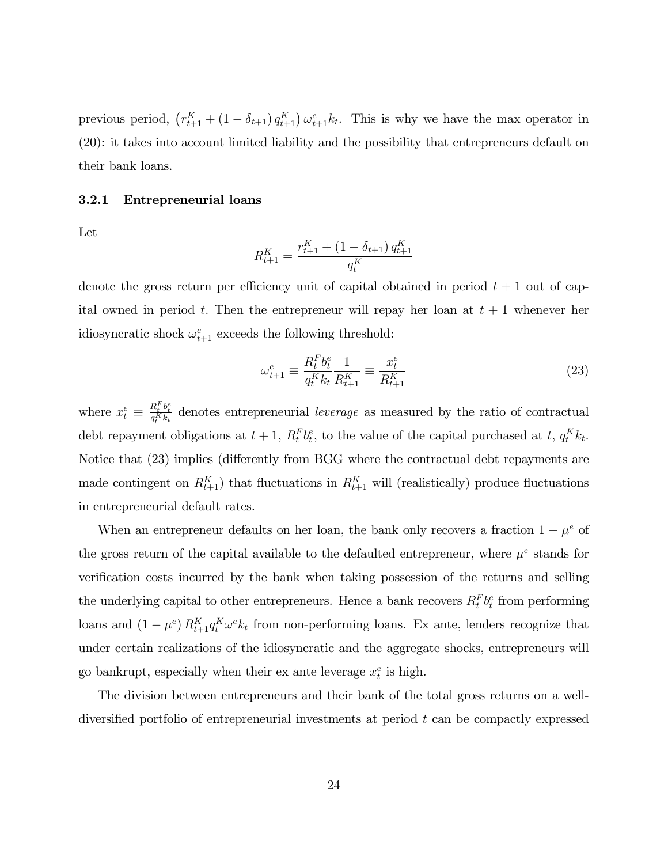previous period,  $(r_{t+1}^K + (1 - \delta_{t+1}) q_{t+1}^K) \omega_{t+1}^e k_t$ . This is why we have the max operator in (20): it takes into account limited liability and the possibility that entrepreneurs default on their bank loans.

#### 3.2.1 Entrepreneurial loans

Let

$$
R_{t+1}^K = \frac{r_{t+1}^K + (1 - \delta_{t+1}) q_{t+1}^K}{q_t^K}
$$

denote the gross return per efficiency unit of capital obtained in period  $t + 1$  out of capital owned in period t. Then the entrepreneur will repay her loan at  $t + 1$  whenever her idiosyncratic shock  $\omega_{t+1}^e$  exceeds the following threshold:

$$
\overline{\omega}_{t+1}^e \equiv \frac{R_t^F b_t^e}{q_t^K k_t} \frac{1}{R_{t+1}^K} \equiv \frac{x_t^e}{R_{t+1}^K} \tag{23}
$$

where  $x_t^e \equiv$  $\frac{R_t^F b_t^e}{q_t^K k_t}$  denotes entrepreneurial *leverage* as measured by the ratio of contractual debt repayment obligations at  $t + 1$ ,  $R_t^F b_t^e$ , to the value of the capital purchased at  $t$ ,  $q_t^K k_t$ . Notice that (23) implies (differently from BGG where the contractual debt repayments are made contingent on  $R_{t+1}^K$ ) that fluctuations in  $R_{t+1}^K$  will (realistically) produce fluctuations in entrepreneurial default rates.

When an entrepreneur defaults on her loan, the bank only recovers a fraction  $1 - \mu^e$  of the gross return of the capital available to the defaulted entrepreneur, where  $\mu^e$  stands for verification costs incurred by the bank when taking possession of the returns and selling the underlying capital to other entrepreneurs. Hence a bank recovers  $R_t^F b_t^e$  from performing loans and  $(1 - \mu^e) R_{t+1}^K q_t^K \omega^e k_t$  from non-performing loans. Ex ante, lenders recognize that under certain realizations of the idiosyncratic and the aggregate shocks, entrepreneurs will go bankrupt, especially when their ex ante leverage  $x_t^e$  is high.

The division between entrepreneurs and their bank of the total gross returns on a welldiversified portfolio of entrepreneurial investments at period  $t$  can be compactly expressed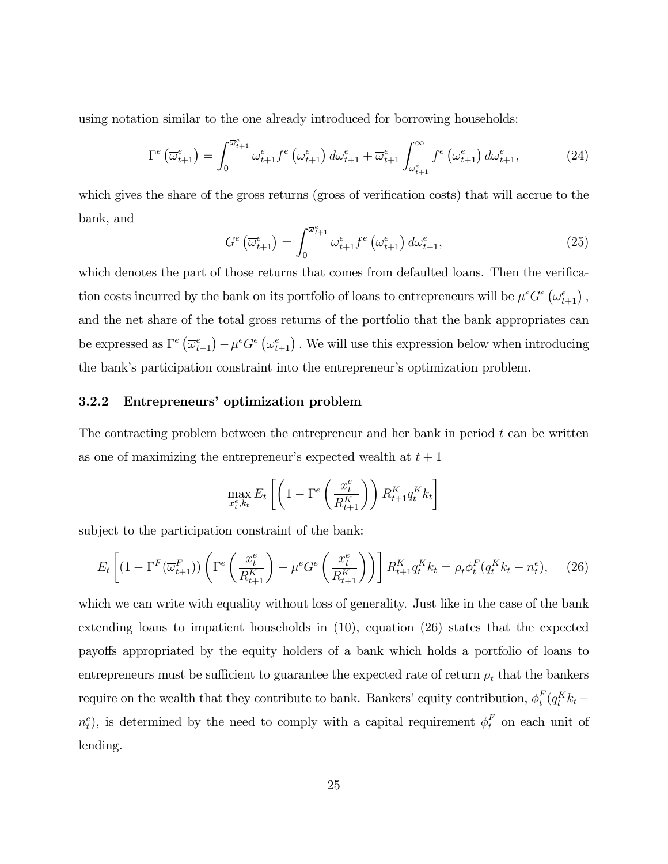using notation similar to the one already introduced for borrowing households:

$$
\Gamma^{e}\left(\overline{\omega}_{t+1}^{e}\right) = \int_{0}^{\overline{\omega}_{t+1}^{e}} \omega_{t+1}^{e} f^{e}\left(\omega_{t+1}^{e}\right) d\omega_{t+1}^{e} + \overline{\omega}_{t+1}^{e} \int_{\overline{\omega}_{t+1}^{e}}^{\infty} f^{e}\left(\omega_{t+1}^{e}\right) d\omega_{t+1}^{e}, \tag{24}
$$

which gives the share of the gross returns (gross of verification costs) that will accrue to the bank, and

$$
G^{e}\left(\overline{\omega}_{t+1}^{e}\right) = \int_{0}^{\overline{\omega}_{t+1}^{e}} \omega_{t+1}^{e} f^{e}\left(\omega_{t+1}^{e}\right) d\omega_{t+1}^{e}, \tag{25}
$$

which denotes the part of those returns that comes from defaulted loans. Then the verification costs incurred by the bank on its portfolio of loans to entrepreneurs will be  $\mu^e G^e \left( \omega_{t+1}^e \right)$ , and the net share of the total gross returns of the portfolio that the bank appropriates can be expressed as  $\Gamma^e \left( \overline{\omega}^e_{t+1} \right) - \mu^e G^e \left( \omega^e_{t+1} \right)$ . We will use this expression below when introducing the bank's participation constraint into the entrepreneur's optimization problem.

#### 3.2.2 Entrepreneurs' optimization problem

The contracting problem between the entrepreneur and her bank in period  $t$  can be written as one of maximizing the entrepreneur's expected wealth at  $t + 1$ 

$$
\max_{x_t^e, k_t} E_t \left[ \left( 1 - \Gamma^e \left( \frac{x_t^e}{R_{t+1}^K} \right) \right) R_{t+1}^K q_t^K k_t \right]
$$

subject to the participation constraint of the bank:

$$
E_t\left[ (1 - \Gamma^F(\overline{\omega}_{t+1}^F)) \left( \Gamma^e\left(\frac{x_t^e}{R_{t+1}^K} \right) - \mu^e G^e \left(\frac{x_t^e}{R_{t+1}^K} \right) \right) \right] R_{t+1}^K q_t^K k_t = \rho_t \phi_t^F(q_t^K k_t - n_t^e), \tag{26}
$$

which we can write with equality without loss of generality. Just like in the case of the bank extending loans to impatient households in (10), equation (26) states that the expected payo§s appropriated by the equity holders of a bank which holds a portfolio of loans to entrepreneurs must be sufficient to guarantee the expected rate of return  $\rho_t$  that the bankers require on the wealth that they contribute to bank. Bankers' equity contribution,  $\phi_t^F$  $_t^F(q_t^K k_t$  $n_t^e$ ), is determined by the need to comply with a capital requirement  $\phi_t^F$  on each unit of lending.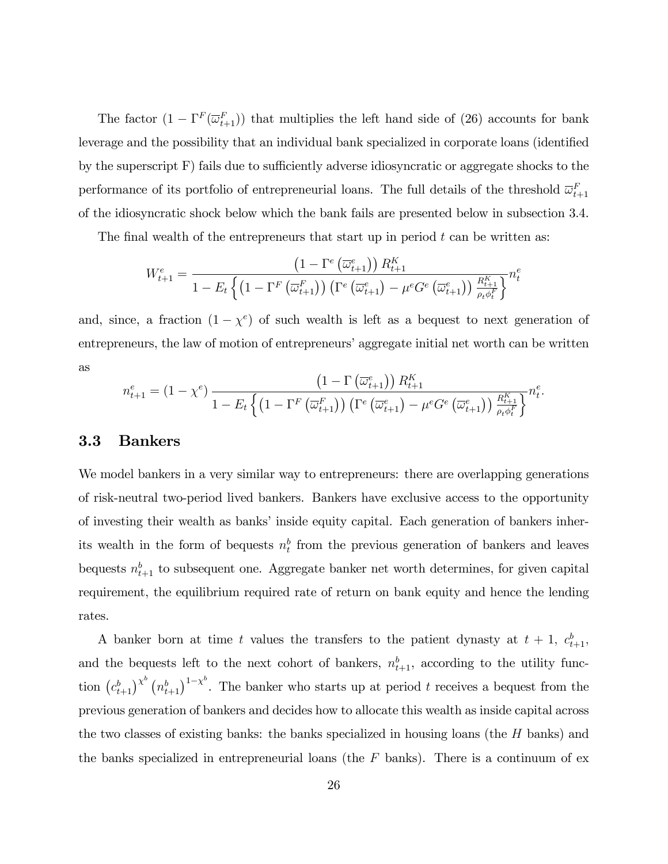The factor  $(1 - \Gamma^F(\overline{\omega}_{t+1}^F))$  that multiplies the left hand side of (26) accounts for bank leverage and the possibility that an individual bank specialized in corporate loans (identified by the superscript  $F$ ) fails due to sufficiently adverse idiosyncratic or aggregate shocks to the performance of its portfolio of entrepreneurial loans. The full details of the threshold  $\overline{\omega}_{t+1}^F$ of the idiosyncratic shock below which the bank fails are presented below in subsection 3.4.

The final wealth of the entrepreneurs that start up in period  $t$  can be written as:

$$
W_{t+1}^{e} = \frac{\left(1 - \Gamma^{e}\left(\overline{\omega}_{t+1}^{e}\right)\right)R_{t+1}^{K}}{1 - E_{t}\left\{\left(1 - \Gamma^{F}\left(\overline{\omega}_{t+1}^{F}\right)\right)\left(\Gamma^{e}\left(\overline{\omega}_{t+1}^{e}\right) - \mu^{e}G^{e}\left(\overline{\omega}_{t+1}^{e}\right)\right)\frac{R_{t+1}^{K}}{\rho_{t}\phi_{t}^{F}}\right\}}n_{t}^{e}
$$

and, since, a fraction  $(1 - \chi^e)$  of such wealth is left as a bequest to next generation of entrepreneurs, the law of motion of entrepreneurs' aggregate initial net worth can be written as

$$
n_{t+1}^{e} = (1 - \chi^{e}) \frac{\left(1 - \Gamma\left(\overline{\omega}_{t+1}^{e}\right)\right) R_{t+1}^{K}}{1 - E_{t} \left\{ \left(1 - \Gamma^{F}\left(\overline{\omega}_{t+1}^{F}\right)\right) \left(\Gamma^{e}\left(\overline{\omega}_{t+1}^{e}\right) - \mu^{e} G^{e}\left(\overline{\omega}_{t+1}^{e}\right)\right) \frac{R_{t+1}^{K}}{\rho_{t} \phi_{t}^{F}} \right\}^{n_{t}^{e}}.
$$

#### 3.3 Bankers

We model bankers in a very similar way to entrepreneurs: there are overlapping generations of risk-neutral two-period lived bankers. Bankers have exclusive access to the opportunity of investing their wealth as banks' inside equity capital. Each generation of bankers inherits wealth in the form of bequests  $n_t^b$  from the previous generation of bankers and leaves bequests  $n_{t+1}^b$  to subsequent one. Aggregate banker net worth determines, for given capital requirement, the equilibrium required rate of return on bank equity and hence the lending rates.

A banker born at time t values the transfers to the patient dynasty at  $t + 1$ ,  $c_{t+1}^b$ , and the bequests left to the next cohort of bankers,  $n_{t+1}^b$ , according to the utility function  $(c_{t+1}^b)^{\chi^b}$   $(n_{t+1}^b)^{1-\chi^b}$ . The banker who starts up at period t receives a bequest from the previous generation of bankers and decides how to allocate this wealth as inside capital across the two classes of existing banks: the banks specialized in housing loans (the H banks) and the banks specialized in entrepreneurial loans (the  $F$  banks). There is a continuum of ex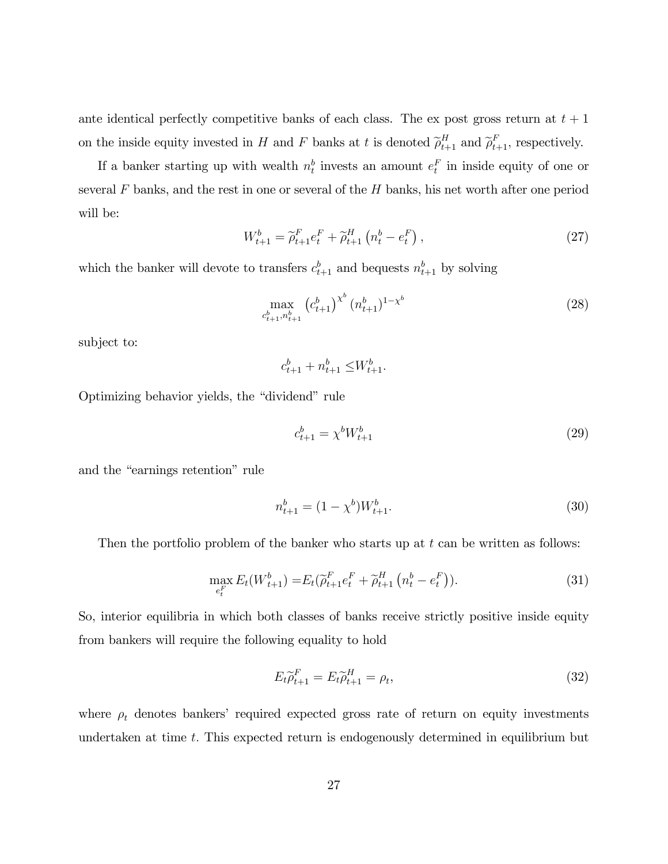ante identical perfectly competitive banks of each class. The ex post gross return at  $t + 1$ on the inside equity invested in H and F banks at t is denoted  $\tilde{\rho}_{t+1}^H$  and  $\tilde{\rho}_{t+1}^F$ , respectively.

If a banker starting up with wealth  $n_t^b$  invests an amount  $e_t^F$  in inside equity of one or several  $F$  banks, and the rest in one or several of the  $H$  banks, his net worth after one period will be:

$$
W_{t+1}^{b} = \tilde{\rho}_{t+1}^{F} e_t^{F} + \tilde{\rho}_{t+1}^{H} \left( n_t^{b} - e_t^{F} \right), \qquad (27)
$$

which the banker will devote to transfers  $c_{t+1}^b$  and bequests  $n_{t+1}^b$  by solving

$$
\max_{c_{t+1}^b, n_{t+1}^b} \left( c_{t+1}^b \right)^{\chi^b} (n_{t+1}^b)^{1-\chi^b} \tag{28}
$$

subject to:

 $c_{t+1}^b + n_{t+1}^b \leq W_{t+1}^b$ .

Optimizing behavior yields, the "dividend" rule

$$
c_{t+1}^b = \chi^b W_{t+1}^b \tag{29}
$$

and the "earnings retention" rule

$$
n_{t+1}^b = (1 - \chi^b)W_{t+1}^b.
$$
\n(30)

Then the portfolio problem of the banker who starts up at  $t$  can be written as follows:

$$
\max_{e_t^F} E_t(W_{t+1}^b) = E_t(\widetilde{\rho}_{t+1}^F e_t^F + \widetilde{\rho}_{t+1}^H (n_t^b - e_t^F)).
$$
\n(31)

So, interior equilibria in which both classes of banks receive strictly positive inside equity from bankers will require the following equality to hold

$$
E_t \widetilde{\rho}_{t+1}^F = E_t \widetilde{\rho}_{t+1}^H = \rho_t,\tag{32}
$$

where  $\rho_t$  denotes bankers' required expected gross rate of return on equity investments undertaken at time  $t$ . This expected return is endogenously determined in equilibrium but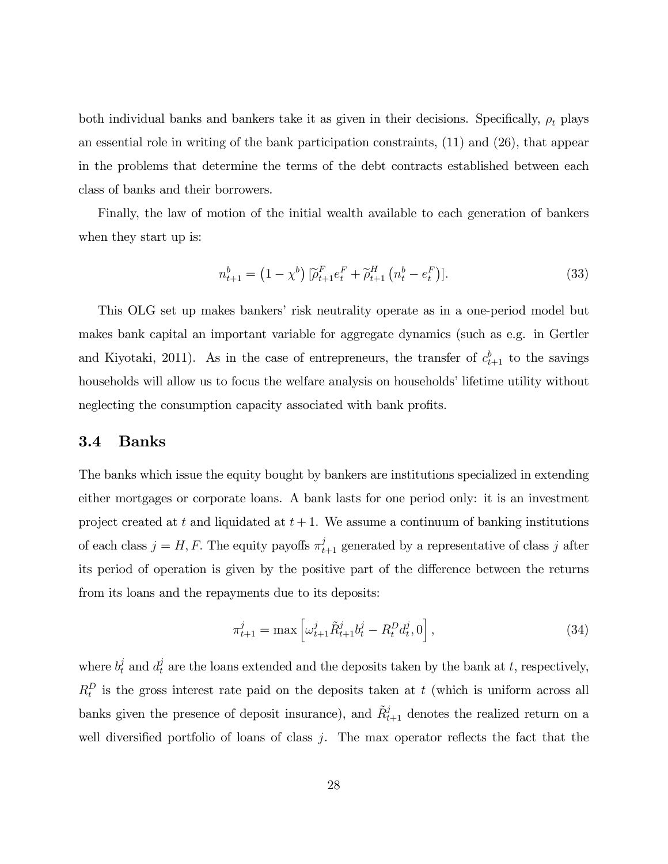both individual banks and bankers take it as given in their decisions. Specifically,  $\rho_t$  plays an essential role in writing of the bank participation constraints, (11) and (26), that appear in the problems that determine the terms of the debt contracts established between each class of banks and their borrowers.

Finally, the law of motion of the initial wealth available to each generation of bankers when they start up is:

$$
n_{t+1}^b = (1 - \chi^b) \left[ \tilde{\rho}_{t+1}^F e_t^F + \tilde{\rho}_{t+1}^H \left( n_t^b - e_t^F \right) \right]. \tag{33}
$$

This OLG set up makes bankersí risk neutrality operate as in a one-period model but makes bank capital an important variable for aggregate dynamics (such as e.g. in Gertler and Kiyotaki, 2011). As in the case of entrepreneurs, the transfer of  $c_{t+1}^b$  to the savings households will allow us to focus the welfare analysis on households' lifetime utility without neglecting the consumption capacity associated with bank profits.

#### 3.4 Banks

The banks which issue the equity bought by bankers are institutions specialized in extending either mortgages or corporate loans. A bank lasts for one period only: it is an investment project created at t and liquidated at  $t + 1$ . We assume a continuum of banking institutions of each class  $j = H, F$ . The equity payoffs  $\pi_{t+1}^j$  generated by a representative of class j after its period of operation is given by the positive part of the difference between the returns from its loans and the repayments due to its deposits:

$$
\pi_{t+1}^j = \max \left[ \omega_{t+1}^j \tilde{R}_{t+1}^j b_t^j - R_t^D d_t^j, 0 \right],\tag{34}
$$

where  $b_t^j$  and  $d_t^j$  are the loans extended and the deposits taken by the bank at t, respectively,  $R_t^D$  is the gross interest rate paid on the deposits taken at t (which is uniform across all banks given the presence of deposit insurance), and  $\tilde{R}_{t+1}^j$  denotes the realized return on a well diversified portfolio of loans of class  $j$ . The max operator reflects the fact that the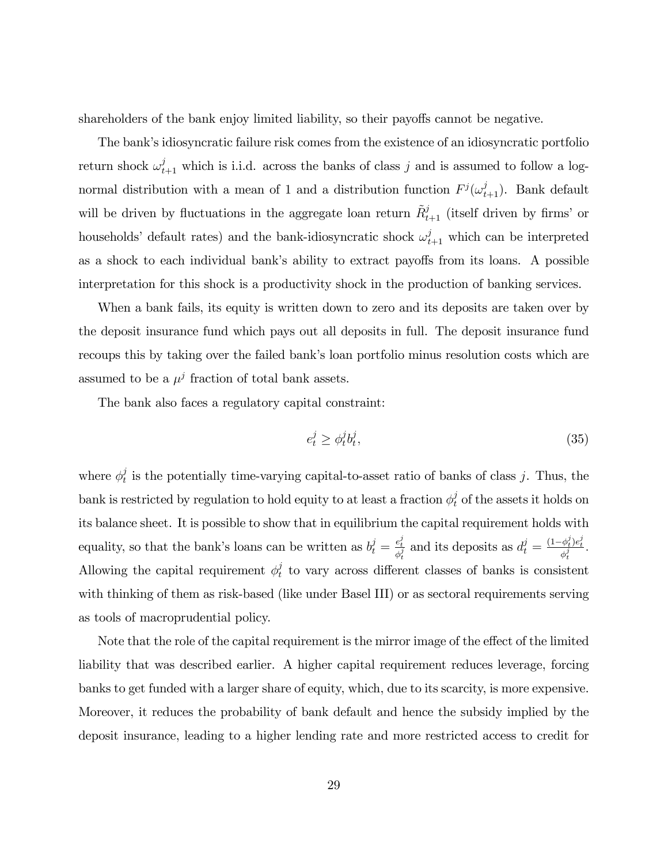shareholders of the bank enjoy limited liability, so their payoffs cannot be negative.

The bank's idiosyncratic failure risk comes from the existence of an idiosyncratic portfolio return shock  $\omega_{t+1}^j$  which is i.i.d. across the banks of class j and is assumed to follow a lognormal distribution with a mean of 1 and a distribution function  $F^{j}(\omega_{t+1}^{j})$ . Bank default will be driven by fluctuations in the aggregate loan return  $\tilde{R}^j_{t+1}$  (itself driven by firms' or households' default rates) and the bank-idiosyncratic shock  $\omega_{t+1}^j$  which can be interpreted as a shock to each individual bank's ability to extract payoffs from its loans. A possible interpretation for this shock is a productivity shock in the production of banking services.

When a bank fails, its equity is written down to zero and its deposits are taken over by the deposit insurance fund which pays out all deposits in full. The deposit insurance fund recoups this by taking over the failed bank's loan portfolio minus resolution costs which are assumed to be a  $\mu^j$  fraction of total bank assets.

The bank also faces a regulatory capital constraint:

$$
e_t^j \ge \phi_t^j b_t^j,\tag{35}
$$

where  $\phi_t^j$  $t<sub>t</sub>$  is the potentially time-varying capital-to-asset ratio of banks of class j. Thus, the bank is restricted by regulation to hold equity to at least a fraction  $\phi_t^j$  of the assets it holds on its balance sheet. It is possible to show that in equilibrium the capital requirement holds with equality, so that the bank's loans can be written as  $b_t^j = \frac{e_t^j}{\phi_t^j}$  and its deposits as  $d_t^j = \frac{(1-\phi_t^j)e_t^j}{\phi_t^j}$ . Allowing the capital requirement  $\phi_t^j$  $t_t$  to vary across different classes of banks is consistent with thinking of them as risk-based (like under Basel III) or as sectoral requirements serving as tools of macroprudential policy.

Note that the role of the capital requirement is the mirror image of the effect of the limited liability that was described earlier. A higher capital requirement reduces leverage, forcing banks to get funded with a larger share of equity, which, due to its scarcity, is more expensive. Moreover, it reduces the probability of bank default and hence the subsidy implied by the deposit insurance, leading to a higher lending rate and more restricted access to credit for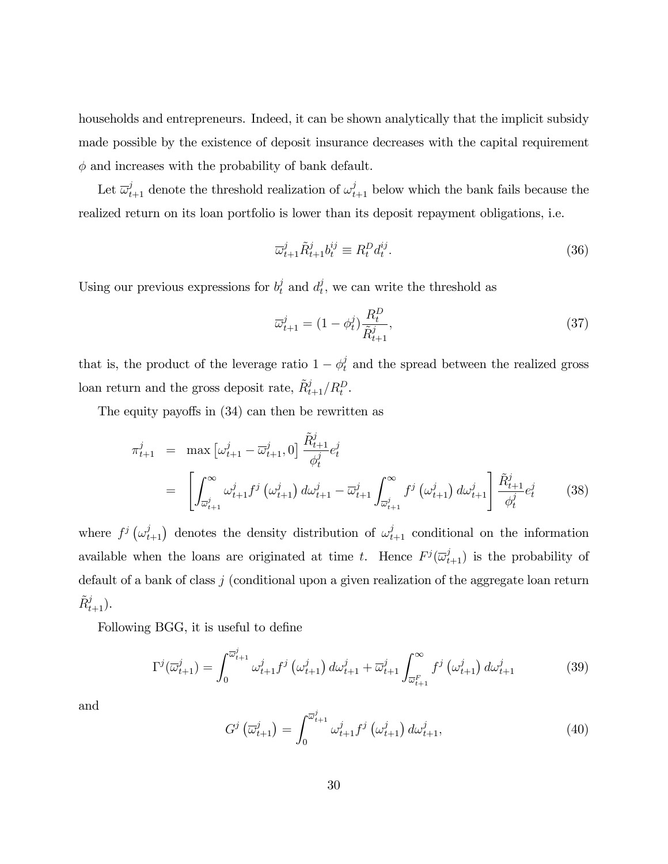households and entrepreneurs. Indeed, it can be shown analytically that the implicit subsidy made possible by the existence of deposit insurance decreases with the capital requirement  $\phi$  and increases with the probability of bank default.

Let  $\overline{\omega}_{t+1}^j$  denote the threshold realization of  $\omega_{t+1}^j$  below which the bank fails because the realized return on its loan portfolio is lower than its deposit repayment obligations, i.e.

$$
\overline{\omega}_{t+1}^j \tilde{R}_{t+1}^j b_t^{ij} \equiv R_t^D d_t^{ij}.
$$
\n(36)

Using our previous expressions for  $b_t^j$  and  $d_t^j$  $t<sub>t</sub>$ , we can write the threshold as

$$
\overline{\omega}_{t+1}^{j} = (1 - \phi_t^{j}) \frac{R_t^{D}}{\tilde{R}_{t+1}^{j}},
$$
\n(37)

that is, the product of the leverage ratio  $1 - \phi_t^j$  and the spread between the realized gross loan return and the gross deposit rate,  $\tilde{R}_{t+1}^j / R_t^D$ .

The equity payoffs in  $(34)$  can then be rewritten as

$$
\pi_{t+1}^{j} = \max \left[ \omega_{t+1}^{j} - \overline{\omega}_{t+1}^{j}, 0 \right] \frac{\tilde{R}_{t+1}^{j}}{\phi_{t}^{j}} e_{t}^{j}
$$
\n
$$
= \left[ \int_{\overline{\omega}_{t+1}^{j}}^{\infty} \omega_{t+1}^{j} f^{j} \left( \omega_{t+1}^{j} \right) d\omega_{t+1}^{j} - \overline{\omega}_{t+1}^{j} \int_{\overline{\omega}_{t+1}^{j}}^{\infty} f^{j} \left( \omega_{t+1}^{j} \right) d\omega_{t+1}^{j} \right] \frac{\tilde{R}_{t+1}^{j}}{\phi_{t}^{j}} e_{t}^{j} \qquad (38)
$$

where  $f^j(\omega_{t+1}^j)$  denotes the density distribution of  $\omega_{t+1}^j$  conditional on the information available when the loans are originated at time t. Hence  $F^j(\overline{\omega}_{t+1}^j)$  is the probability of default of a bank of class j (conditional upon a given realization of the aggregate loan return  $\tilde{R}_{t+1}^j$ ).

Following BGG, it is useful to define

$$
\Gamma^j(\overline{\omega}_{t+1}^j) = \int_0^{\overline{\omega}_{t+1}^j} \omega_{t+1}^j f^j\left(\omega_{t+1}^j\right) d\omega_{t+1}^j + \overline{\omega}_{t+1}^j \int_{\overline{\omega}_{t+1}^F}^{\infty} f^j\left(\omega_{t+1}^j\right) d\omega_{t+1}^j \tag{39}
$$

and

$$
G^j\left(\overline{\omega}_{t+1}^j\right) = \int_0^{\overline{\omega}_{t+1}^j} \omega_{t+1}^j f^j\left(\omega_{t+1}^j\right) d\omega_{t+1}^j,\tag{40}
$$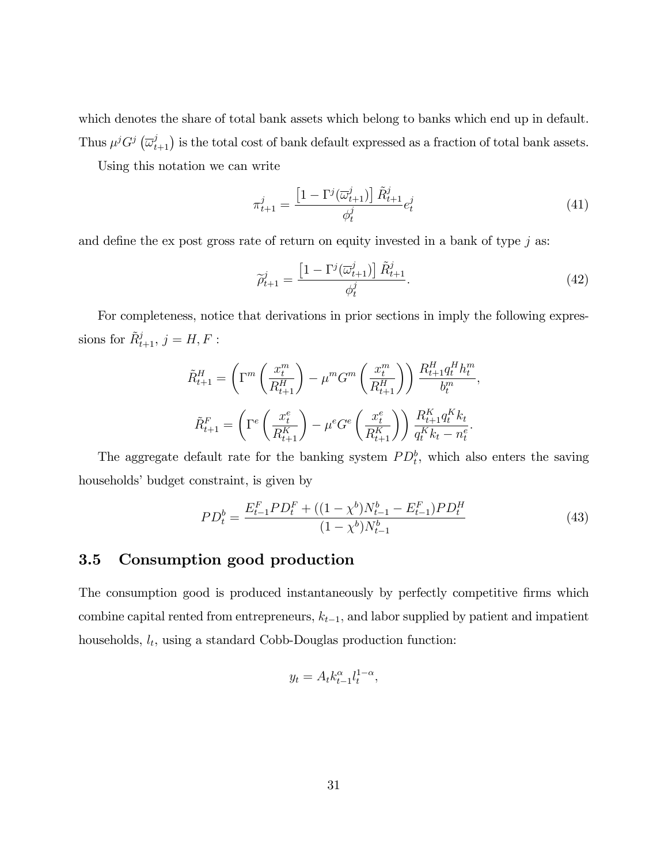which denotes the share of total bank assets which belong to banks which end up in default. Thus  $\mu^j G^j \left(\overline{\omega}_{t+1}^j\right)$  is the total cost of bank default expressed as a fraction of total bank assets.

Using this notation we can write

$$
\pi_{t+1}^j = \frac{\left[1 - \Gamma^j(\overline{\omega}_{t+1}^j)\right] \tilde{R}_{t+1}^j}{\phi_t^j} e_t^j \tag{41}
$$

and define the ex post gross rate of return on equity invested in a bank of type  $j$  as:

$$
\widetilde{\rho}_{t+1}^j = \frac{\left[1 - \Gamma^j(\overline{\omega}_{t+1}^j)\right] \widetilde{R}_{t+1}^j}{\phi_t^j}.
$$
\n(42)

For completeness, notice that derivations in prior sections in imply the following expressions for  $\tilde{R}_{t+1}^j$ ,  $j = H, F$ :

$$
\tilde{R}_{t+1}^{H} = \left(\Gamma^{m}\left(\frac{x_{t}^{m}}{R_{t+1}^{H}}\right) - \mu^{m} G^{m}\left(\frac{x_{t}^{m}}{R_{t+1}^{H}}\right)\right) \frac{R_{t+1}^{H} q_{t}^{H} h_{t}^{m}}{b_{t}^{m}},
$$
\n
$$
\tilde{R}_{t+1}^{F} = \left(\Gamma^{e}\left(\frac{x_{t}^{e}}{R_{t+1}^{K}}\right) - \mu^{e} G^{e}\left(\frac{x_{t}^{e}}{R_{t+1}^{K}}\right)\right) \frac{R_{t+1}^{K} q_{t}^{K} k_{t}}{q_{t}^{K} k_{t} - n_{t}^{e}}.
$$

The aggregate default rate for the banking system  $PD_t^b$ , which also enters the saving households' budget constraint, is given by

$$
PD_t^b = \frac{E_{t-1}^F PD_t^F + ((1 - \chi^b)N_{t-1}^b - E_{t-1}^F)PD_t^H}{(1 - \chi^b)N_{t-1}^b}
$$
(43)

### 3.5 Consumption good production

The consumption good is produced instantaneously by perfectly competitive firms which combine capital rented from entrepreneurs,  $k_{t-1}$ , and labor supplied by patient and impatient households,  $l_t$ , using a standard Cobb-Douglas production function:

$$
y_t = A_t k_{t-1}^{\alpha} l_t^{1-\alpha},
$$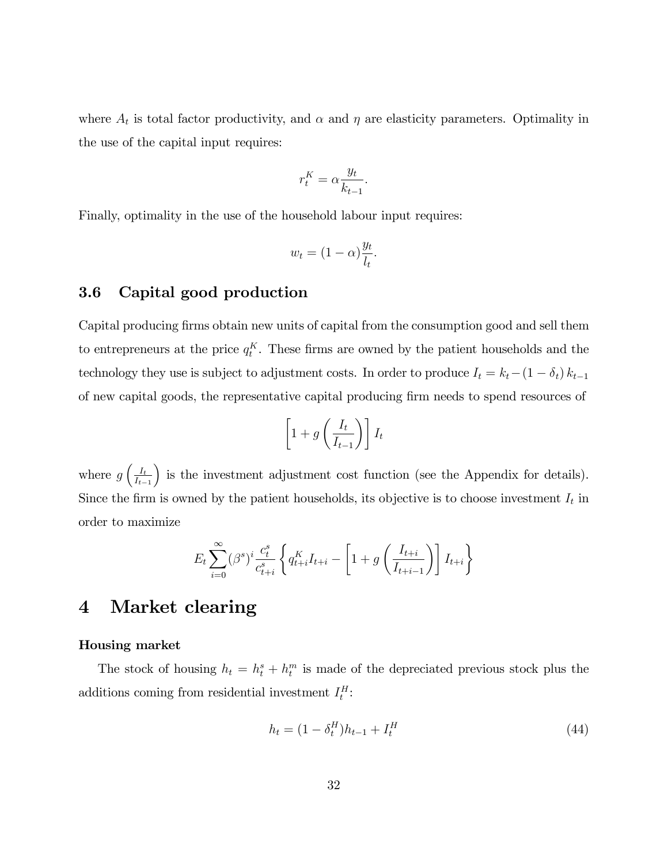where  $A_t$  is total factor productivity, and  $\alpha$  and  $\eta$  are elasticity parameters. Optimality in the use of the capital input requires:

$$
r_t^K = \alpha \frac{y_t}{k_{t-1}}.
$$

Finally, optimality in the use of the household labour input requires:

$$
w_t = (1 - \alpha) \frac{y_t}{l_t}.
$$

### 3.6 Capital good production

Capital producing firms obtain new units of capital from the consumption good and sell them to entrepreneurs at the price  $q_t^K$ . These firms are owned by the patient households and the technology they use is subject to adjustment costs. In order to produce  $I_t = k_t - (1 - \delta_t) k_{t-1}$ of new capital goods, the representative capital producing Örm needs to spend resources of

$$
\left[1+g\left(\frac{I_t}{I_{t-1}}\right)\right]I_t
$$

where  $g\left(\frac{I_t}{I_t}\right)$  $I_{t-1}$ ) is the investment adjustment cost function (see the Appendix for details). Since the firm is owned by the patient households, its objective is to choose investment  $I_t$  in order to maximize

$$
E_t \sum_{i=0}^{\infty} (\beta^s)^i \frac{c_t^s}{c_{t+i}^s} \left\{ q_{t+i}^K I_{t+i} - \left[ 1 + g \left( \frac{I_{t+i}}{I_{t+i-1}} \right) \right] I_{t+i} \right\}
$$

# 4 Market clearing

#### Housing market

The stock of housing  $h_t = h_t^s + h_t^m$  is made of the depreciated previous stock plus the additions coming from residential investment  $I_t^H$ :

$$
h_t = (1 - \delta_t^H)h_{t-1} + I_t^H
$$
\n(44)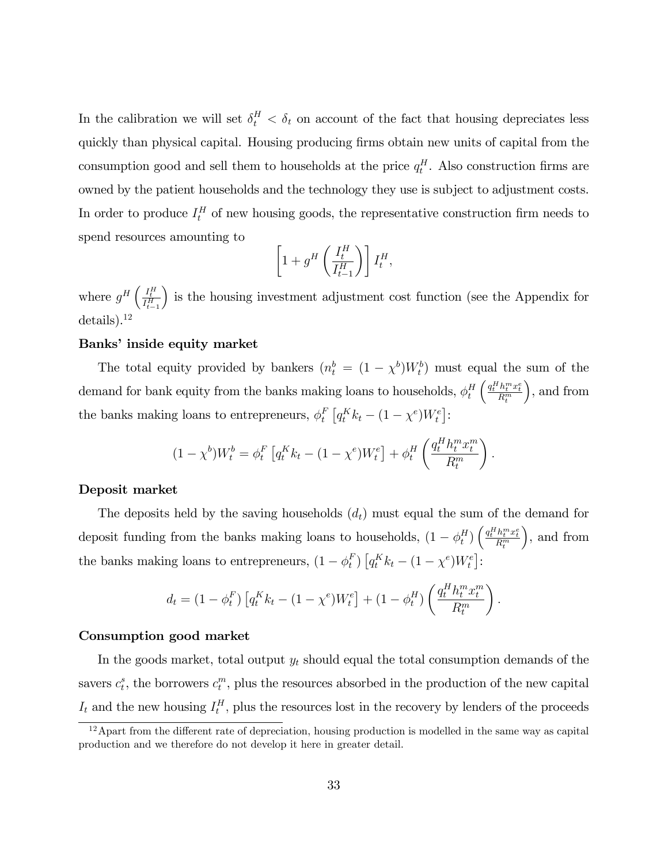In the calibration we will set  $\delta_t^H < \delta_t$  on account of the fact that housing depreciates less quickly than physical capital. Housing producing Örms obtain new units of capital from the consumption good and sell them to households at the price  $q_t^H$ . Also construction firms are owned by the patient households and the technology they use is subject to adjustment costs. In order to produce  $I_t^H$  of new housing goods, the representative construction firm needs to spend resources amounting to

$$
\left[1+g^H\left(\frac{I_t^H}{I_{t-1}^H}\right)\right]I_t^H,
$$

where  $g^H\left(\frac{I_t^H}{I_{t-1}^H}\right)$ ) is the housing investment adjustment cost function (see the Appendix for details).<sup>12</sup>

#### Banks' inside equity market

The total equity provided by bankers  $(n_t^b = (1 - \chi^b)W_t^b)$  must equal the sum of the demand for bank equity from the banks making loans to households,  $\phi_t^H$ t  $\bigg(\frac{q_t^H h_t^m x_t^e}{R_t^m}$  , and from the banks making loans to entrepreneurs,  $\phi_t^F$  $_{t}^{F}$   $[q_{t}^{K}k_{t} - (1 - \chi^{e})W_{t}^{e}]$ :

$$
(1 - \chi^b)W_t^b = \phi_t^F \left[ q_t^K k_t - (1 - \chi^e) W_t^e \right] + \phi_t^H \left( \frac{q_t^H h_t^m x_t^m}{R_t^m} \right).
$$

#### Deposit market

The deposits held by the saving households  $(d_t)$  must equal the sum of the demand for deposit funding from the banks making loans to households,  $(1 - \phi_t^H)$  $\binom{H}{t}\left(\frac{q_t^H h_t^m x_t^e}{R_t^m}\right)$  , and from the banks making loans to entrepreneurs,  $(1 - \phi_t^F)$  $_{t}^{F}$ )  $[q_{t}^{K}k_{t} - (1 - \chi^{e})W_{t}^{e}]$ :

$$
d_t = (1 - \phi_t^F) \left[ q_t^K k_t - (1 - \chi^e) W_t^e \right] + (1 - \phi_t^H) \left( \frac{q_t^H h_t^m x_t^m}{R_t^m} \right).
$$

#### Consumption good market

In the goods market, total output  $y_t$  should equal the total consumption demands of the savers  $c_t^s$ , the borrowers  $c_t^m$ , plus the resources absorbed in the production of the new capital  $I_t$  and the new housing  $I_t^H$ , plus the resources lost in the recovery by lenders of the proceeds

 $12$ Apart from the different rate of depreciation, housing production is modelled in the same way as capital production and we therefore do not develop it here in greater detail.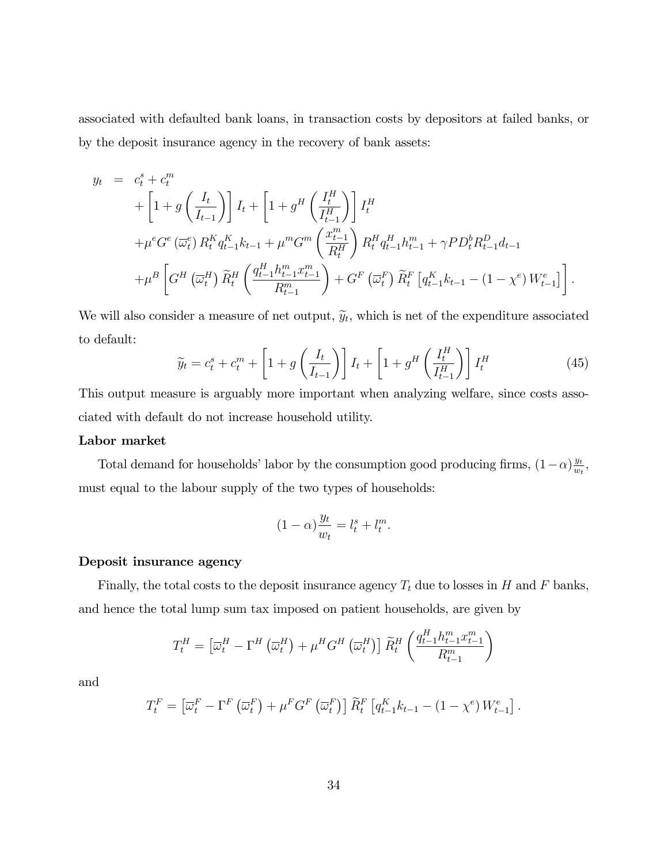associated with defaulted bank loans, in transaction costs by depositors at failed banks, or by the deposit insurance agency in the recovery of bank assets:

$$
y_{t} = c_{t}^{s} + c_{t}^{m}
$$
  
+  $\left[1 + g\left(\frac{I_{t}}{I_{t-1}}\right)\right]I_{t} + \left[1 + g^{H}\left(\frac{I_{t}^{H}}{I_{t-1}^{H}}\right)\right]I_{t}^{H}$   
+  $\mu^{e}G^{e}(\overline{\omega}_{t}^{e}) R_{t}^{K} q_{t-1}^{K} k_{t-1} + \mu^{m} G^{m}\left(\frac{x_{t-1}^{m}}{R_{t}^{H}}\right) R_{t}^{H} q_{t-1}^{H} h_{t-1}^{m} + \gamma P D_{t}^{b} R_{t-1}^{D} d_{t-1}$   
+  $\mu^{B}\left[G^{H}\left(\overline{\omega}_{t}^{H}\right) \widetilde{R}_{t}^{H}\left(\frac{q_{t-1}^{H} h_{t-1}^{m} x_{t-1}^{m}}{R_{t-1}^{m}}\right) + G^{F}\left(\overline{\omega}_{t}^{F}\right) \widetilde{R}_{t}^{F}\left[q_{t-1}^{K} k_{t-1} - (1 - \chi^{e}) W_{t-1}^{e}\right]\right].$ 

We will also consider a measure of net output,  $\tilde{y}_t$ , which is net of the expenditure associated to default:

$$
\widetilde{y}_t = c_t^s + c_t^m + \left[1 + g\left(\frac{I_t}{I_{t-1}}\right)\right]I_t + \left[1 + g^H\left(\frac{I_t^H}{I_{t-1}^H}\right)\right]I_t^H
$$
\n(45)

This output measure is arguably more important when analyzing welfare, since costs associated with default do not increase household utility.

#### Labor market

Total demand for households' labor by the consumption good producing firms,  $(1-\alpha)\frac{y_t}{w_t}$  $\frac{y_t}{w_t}$ must equal to the labour supply of the two types of households:

$$
(1 - \alpha) \frac{y_t}{w_t} = l_t^s + l_t^m.
$$

#### Deposit insurance agency

Finally, the total costs to the deposit insurance agency  $T_t$  due to losses in H and F banks, and hence the total lump sum tax imposed on patient households, are given by

$$
T_t^H = \left[\overline{\omega}_t^H - \Gamma^H \left(\overline{\omega}_t^H\right) + \mu^H G^H \left(\overline{\omega}_t^H\right)\right] \widetilde{R}_t^H \left(\frac{q_{t-1}^H h_{t-1}^m x_{t-1}^m}{R_{t-1}^m}\right)
$$

and

$$
T_t^F = \left[\overline{\omega}_t^F - \Gamma^F\left(\overline{\omega}_t^F\right) + \mu^F G^F\left(\overline{\omega}_t^F\right)\right] \widetilde{R}_t^F \left[q_{t-1}^K k_{t-1} - (1 - \chi^e) W_{t-1}^e\right].
$$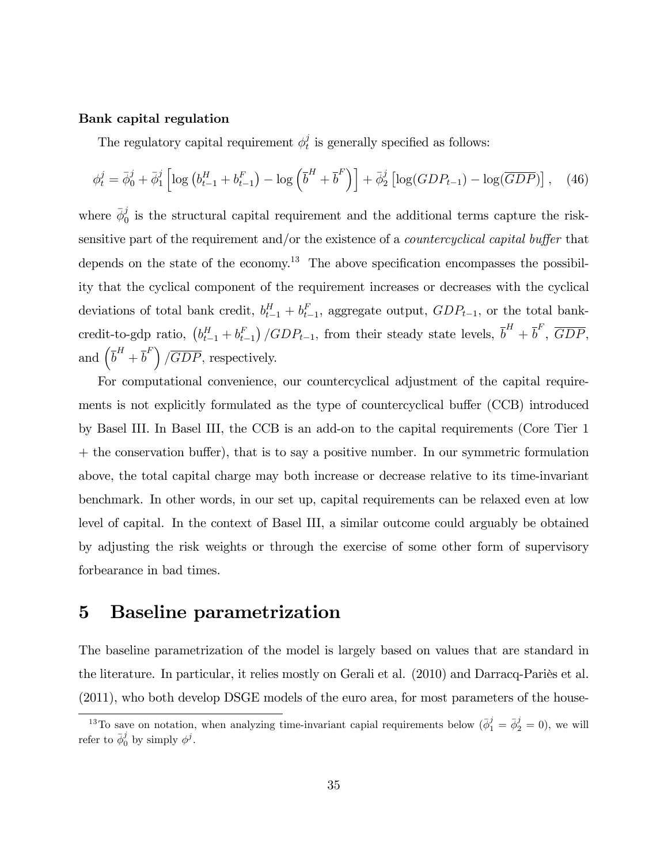#### Bank capital regulation

The regulatory capital requirement  $\phi_t^j$  $t<sub>t</sub>$  is generally specified as follows:

$$
\phi_t^j = \bar{\phi}_0^j + \bar{\phi}_1^j \left[ \log \left( b_{t-1}^H + b_{t-1}^F \right) - \log \left( \bar{b}^H + \bar{b}^F \right) \right] + \bar{\phi}_2^j \left[ \log (GDP_{t-1}) - \log(\overline{GDP}) \right], \quad (46)
$$

where  $\bar{\phi}_0^j$  $\sigma_0$  is the structural capital requirement and the additional terms capture the risksensitive part of the requirement and/or the existence of a *countercyclical capital buffer* that depends on the state of the economy.<sup>13</sup> The above specification encompasses the possibility that the cyclical component of the requirement increases or decreases with the cyclical deviations of total bank credit,  $b_{t-1}^H + b_{t-1}^F$ , aggregate output,  $GDP_{t-1}$ , or the total bankcredit-to-gdp ratio,  $(b_{t-1}^H + b_{t-1}^F)/GDP_{t-1}$ , from their steady state levels,  $\overline{b}^H + \overline{b}^F$ ,  $\overline{GDP}$ , and  $\left(\overline{b}^H + \overline{b}^F\right)$  /*GDP*, respectively.

For computational convenience, our countercyclical adjustment of the capital requirements is not explicitly formulated as the type of countercyclical buffer (CCB) introduced by Basel III. In Basel III, the CCB is an add-on to the capital requirements (Core Tier 1  $+$  the conservation buffer), that is to say a positive number. In our symmetric formulation above, the total capital charge may both increase or decrease relative to its time-invariant benchmark. In other words, in our set up, capital requirements can be relaxed even at low level of capital. In the context of Basel III, a similar outcome could arguably be obtained by adjusting the risk weights or through the exercise of some other form of supervisory forbearance in bad times.

# 5 Baseline parametrization

The baseline parametrization of the model is largely based on values that are standard in the literature. In particular, it relies mostly on Gerali et al. (2010) and Darracq-Pariès et al. (2011), who both develop DSGE models of the euro area, for most parameters of the house-

<sup>&</sup>lt;sup>13</sup>To save on notation, when analyzing time-invariant capial requirements below  $(\bar{\phi}_1^j = \bar{\phi}_2^j = 0)$ , we will refer to  $\bar{\phi}_0^j$  by simply  $\phi^j$ .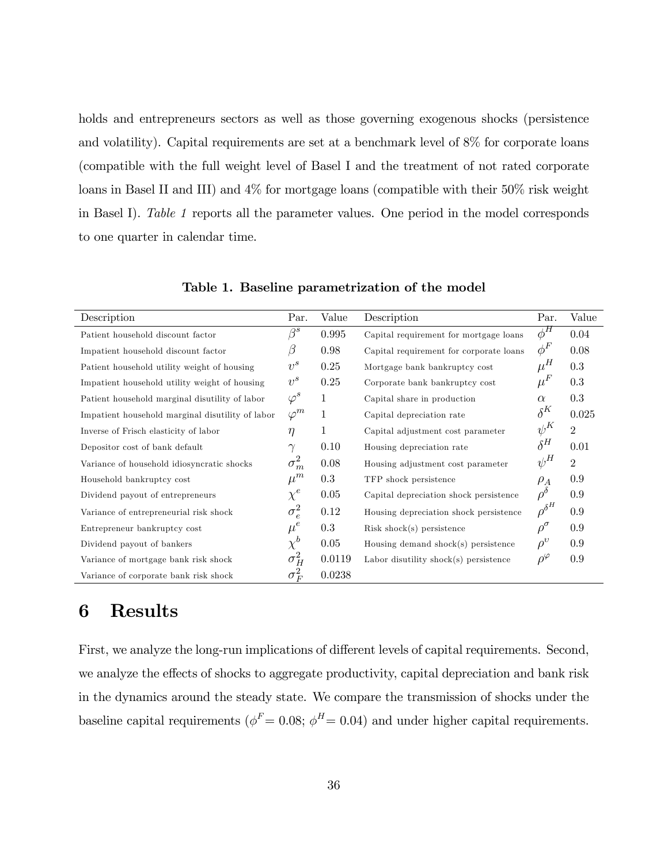holds and entrepreneurs sectors as well as those governing exogenous shocks (persistence and volatility). Capital requirements are set at a benchmark level of 8% for corporate loans (compatible with the full weight level of Basel I and the treatment of not rated corporate loans in Basel II and III) and 4% for mortgage loans (compatible with their 50% risk weight in Basel I). Table 1 reports all the parameter values. One period in the model corresponds to one quarter in calendar time.

| Description                                      | Par.         | Value     | Description                             | Par.              | Value          |
|--------------------------------------------------|--------------|-----------|-----------------------------------------|-------------------|----------------|
| Patient household discount factor                | $\beta^s$    | 0.995     | Capital requirement for mortgage loans  | $\phi^H$          | 0.04           |
| Impatient household discount factor              | β            | 0.98      | Capital requirement for corporate loans | $\phi^F$          | 0.08           |
| Patient household utility weight of housing      | $v^s$        | 0.25      | Mortgage bank bankruptcy cost           | $\mu^H$           | 0.3            |
| Impatient household utility weight of housing    | $v^s$        | 0.25      | Corporate bank bankruptcy cost          | $\mu^F$           | 0.3            |
| Patient household marginal disutility of labor   | $\varphi^s$  | 1         | Capital share in production             | $\alpha$          | 0.3            |
| Impatient household marginal disutility of labor | $\varphi^m$  | 1         | Capital depreciation rate               | $\delta^K$        | 0.025          |
| Inverse of Frisch elasticity of labor            | $\eta$       | 1         | Capital adjustment cost parameter       | $\psi^K$          | $\overline{2}$ |
| Depositor cost of bank default                   | $\gamma$     | 0.10      | Housing depreciation rate               | $\delta^H$        | 0.01           |
| Variance of household idiosyncratic shocks       | $\sigma_m^2$ | 0.08      | Housing adjustment cost parameter       | $\psi^H$          | $\sqrt{2}$     |
| Household bankruptcy cost                        | $\mu^m$      | 0.3       | TFP shock persistence                   | $\rho_A$          | 0.9            |
| Dividend payout of entrepreneurs                 | $\chi^e$     | 0.05      | Capital depreciation shock persistence  | $\rho^{\delta}$   | 0.9            |
| Variance of entrepreneurial risk shock           | $\sigma_e^2$ | 0.12      | Housing depreciation shock persistence  | $\rho^{\delta^H}$ | 0.9            |
| Entrepreneur bankruptcy cost                     | $\mu^e$      | $\rm 0.3$ | Risk shock(s) persistence               | $\rho^\sigma$     | 0.9            |
| Dividend payout of bankers                       | $\chi^b$     | 0.05      | Housing demand shock(s) persistence     | $\rho^v$          | 0.9            |
| Variance of mortgage bank risk shock             | $\sigma_H^2$ | 0.0119    | Labor disutility shock(s) persistence   | $\rho^{\varphi}$  | 0.9            |
| Variance of corporate bank risk shock            | $\sigma_F^2$ | 0.0238    |                                         |                   |                |

Table 1. Baseline parametrization of the model

# 6 Results

First, we analyze the long-run implications of different levels of capital requirements. Second, we analyze the effects of shocks to aggregate productivity, capital depreciation and bank risk in the dynamics around the steady state. We compare the transmission of shocks under the baseline capital requirements ( $\phi^F = 0.08$ ;  $\phi^H = 0.04$ ) and under higher capital requirements.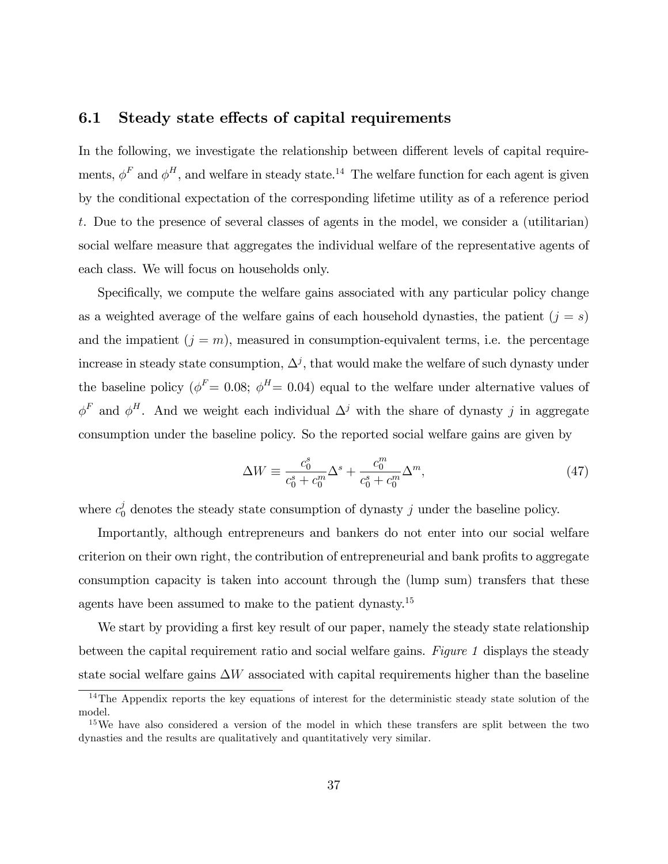#### 6.1 Steady state effects of capital requirements

In the following, we investigate the relationship between different levels of capital requirements,  $\phi^F$  and  $\phi^H$ , and welfare in steady state.<sup>14</sup> The welfare function for each agent is given by the conditional expectation of the corresponding lifetime utility as of a reference period t. Due to the presence of several classes of agents in the model, we consider a (utilitarian) social welfare measure that aggregates the individual welfare of the representative agents of each class. We will focus on households only.

Specifically, we compute the welfare gains associated with any particular policy change as a weighted average of the welfare gains of each household dynasties, the patient  $(j = s)$ and the impatient  $(j = m)$ , measured in consumption-equivalent terms, i.e. the percentage increase in steady state consumption,  $\Delta^j$ , that would make the welfare of such dynasty under the baseline policy ( $\phi^F$  = 0.08;  $\phi^H$  = 0.04) equal to the welfare under alternative values of  $\phi^F$  and  $\phi^H$ . And we weight each individual  $\Delta^j$  with the share of dynasty j in aggregate consumption under the baseline policy. So the reported social welfare gains are given by

$$
\Delta W \equiv \frac{c_0^s}{c_0^s + c_0^m} \Delta^s + \frac{c_0^m}{c_0^s + c_0^m} \Delta^m,\tag{47}
$$

where  $c_0^j$  denotes the steady state consumption of dynasty j under the baseline policy.

Importantly, although entrepreneurs and bankers do not enter into our social welfare criterion on their own right, the contribution of entrepreneurial and bank profits to aggregate consumption capacity is taken into account through the (lump sum) transfers that these agents have been assumed to make to the patient dynasty.<sup>15</sup>

We start by providing a first key result of our paper, namely the steady state relationship between the capital requirement ratio and social welfare gains. Figure 1 displays the steady state social welfare gains  $\Delta W$  associated with capital requirements higher than the baseline

<sup>&</sup>lt;sup>14</sup>The Appendix reports the key equations of interest for the deterministic steady state solution of the model.

<sup>&</sup>lt;sup>15</sup>We have also considered a version of the model in which these transfers are split between the two dynasties and the results are qualitatively and quantitatively very similar.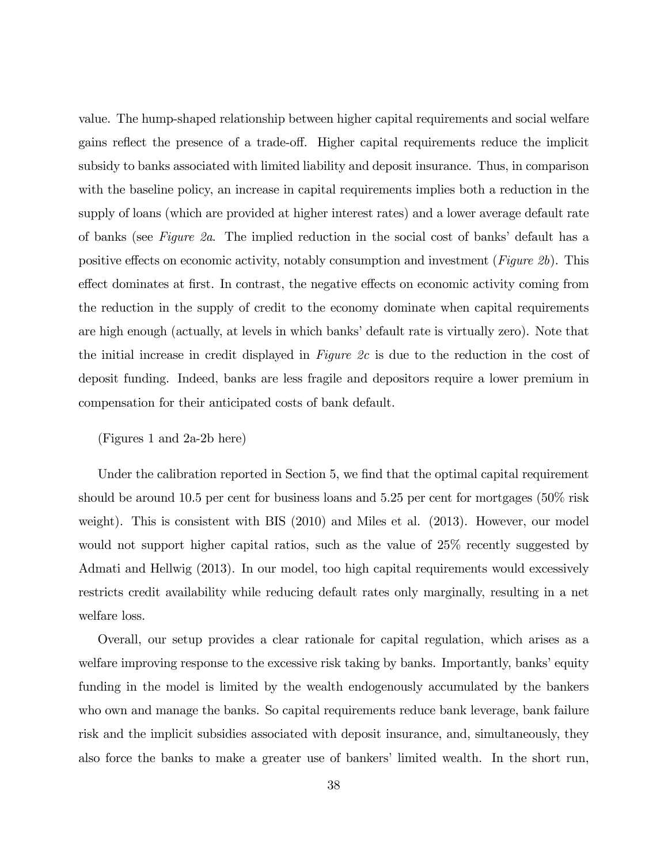value. The hump-shaped relationship between higher capital requirements and social welfare gains reflect the presence of a trade-off. Higher capital requirements reduce the implicit subsidy to banks associated with limited liability and deposit insurance. Thus, in comparison with the baseline policy, an increase in capital requirements implies both a reduction in the supply of loans (which are provided at higher interest rates) and a lower average default rate of banks (see Figure 2a. The implied reduction in the social cost of banks' default has a positive effects on economic activity, notably consumption and investment (Figure 2b). This effect dominates at first. In contrast, the negative effects on economic activity coming from the reduction in the supply of credit to the economy dominate when capital requirements are high enough (actually, at levels in which banks' default rate is virtually zero). Note that the initial increase in credit displayed in Figure 2c is due to the reduction in the cost of deposit funding. Indeed, banks are less fragile and depositors require a lower premium in compensation for their anticipated costs of bank default.

#### (Figures 1 and 2a-2b here)

Under the calibration reported in Section 5, we find that the optimal capital requirement should be around 10.5 per cent for business loans and 5.25 per cent for mortgages (50% risk weight). This is consistent with BIS (2010) and Miles et al. (2013). However, our model would not support higher capital ratios, such as the value of 25% recently suggested by Admati and Hellwig (2013). In our model, too high capital requirements would excessively restricts credit availability while reducing default rates only marginally, resulting in a net welfare loss.

Overall, our setup provides a clear rationale for capital regulation, which arises as a welfare improving response to the excessive risk taking by banks. Importantly, banks' equity funding in the model is limited by the wealth endogenously accumulated by the bankers who own and manage the banks. So capital requirements reduce bank leverage, bank failure risk and the implicit subsidies associated with deposit insurance, and, simultaneously, they also force the banks to make a greater use of bankers' limited wealth. In the short run,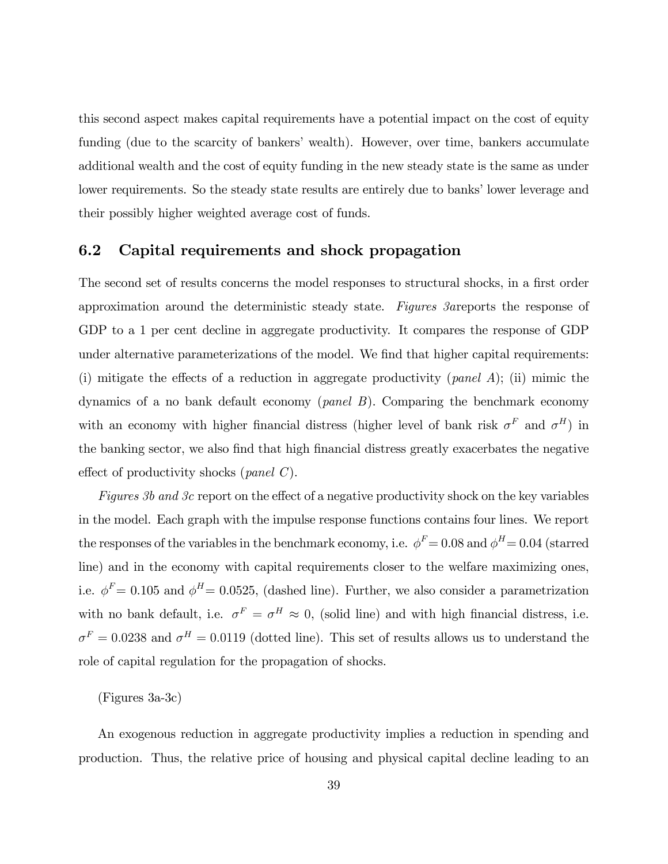this second aspect makes capital requirements have a potential impact on the cost of equity funding (due to the scarcity of bankers' wealth). However, over time, bankers accumulate additional wealth and the cost of equity funding in the new steady state is the same as under lower requirements. So the steady state results are entirely due to banks' lower leverage and their possibly higher weighted average cost of funds.

#### 6.2 Capital requirements and shock propagation

The second set of results concerns the model responses to structural shocks, in a first order approximation around the deterministic steady state. Figures 3areports the response of GDP to a 1 per cent decline in aggregate productivity. It compares the response of GDP under alternative parameterizations of the model. We find that higher capital requirements: (i) mitigate the effects of a reduction in aggregate productivity (*panel A*); (ii) mimic the dynamics of a no bank default economy (panel B). Comparing the benchmark economy with an economy with higher financial distress (higher level of bank risk  $\sigma^F$  and  $\sigma^H$ ) in the banking sector, we also find that high financial distress greatly exacerbates the negative effect of productivity shocks (*panel C*).

Figures 3b and 3c report on the effect of a negative productivity shock on the key variables in the model. Each graph with the impulse response functions contains four lines. We report the responses of the variables in the benchmark economy, i.e.  $\phi^F = 0.08$  and  $\phi^H = 0.04$  (starred line) and in the economy with capital requirements closer to the welfare maximizing ones, i.e.  $\phi^F= 0.105$  and  $\phi^H= 0.0525$ , (dashed line). Further, we also consider a parametrization with no bank default, i.e.  $\sigma^F = \sigma^H \approx 0$ , (solid line) and with high financial distress, i.e.  $\sigma^F = 0.0238$  and  $\sigma^H = 0.0119$  (dotted line). This set of results allows us to understand the role of capital regulation for the propagation of shocks.

(Figures 3a-3c)

An exogenous reduction in aggregate productivity implies a reduction in spending and production. Thus, the relative price of housing and physical capital decline leading to an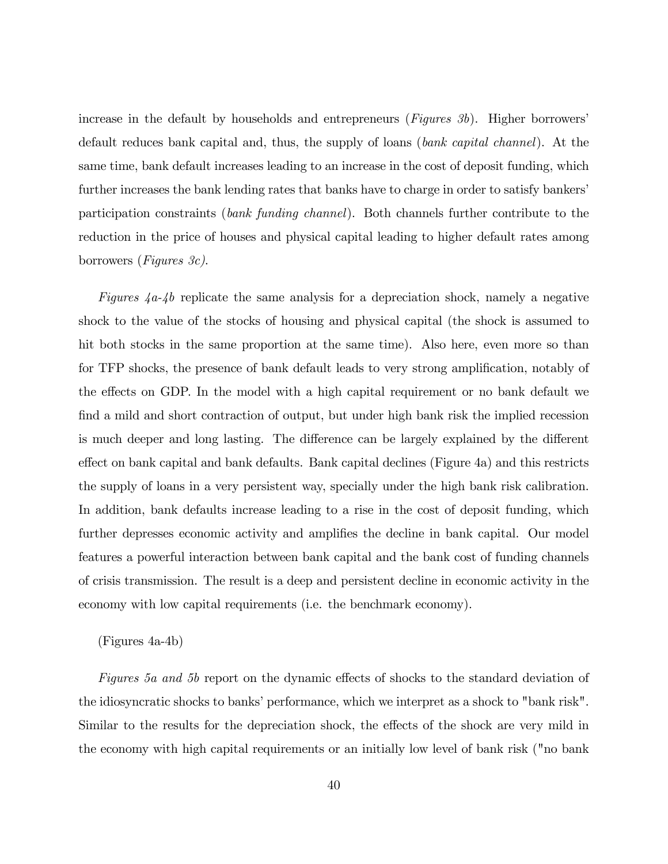increase in the default by households and entrepreneurs  $(Fiqures 3b)$ . Higher borrowers<sup>'</sup> default reduces bank capital and, thus, the supply of loans (bank capital channel). At the same time, bank default increases leading to an increase in the cost of deposit funding, which further increases the bank lending rates that banks have to charge in order to satisfy bankers' participation constraints (bank funding channel). Both channels further contribute to the reduction in the price of houses and physical capital leading to higher default rates among borrowers (Figures 3c).

Figures  $4a-4b$  replicate the same analysis for a depreciation shock, namely a negative shock to the value of the stocks of housing and physical capital (the shock is assumed to hit both stocks in the same proportion at the same time). Also here, even more so than for TFP shocks, the presence of bank default leads to very strong amplification, notably of the effects on GDP. In the model with a high capital requirement or no bank default we find a mild and short contraction of output, but under high bank risk the implied recession is much deeper and long lasting. The difference can be largely explained by the different effect on bank capital and bank defaults. Bank capital declines (Figure 4a) and this restricts the supply of loans in a very persistent way, specially under the high bank risk calibration. In addition, bank defaults increase leading to a rise in the cost of deposit funding, which further depresses economic activity and amplifies the decline in bank capital. Our model features a powerful interaction between bank capital and the bank cost of funding channels of crisis transmission. The result is a deep and persistent decline in economic activity in the economy with low capital requirements (i.e. the benchmark economy).

#### (Figures 4a-4b)

Figures 5a and 5b report on the dynamic effects of shocks to the standard deviation of the idiosyncratic shocks to banks' performance, which we interpret as a shock to "bank risk". Similar to the results for the depreciation shock, the effects of the shock are very mild in the economy with high capital requirements or an initially low level of bank risk ("no bank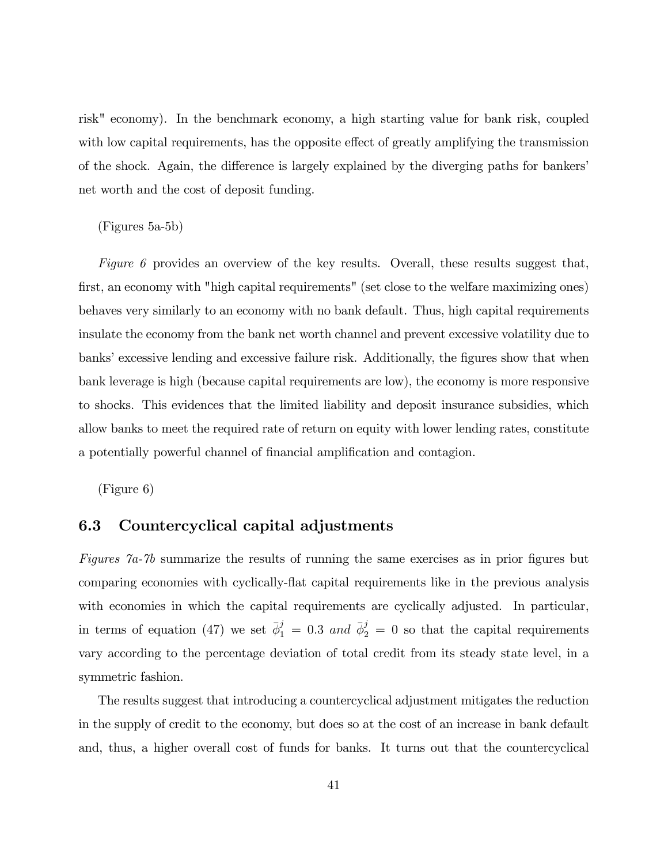risk" economy). In the benchmark economy, a high starting value for bank risk, coupled with low capital requirements, has the opposite effect of greatly amplifying the transmission of the shock. Again, the difference is largely explained by the diverging paths for bankers' net worth and the cost of deposit funding.

#### (Figures 5a-5b)

Figure 6 provides an overview of the key results. Overall, these results suggest that, first, an economy with "high capital requirements" (set close to the welfare maximizing ones) behaves very similarly to an economy with no bank default. Thus, high capital requirements insulate the economy from the bank net worth channel and prevent excessive volatility due to banks' excessive lending and excessive failure risk. Additionally, the figures show that when bank leverage is high (because capital requirements are low), the economy is more responsive to shocks. This evidences that the limited liability and deposit insurance subsidies, which allow banks to meet the required rate of return on equity with lower lending rates, constitute a potentially powerful channel of financial amplification and contagion.

(Figure 6)

#### 6.3 Countercyclical capital adjustments

Figures  $\%$  7a-7b summarize the results of running the same exercises as in prior figures but comparing economies with cyclically-áat capital requirements like in the previous analysis with economies in which the capital requirements are cyclically adjusted. In particular, in terms of equation (47) we set  $\bar{\phi}_1^j = 0.3$  and  $\bar{\phi}_2^j = 0$  so that the capital requirements vary according to the percentage deviation of total credit from its steady state level, in a symmetric fashion.

The results suggest that introducing a countercyclical adjustment mitigates the reduction in the supply of credit to the economy, but does so at the cost of an increase in bank default and, thus, a higher overall cost of funds for banks. It turns out that the countercyclical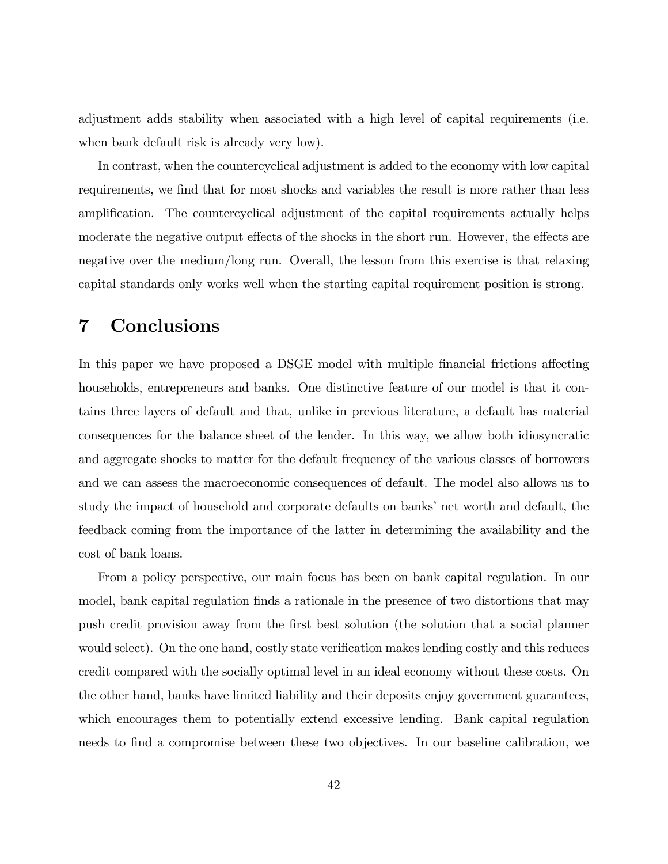adjustment adds stability when associated with a high level of capital requirements (i.e. when bank default risk is already very low).

In contrast, when the countercyclical adjustment is added to the economy with low capital requirements, we find that for most shocks and variables the result is more rather than less amplification. The countercyclical adjustment of the capital requirements actually helps moderate the negative output effects of the shocks in the short run. However, the effects are negative over the medium/long run. Overall, the lesson from this exercise is that relaxing capital standards only works well when the starting capital requirement position is strong.

# 7 Conclusions

In this paper we have proposed a DSGE model with multiple financial frictions affecting households, entrepreneurs and banks. One distinctive feature of our model is that it contains three layers of default and that, unlike in previous literature, a default has material consequences for the balance sheet of the lender. In this way, we allow both idiosyncratic and aggregate shocks to matter for the default frequency of the various classes of borrowers and we can assess the macroeconomic consequences of default. The model also allows us to study the impact of household and corporate defaults on banks' net worth and default, the feedback coming from the importance of the latter in determining the availability and the cost of bank loans.

From a policy perspective, our main focus has been on bank capital regulation. In our model, bank capital regulation finds a rationale in the presence of two distortions that may push credit provision away from the Örst best solution (the solution that a social planner would select). On the one hand, costly state verification makes lending costly and this reduces credit compared with the socially optimal level in an ideal economy without these costs. On the other hand, banks have limited liability and their deposits enjoy government guarantees, which encourages them to potentially extend excessive lending. Bank capital regulation needs to find a compromise between these two objectives. In our baseline calibration, we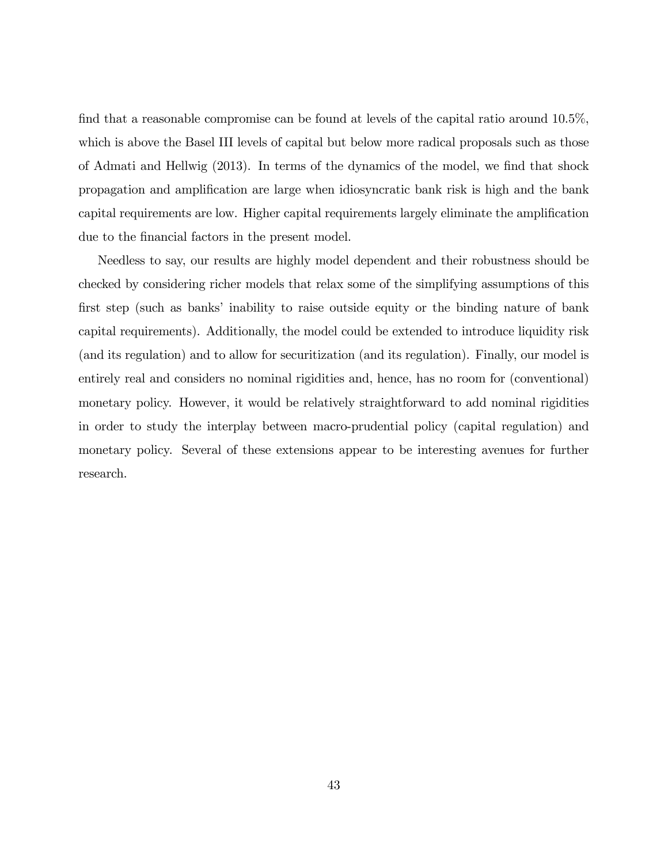find that a reasonable compromise can be found at levels of the capital ratio around  $10.5\%$ , which is above the Basel III levels of capital but below more radical proposals such as those of Admati and Hellwig  $(2013)$ . In terms of the dynamics of the model, we find that shock propagation and ampliÖcation are large when idiosyncratic bank risk is high and the bank capital requirements are low. Higher capital requirements largely eliminate the amplification due to the financial factors in the present model.

Needless to say, our results are highly model dependent and their robustness should be checked by considering richer models that relax some of the simplifying assumptions of this first step (such as banks' inability to raise outside equity or the binding nature of bank capital requirements). Additionally, the model could be extended to introduce liquidity risk (and its regulation) and to allow for securitization (and its regulation). Finally, our model is entirely real and considers no nominal rigidities and, hence, has no room for (conventional) monetary policy. However, it would be relatively straightforward to add nominal rigidities in order to study the interplay between macro-prudential policy (capital regulation) and monetary policy. Several of these extensions appear to be interesting avenues for further research.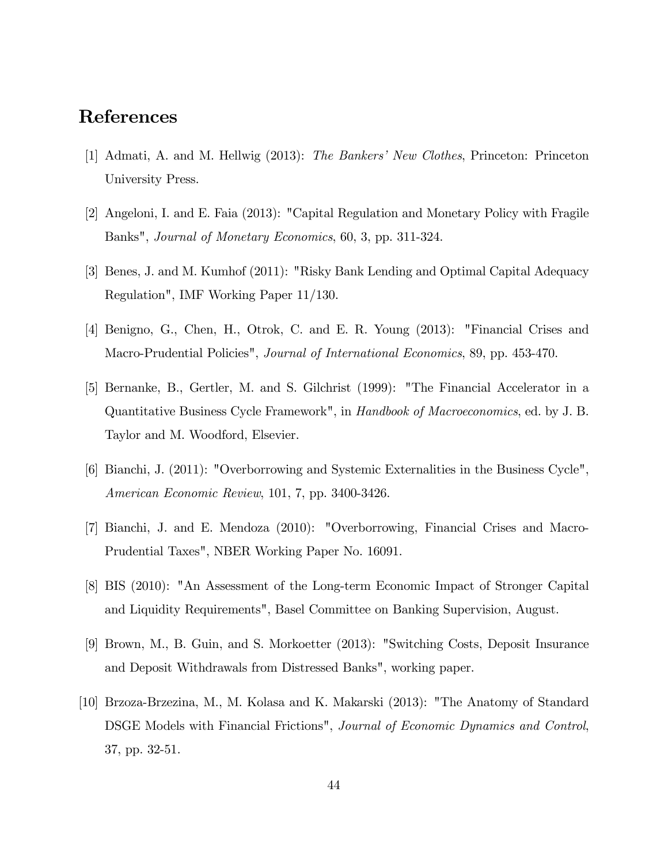# References

- [1] Admati, A. and M. Hellwig (2013): The Bankers' New Clothes, Princeton: Princeton University Press.
- [2] Angeloni, I. and E. Faia (2013): "Capital Regulation and Monetary Policy with Fragile Banks", Journal of Monetary Economics, 60, 3, pp. 311-324.
- [3] Benes, J. and M. Kumhof (2011): "Risky Bank Lending and Optimal Capital Adequacy Regulation", IMF Working Paper 11/130.
- [4] Benigno, G., Chen, H., Otrok, C. and E. R. Young (2013): "Financial Crises and Macro-Prudential Policies", *Journal of International Economics*, 89, pp. 453-470.
- [5] Bernanke, B., Gertler, M. and S. Gilchrist (1999): "The Financial Accelerator in a Quantitative Business Cycle Framework", in Handbook of Macroeconomics, ed. by J. B. Taylor and M. Woodford, Elsevier.
- [6] Bianchi, J. (2011): "Overborrowing and Systemic Externalities in the Business Cycle", American Economic Review, 101, 7, pp. 3400-3426.
- [7] Bianchi, J. and E. Mendoza (2010): "Overborrowing, Financial Crises and Macro-Prudential Taxes", NBER Working Paper No. 16091.
- [8] BIS (2010): "An Assessment of the Long-term Economic Impact of Stronger Capital and Liquidity Requirements", Basel Committee on Banking Supervision, August.
- [9] Brown, M., B. Guin, and S. Morkoetter (2013): "Switching Costs, Deposit Insurance and Deposit Withdrawals from Distressed Banks", working paper.
- [10] Brzoza-Brzezina, M., M. Kolasa and K. Makarski (2013): "The Anatomy of Standard DSGE Models with Financial Frictions", Journal of Economic Dynamics and Control, 37, pp. 32-51.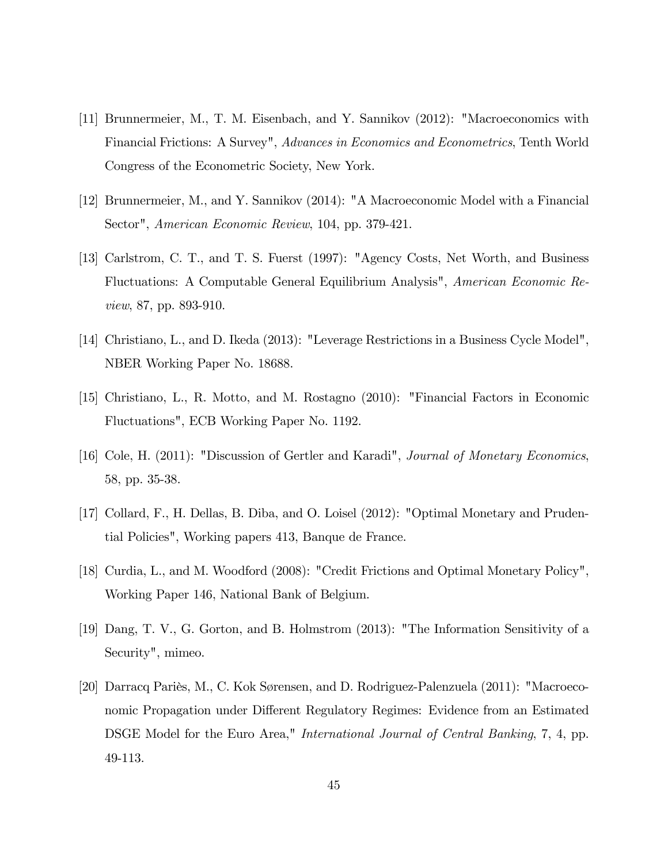- [11] Brunnermeier, M., T. M. Eisenbach, and Y. Sannikov (2012): "Macroeconomics with Financial Frictions: A Survey", Advances in Economics and Econometrics, Tenth World Congress of the Econometric Society, New York.
- [12] Brunnermeier, M., and Y. Sannikov (2014): "A Macroeconomic Model with a Financial Sector", American Economic Review, 104, pp. 379-421.
- [13] Carlstrom, C. T., and T. S. Fuerst (1997): "Agency Costs, Net Worth, and Business Fluctuations: A Computable General Equilibrium Analysis", American Economic Review, 87, pp. 893-910.
- [14] Christiano, L., and D. Ikeda (2013): "Leverage Restrictions in a Business Cycle Model", NBER Working Paper No. 18688.
- [15] Christiano, L., R. Motto, and M. Rostagno (2010): "Financial Factors in Economic Fluctuations", ECB Working Paper No. 1192.
- [16] Cole, H. (2011): "Discussion of Gertler and Karadi", Journal of Monetary Economics, 58, pp. 35-38.
- [17] Collard, F., H. Dellas, B. Diba, and O. Loisel (2012): "Optimal Monetary and Prudential Policies", Working papers 413, Banque de France.
- [18] Curdia, L., and M. Woodford (2008): "Credit Frictions and Optimal Monetary Policy", Working Paper 146, National Bank of Belgium.
- [19] Dang, T. V., G. Gorton, and B. Holmstrom (2013): "The Information Sensitivity of a Security", mimeo.
- [20] Darracq Pariès, M., C. Kok Sørensen, and D. Rodriguez-Palenzuela (2011): "Macroeconomic Propagation under Different Regulatory Regimes: Evidence from an Estimated DSGE Model for the Euro Area," International Journal of Central Banking, 7, 4, pp. 49-113.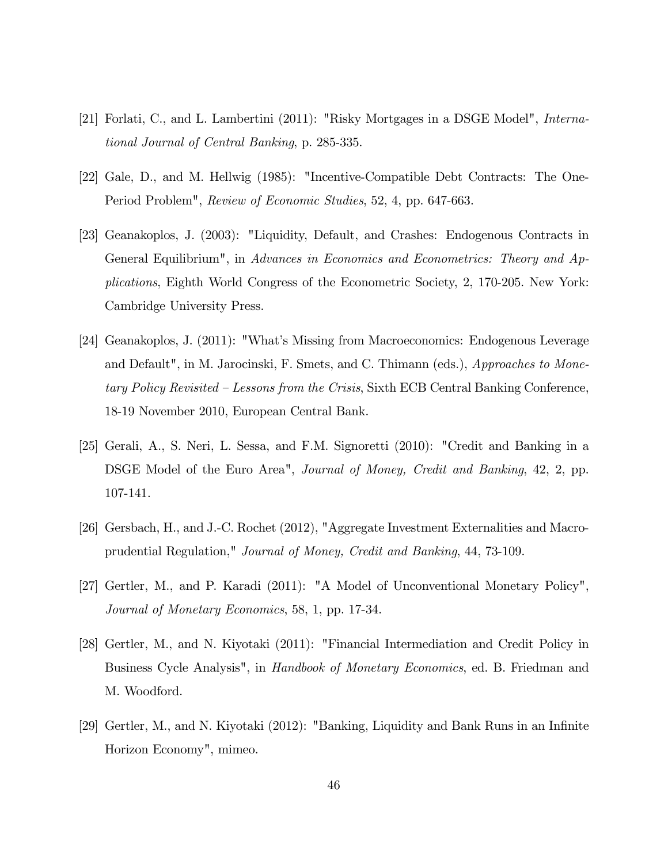- [21] Forlati, C., and L. Lambertini (2011): "Risky Mortgages in a DSGE Model", International Journal of Central Banking, p. 285-335.
- [22] Gale, D., and M. Hellwig (1985): "Incentive-Compatible Debt Contracts: The One-Period Problem", Review of Economic Studies, 52, 4, pp. 647-663.
- [23] Geanakoplos, J. (2003): "Liquidity, Default, and Crashes: Endogenous Contracts in General Equilibrium", in Advances in Economics and Econometrics: Theory and Applications, Eighth World Congress of the Econometric Society, 2, 170-205. New York: Cambridge University Press.
- [24] Geanakoplos, J. (2011): "What's Missing from Macroeconomics: Endogenous Leverage and Default", in M. Jarocinski, F. Smets, and C. Thimann (eds.), *Approaches to Mone*tary Policy Revisited  $\overline{\phantom{a}}$  Lessons from the Crisis, Sixth ECB Central Banking Conference, 18-19 November 2010, European Central Bank.
- [25] Gerali, A., S. Neri, L. Sessa, and F.M. Signoretti (2010): "Credit and Banking in a DSGE Model of the Euro Area", Journal of Money, Credit and Banking, 42, 2, pp. 107-141.
- [26] Gersbach, H., and J.-C. Rochet (2012), "Aggregate Investment Externalities and Macroprudential Regulation," Journal of Money, Credit and Banking, 44, 73-109.
- [27] Gertler, M., and P. Karadi (2011): "A Model of Unconventional Monetary Policy", Journal of Monetary Economics, 58, 1, pp. 17-34.
- [28] Gertler, M., and N. Kiyotaki (2011): "Financial Intermediation and Credit Policy in Business Cycle Analysis", in *Handbook of Monetary Economics*, ed. B. Friedman and M. Woodford.
- [29] Gertler, M., and N. Kiyotaki (2012): "Banking, Liquidity and Bank Runs in an InÖnite Horizon Economy", mimeo.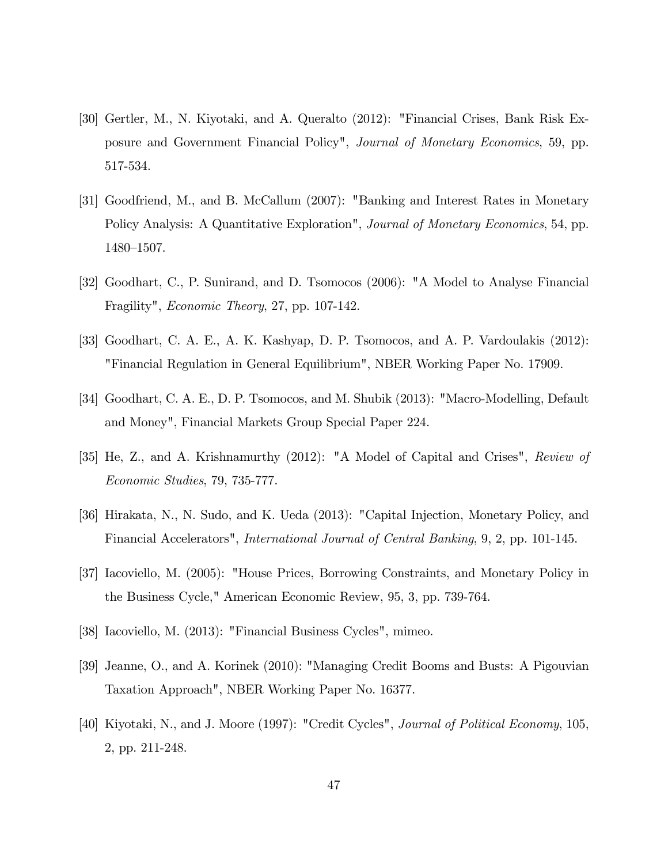- [30] Gertler, M., N. Kiyotaki, and A. Queralto (2012): "Financial Crises, Bank Risk Exposure and Government Financial Policy", Journal of Monetary Economics, 59, pp. 517-534.
- [31] Goodfriend, M., and B. McCallum (2007): "Banking and Interest Rates in Monetary Policy Analysis: A Quantitative Exploration", *Journal of Monetary Economics*, 54, pp. 1480-1507.
- [32] Goodhart, C., P. Sunirand, and D. Tsomocos (2006): "A Model to Analyse Financial Fragility", Economic Theory, 27, pp. 107-142.
- [33] Goodhart, C. A. E., A. K. Kashyap, D. P. Tsomocos, and A. P. Vardoulakis (2012): "Financial Regulation in General Equilibrium", NBER Working Paper No. 17909.
- [34] Goodhart, C. A. E., D. P. Tsomocos, and M. Shubik (2013): "Macro-Modelling, Default and Money", Financial Markets Group Special Paper 224.
- [35] He, Z., and A. Krishnamurthy (2012): "A Model of Capital and Crises", Review of Economic Studies, 79, 735-777.
- [36] Hirakata, N., N. Sudo, and K. Ueda (2013): "Capital Injection, Monetary Policy, and Financial Accelerators", International Journal of Central Banking, 9, 2, pp. 101-145.
- [37] Iacoviello, M. (2005): "House Prices, Borrowing Constraints, and Monetary Policy in the Business Cycle," American Economic Review, 95, 3, pp. 739-764.
- [38] Iacoviello, M. (2013): "Financial Business Cycles", mimeo.
- [39] Jeanne, O., and A. Korinek (2010): "Managing Credit Booms and Busts: A Pigouvian Taxation Approach", NBER Working Paper No. 16377.
- [40] Kiyotaki, N., and J. Moore (1997): "Credit Cycles", Journal of Political Economy, 105, 2, pp. 211-248.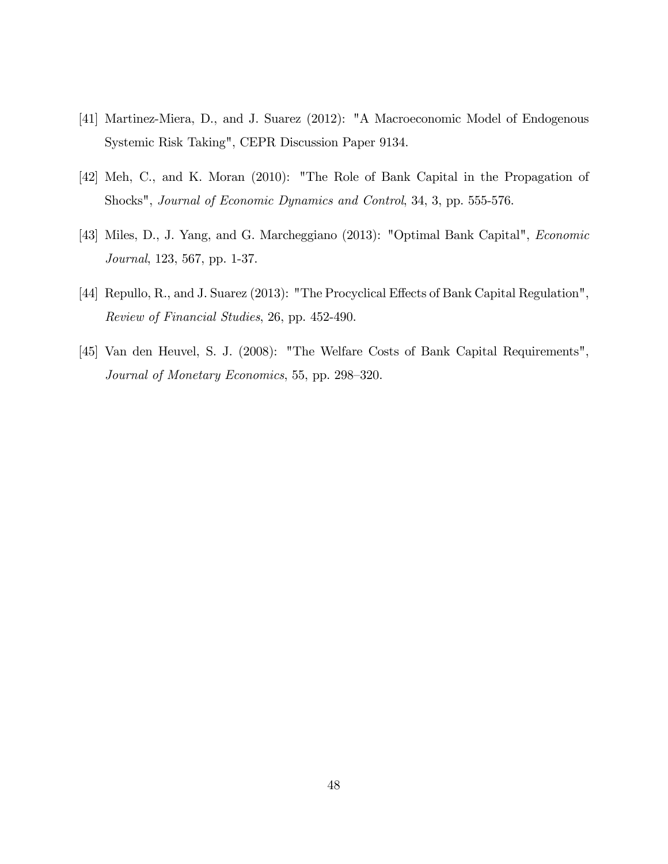- [41] Martinez-Miera, D., and J. Suarez (2012): "A Macroeconomic Model of Endogenous Systemic Risk Taking", CEPR Discussion Paper 9134.
- [42] Meh, C., and K. Moran (2010): "The Role of Bank Capital in the Propagation of Shocks", Journal of Economic Dynamics and Control, 34, 3, pp. 555-576.
- [43] Miles, D., J. Yang, and G. Marcheggiano (2013): "Optimal Bank Capital", Economic Journal, 123, 567, pp. 1-37.
- [44] Repullo, R., and J. Suarez (2013): "The Procyclical Effects of Bank Capital Regulation", Review of Financial Studies, 26, pp. 452-490.
- [45] Van den Heuvel, S. J. (2008): "The Welfare Costs of Bank Capital Requirements", Journal of Monetary Economics, 55, pp. 298–320.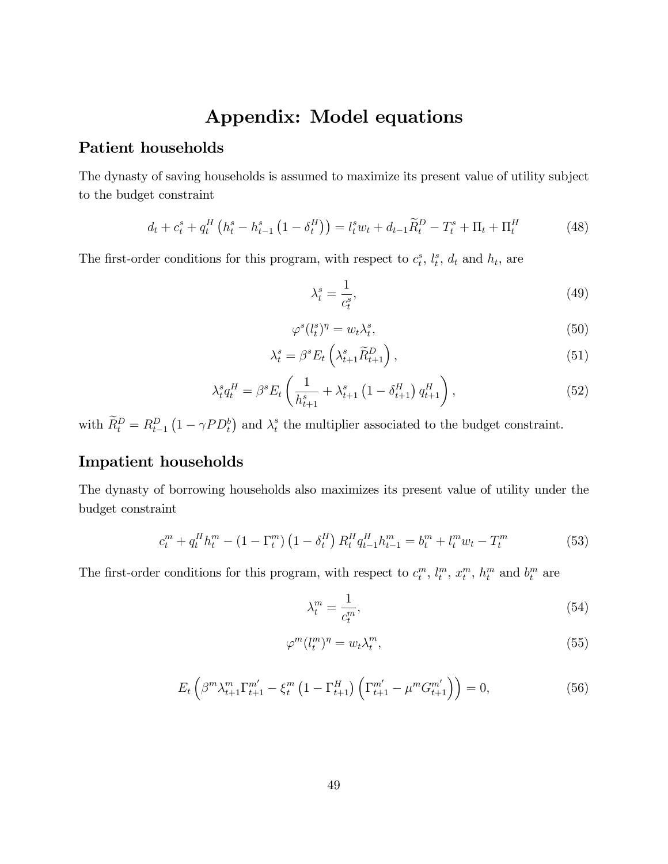# Appendix: Model equations

#### Patient households

The dynasty of saving households is assumed to maximize its present value of utility subject to the budget constraint

$$
d_t + c_t^s + q_t^H \left( h_t^s - h_{t-1}^s \left( 1 - \delta_t^H \right) \right) = l_t^s w_t + d_{t-1} \widetilde{R}_t^D - T_t^s + \Pi_t + \Pi_t^H \tag{48}
$$

The first-order conditions for this program, with respect to  $c_t^s$ ,  $l_t^s$ ,  $d_t$  and  $h_t$ , are

$$
\lambda_t^s = \frac{1}{c_t^s},\tag{49}
$$

$$
\varphi^s(l_t^s)^\eta = w_t \lambda_t^s,\tag{50}
$$

$$
\lambda_t^s = \beta^s E_t \left( \lambda_{t+1}^s \widetilde{R}_{t+1}^D \right), \tag{51}
$$

$$
\lambda_t^s q_t^H = \beta^s E_t \left( \frac{1}{h_{t+1}^s} + \lambda_{t+1}^s \left( 1 - \delta_{t+1}^H \right) q_{t+1}^H \right), \tag{52}
$$

with  $\widetilde{R}_t^D = R_{t-1}^D \left(1 - \gamma P D_t^b\right)$  and  $\lambda_t^s$  $t<sub>t</sub><sup>s</sup>$  the multiplier associated to the budget constraint.

### Impatient households

The dynasty of borrowing households also maximizes its present value of utility under the budget constraint

$$
c_t^m + q_t^H h_t^m - (1 - \Gamma_t^m) \left( 1 - \delta_t^H \right) R_t^H q_{t-1}^H h_{t-1}^m = b_t^m + l_t^m w_t - T_t^m \tag{53}
$$

The first-order conditions for this program, with respect to  $c_t^m$ ,  $l_t^m$ ,  $x_t^m$ ,  $h_t^m$  and  $b_t^m$  are

$$
\lambda_t^m = \frac{1}{c_t^m},\tag{54}
$$

$$
\varphi^m(l_t^m)^\eta = w_t \lambda_t^m,\tag{55}
$$

$$
E_t\left(\beta^m \lambda_{t+1}^m \Gamma_{t+1}^{m'} - \xi_t^m \left(1 - \Gamma_{t+1}^H\right) \left(\Gamma_{t+1}^{m'} - \mu^m G_{t+1}^{m'}\right)\right) = 0, \tag{56}
$$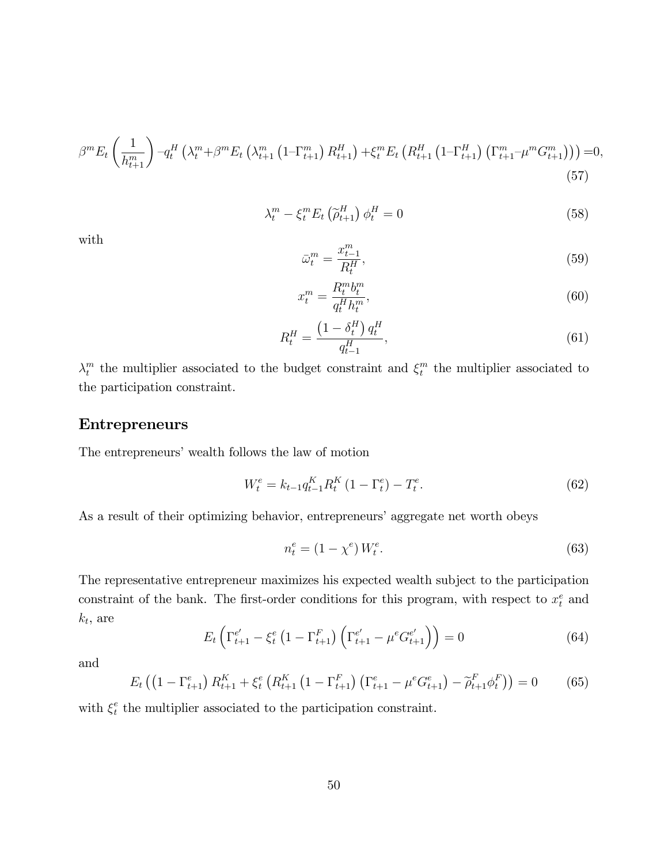$$
\beta^{m} E_{t} \left( \frac{1}{h_{t+1}^{m}} \right) - q_{t}^{H} \left( \lambda_{t}^{m} + \beta^{m} E_{t} \left( \lambda_{t+1}^{m} \left( 1 - \Gamma_{t+1}^{m} \right) R_{t+1}^{H} \right) + \xi_{t}^{m} E_{t} \left( R_{t+1}^{H} \left( 1 - \Gamma_{t+1}^{H} \right) \left( \Gamma_{t+1}^{m} - \mu^{m} G_{t+1}^{m} \right) \right) \right) = 0, \tag{57}
$$

$$
\lambda_t^m - \xi_t^m E_t \left( \widetilde{\rho}_{t+1}^H \right) \phi_t^H = 0 \tag{58}
$$

with

$$
\bar{\omega}_t^m = \frac{x_{t-1}^m}{R_t^H},\tag{59}
$$

$$
x_t^m = \frac{R_t^m b_t^m}{q_t^H h_t^m},\tag{60}
$$

$$
R_t^H = \frac{\left(1 - \delta_t^H\right) q_t^H}{q_{t-1}^H},\tag{61}
$$

 $\lambda_t^m$  $_t^m$  the multiplier associated to the budget constraint and  $\xi_t^m$  $t$ <sup>n</sup> the multiplier associated to the participation constraint.

### Entrepreneurs

The entrepreneurs' wealth follows the law of motion

$$
W_t^e = k_{t-1} q_{t-1}^K R_t^K (1 - \Gamma_t^e) - T_t^e. \tag{62}
$$

As a result of their optimizing behavior, entrepreneurs' aggregate net worth obeys

$$
n_t^e = (1 - \chi^e) W_t^e. \tag{63}
$$

The representative entrepreneur maximizes his expected wealth subject to the participation constraint of the bank. The first-order conditions for this program, with respect to  $x_t^e$  and  $k_t$ , are

$$
E_t \left( \Gamma_{t+1}^{e'} - \xi_t^e \left( 1 - \Gamma_{t+1}^F \right) \left( \Gamma_{t+1}^{e'} - \mu^e G_{t+1}^{e'} \right) \right) = 0 \tag{64}
$$

and

$$
E_t \left( \left( 1 - \Gamma_{t+1}^e \right) R_{t+1}^K + \xi_t^e \left( R_{t+1}^K \left( 1 - \Gamma_{t+1}^F \right) \left( \Gamma_{t+1}^e - \mu^e G_{t+1}^e \right) - \widetilde{\rho}_{t+1}^F \phi_t^F \right) \right) = 0 \tag{65}
$$

with  $\xi_t^e$  $t<sub>t</sub><sup>e</sup>$  the multiplier associated to the participation constraint.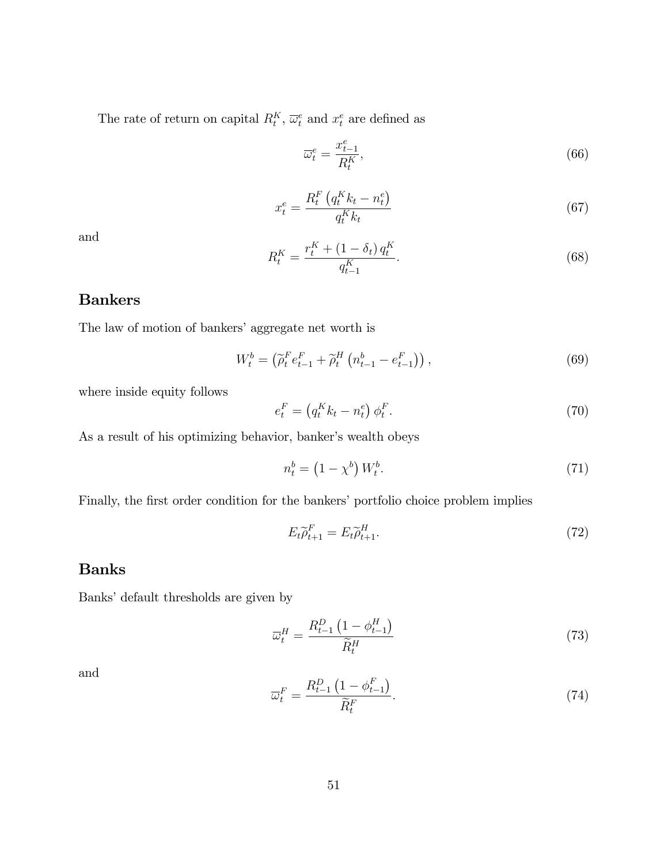The rate of return on capital  $R_t^K$ ,  $\overline{\omega}_t^e$  and  $x_t^e$  are defined as

$$
\overline{\omega}_t^e = \frac{x_{t-1}^e}{R_t^K},\tag{66}
$$

$$
x_t^e = \frac{R_t^F \left( q_t^K k_t - n_t^e \right)}{q_t^K k_t} \tag{67}
$$

and

$$
R_t^K = \frac{r_t^K + (1 - \delta_t) q_t^K}{q_{t-1}^K}.
$$
\n(68)

### Bankers

The law of motion of bankers' aggregate net worth is

$$
W_t^b = \left(\tilde{\rho}_t^F e_{t-1}^F + \tilde{\rho}_t^H \left(n_{t-1}^b - e_{t-1}^F\right)\right),\tag{69}
$$

where inside equity follows

$$
e_t^F = \left(q_t^K k_t - n_t^e\right) \phi_t^F. \tag{70}
$$

As a result of his optimizing behavior, banker's wealth obeys

$$
n_t^b = \left(1 - \chi^b\right) W_t^b. \tag{71}
$$

Finally, the first order condition for the bankers' portfolio choice problem implies

$$
E_t \widetilde{\rho}_{t+1}^F = E_t \widetilde{\rho}_{t+1}^H. \tag{72}
$$

### Banks

Banks' default thresholds are given by

$$
\overline{\omega}_t^H = \frac{R_{t-1}^D \left(1 - \phi_{t-1}^H\right)}{\widetilde{R}_t^H} \tag{73}
$$

and

$$
\overline{\omega}_t^F = \frac{R_{t-1}^D \left(1 - \phi_{t-1}^F\right)}{\widetilde{R}_t^F}.\tag{74}
$$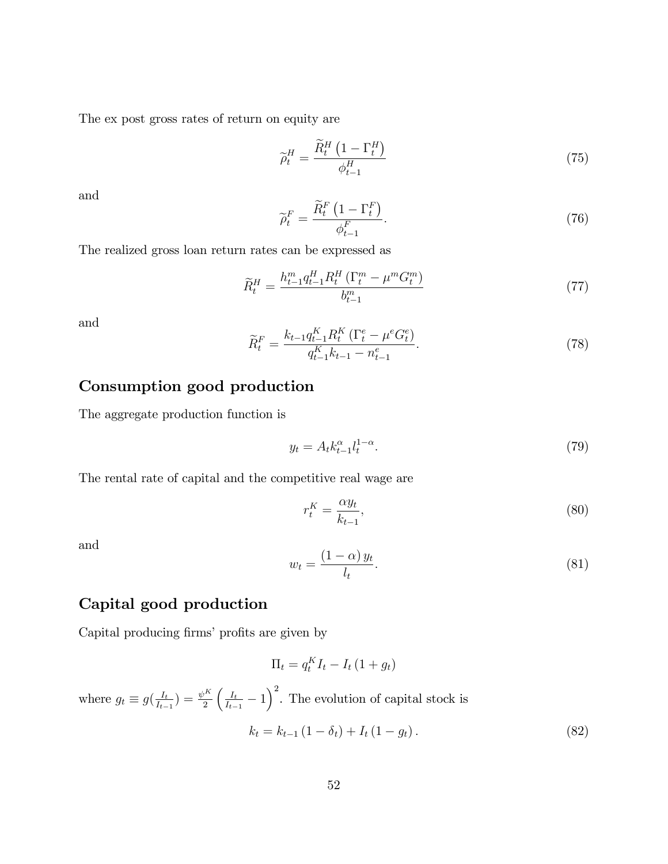The ex post gross rates of return on equity are

$$
\widetilde{\rho}_t^H = \frac{\widetilde{R}_t^H \left(1 - \Gamma_t^H\right)}{\phi_{t-1}^H} \tag{75}
$$

and

$$
\widetilde{\rho}_t^F = \frac{\widetilde{R}_t^F \left(1 - \Gamma_t^F\right)}{\phi_{t-1}^F}.\tag{76}
$$

The realized gross loan return rates can be expressed as

$$
\widetilde{R}_t^H = \frac{h_{t-1}^m q_{t-1}^H R_t^H (\Gamma_t^m - \mu^m G_t^m)}{b_{t-1}^m} \tag{77}
$$

and

$$
\widetilde{R}_t^F = \frac{k_{t-1}q_{t-1}^K R_t^K \left(\Gamma_t^e - \mu^e G_t^e\right)}{q_{t-1}^K k_{t-1} - n_{t-1}^e}.\tag{78}
$$

# Consumption good production

The aggregate production function is

$$
y_t = A_t k_{t-1}^{\alpha} l_t^{1-\alpha}.
$$
 (79)

The rental rate of capital and the competitive real wage are

$$
r_t^K = \frac{\alpha y_t}{k_{t-1}},\tag{80}
$$

and

$$
w_t = \frac{(1 - \alpha) y_t}{l_t}.\tag{81}
$$

# Capital good production

Capital producing firms' profits are given by

$$
\Pi_t = q_t^K I_t - I_t (1 + g_t)
$$

where  $g_t \equiv g\left(\frac{I_t}{I_{t-}}\right)$  $\frac{I_t}{I_{t-1}}$ ) =  $\frac{\psi^K}{2}$ 2  $\int$   $I_t$  $\frac{I_t}{I_{t-1}} - 1$ <sup>2</sup>. The evolution of capital stock is

$$
k_t = k_{t-1} (1 - \delta_t) + I_t (1 - g_t).
$$
 (82)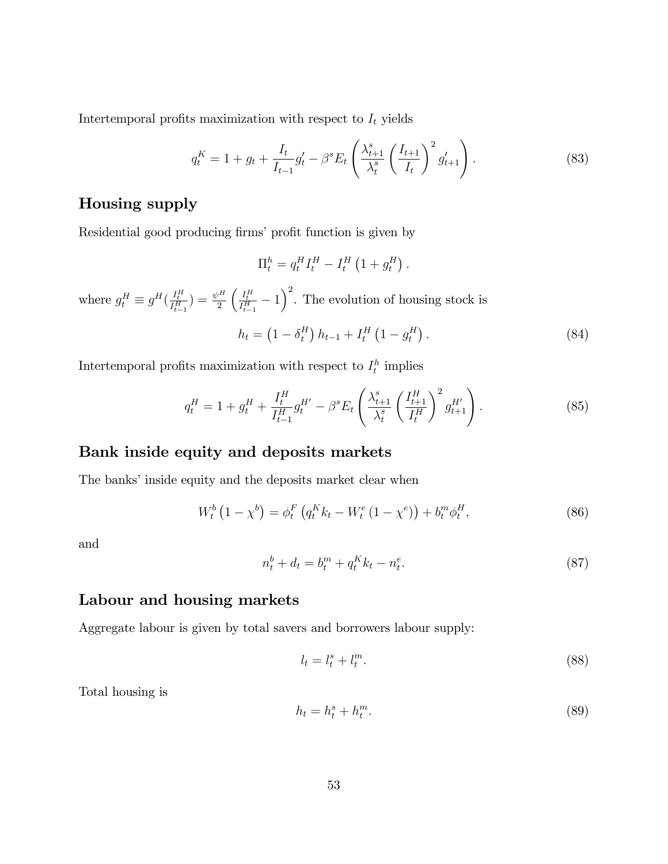Intertemporal profits maximization with respect to  $I_t$  yields

$$
q_t^K = 1 + g_t + \frac{I_t}{I_{t-1}} g_t' - \beta^s E_t \left( \frac{\lambda_{t+1}^s}{\lambda_t^s} \left( \frac{I_{t+1}}{I_t} \right)^2 g_{t+1}' \right). \tag{83}
$$

## Housing supply

Residential good producing firms' profit function is given by

$$
\Pi_t^h = q_t^H I_t^H - I_t^H \left( 1 + g_t^H \right).
$$

where  $g_t^H \equiv g^H(\frac{I_t^H}{I_{t-1}^H}) = \frac{\psi^H}{2}$ 2  $\left(\frac{I_t^H}{I_{t-1}^H} - 1\right)^2$ . The evolution of housing stock is

$$
h_t = \left(1 - \delta_t^H\right)h_{t-1} + I_t^H\left(1 - g_t^H\right). \tag{84}
$$

Intertemporal profits maximization with respect to  $I_t^h$  implies

$$
q_t^H = 1 + g_t^H + \frac{I_t^H}{I_{t-1}^H} g_t^{H'} - \beta^s E_t \left( \frac{\lambda_{t+1}^s}{\lambda_t^s} \left( \frac{I_{t+1}^H}{I_t^H} \right)^2 g_{t+1}^{H'} \right). \tag{85}
$$

### Bank inside equity and deposits markets

The banks' inside equity and the deposits market clear when

$$
W_t^b \left( 1 - \chi^b \right) = \phi_t^F \left( q_t^K k_t - W_t^e \left( 1 - \chi^e \right) \right) + b_t^m \phi_t^H, \tag{86}
$$

and

$$
n_t^b + d_t = b_t^m + q_t^K k_t - n_t^e. \tag{87}
$$

### Labour and housing markets

Aggregate labour is given by total savers and borrowers labour supply:

$$
l_t = l_t^s + l_t^m. \tag{88}
$$

Total housing is

$$
h_t = h_t^s + h_t^m. \tag{89}
$$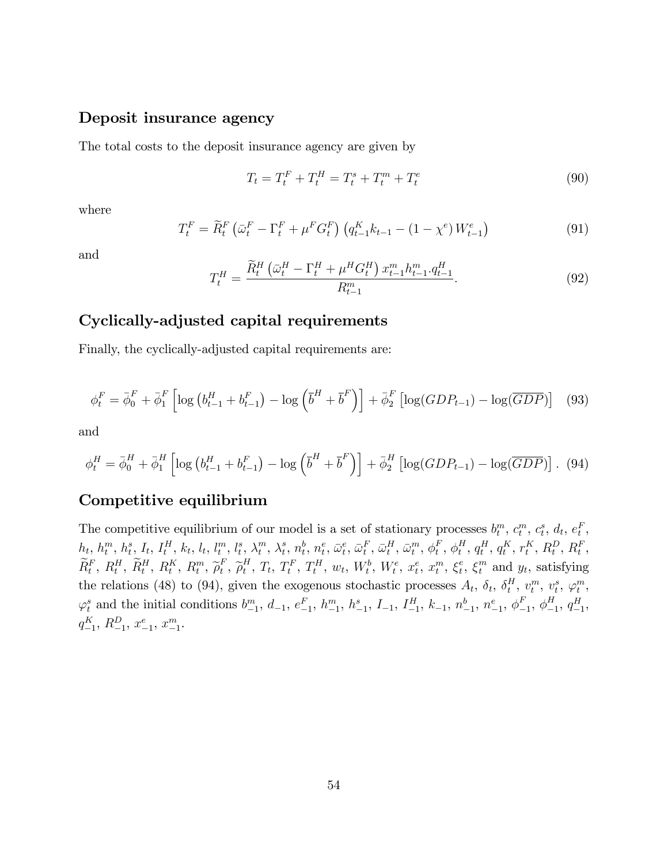#### Deposit insurance agency

The total costs to the deposit insurance agency are given by

$$
T_t = T_t^F + T_t^H = T_t^s + T_t^m + T_t^e \tag{90}
$$

where

$$
T_t^F = \widetilde{R}_t^F \left( \bar{\omega}_t^F - \Gamma_t^F + \mu^F G_t^F \right) \left( q_{t-1}^K k_{t-1} - (1 - \chi^e) W_{t-1}^e \right) \tag{91}
$$

and

$$
T_t^H = \frac{\widetilde{R}_t^H \left(\bar{\omega}_t^H - \Gamma_t^H + \mu^H G_t^H\right) x_{t-1}^m h_{t-1}^m q_{t-1}^H}{R_{t-1}^m}.
$$
\n(92)

### Cyclically-adjusted capital requirements

Finally, the cyclically-adjusted capital requirements are:

$$
\phi_t^F = \bar{\phi}_0^F + \bar{\phi}_1^F \left[ \log \left( b_{t-1}^H + b_{t-1}^F \right) - \log \left( \bar{b}^H + \bar{b}^F \right) \right] + \bar{\phi}_2^F \left[ \log (GDP_{t-1}) - \log(\overline{GDP}) \right] \tag{93}
$$

and

$$
\phi_t^H = \bar{\phi}_0^H + \bar{\phi}_1^H \left[ \log \left( b_{t-1}^H + b_{t-1}^F \right) - \log \left( \bar{b}^H + \bar{b}^F \right) \right] + \bar{\phi}_2^H \left[ \log (GDP_{t-1}) - \log (\overline{GDP}) \right]. \tag{94}
$$

### Competitive equilibrium

The competitive equilibrium of our model is a set of stationary processes  $b_t^m$ ,  $c_t^m$ ,  $c_t^s$ ,  $d_t$ ,  $e_t^F$ ,  $h_t, h_t^m, h_t^s, I_t, I_t^H, k_t, l_t, l_t^m, l_t^s, \lambda_t^m$  $_t^m$ ,  $\lambda_t^s$  $\theta_t^s, \, n_t^b, \, n_t^e, \, \bar{\omega}_t^e, \, \bar{\omega}_t^F, \, \bar{\omega}_t^H, \, \bar{\omega}_t^m, \, \phi_t^F$  $_t^F, \, \phi_t^H$  $_{t}^{H}, q_{t}^{H}, q_{t}^{K}, r_{t}^{K}, R_{t}^{D}, R_{t}^{F},$  $\widetilde{R}^{F}_{t},\ R^{H}_{t},\ \widetilde{R}^{H}_{t},\ R^{K}_{t},\ R^{m}_{t},\ \widetilde{\rho}^{F}_{t}$  $_t^F$ ,  $\widetilde{\rho}_t^H$  $_{t}^{H}, T_{t}, T_{t}^{F}, T_{t}^{H}, w_{t}, W_{t}^{b}, W_{t}^{e}, x_{t}^{e}, x_{t}^{m}, \xi_{t}^{e}$  $t^e$ ,  $\xi_t^m$  and  $y_t$ , satisfying the relations (48) to (94), given the exogenous stochastic processes  $A_t$ ,  $\delta_t$ ,  $\delta_t^H$  $_t^H$ ,  $v_t^m$ ,  $v_t^s$ ,  $\varphi_t^m$ ,  $\varphi_t^s$  and the initial conditions  $b_{-1}^m$ ,  $d_{-1}$ ,  $e_{-1}^F$ ,  $h_{-1}^m$ ,  $h_{-1}^s$ ,  $I_{-1}$ ,  $I_{-1}^H$ ,  $k_{-1}$ ,  $n_{-1}^b$ ,  $n_{-1}^e$ ,  $\phi_t^F$  $_{-1}^{F}$ ,  $\phi_{-}^{H}$  $_{-1}^H$ ,  $q_{-1}^H$ ,  $q_{-1}^K$ ,  $R_{-1}^D$ ,  $x_{-1}^e$ ,  $x_{-1}^m$ .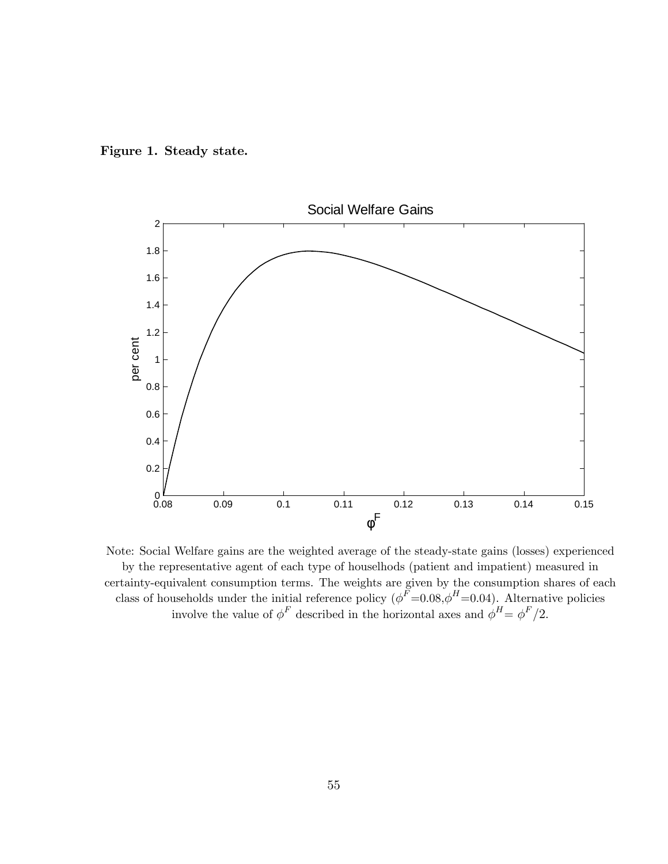



Note: Social Welfare gains are the weighted average of the steady-state gains (losses) experienced by the representative agent of each type of houselhods (patient and impatient) measured in certainty-equivalent consumption terms. The weights are given by the consumption shares of each class of households under the initial reference policy  $(\phi^F=0.08, \phi^H=0.04)$ . Alternative policies involve the value of  $\phi^F$  described in the horizontal axes and  $\phi^H = \phi^F/2$ .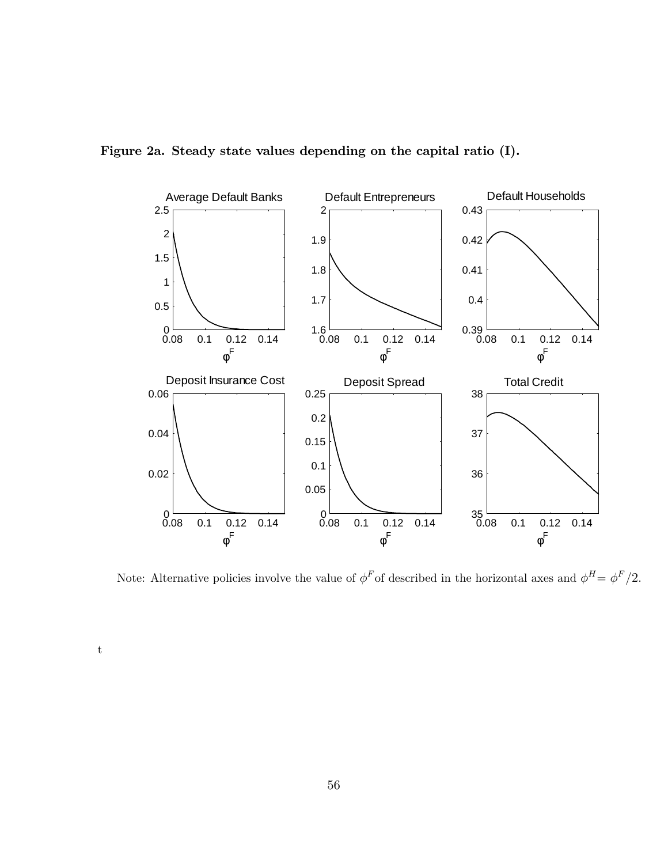



Note: Alternative policies involve the value of  $\phi^F$  of described in the horizontal axes and  $\phi^H = \phi^F/2$ .

t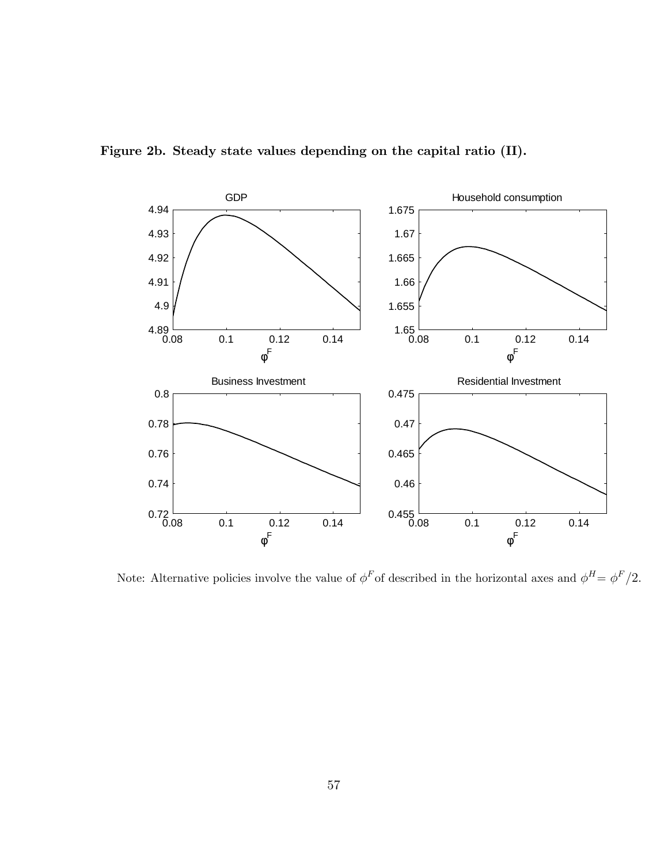

Figure 2b. Steady state values depending on the capital ratio (II).

Note: Alternative policies involve the value of  $\phi^F$  of described in the horizontal axes and  $\phi^H = \phi^F/2$ .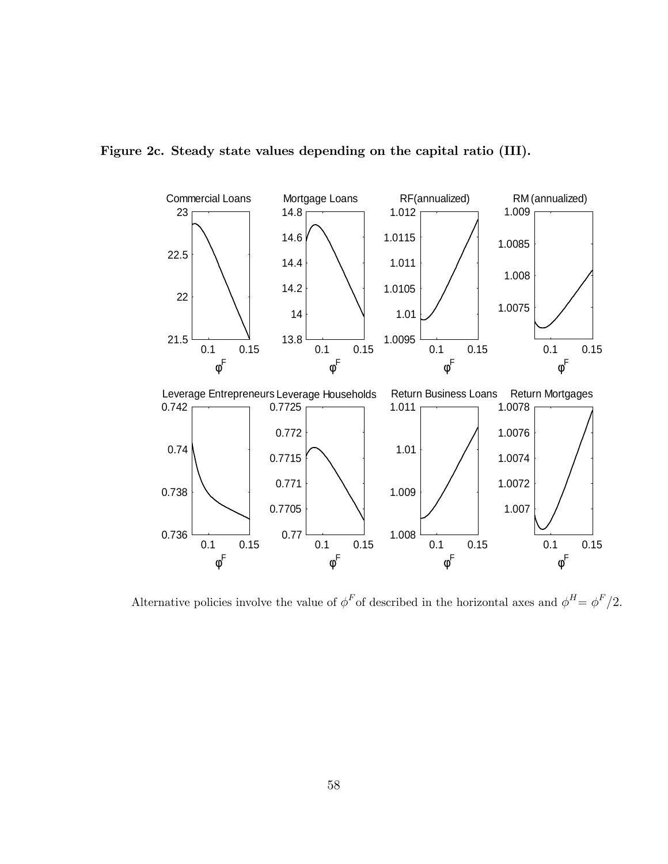

Figure 2c. Steady state values depending on the capital ratio (III).

Alternative policies involve the value of  $\phi^F$  of described in the horizontal axes and  $\phi^H = \phi^F/2$ .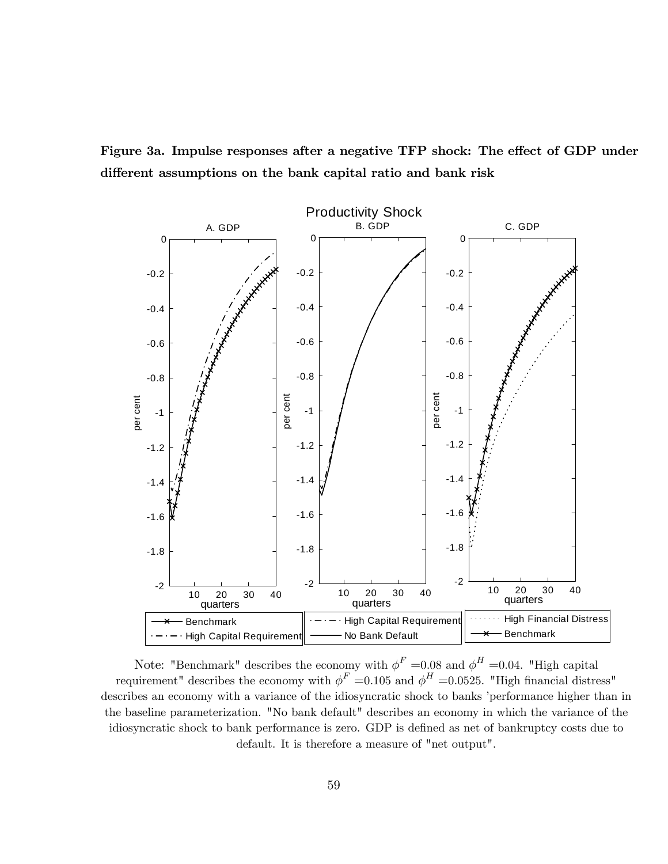Figure 3a. Impulse responses after a negative TFP shock: The effect of GDP under different assumptions on the bank capital ratio and bank risk



Note: "Benchmark" describes the economy with  $\phi^F = 0.08$  and  $\phi^H = 0.04$ . "High capital requirement" describes the economy with  $\phi^F = 0.105$  and  $\phi^H = 0.0525$ . "High financial distress" describes an economy with a variance of the idiosyncratic shock to banks 'performance higher than in the baseline parameterization. "No bank default" describes an economy in which the variance of the idiosyncratic shock to bank performance is zero. GDP is defined as net of bankruptcy costs due to default. It is therefore a measure of "net output".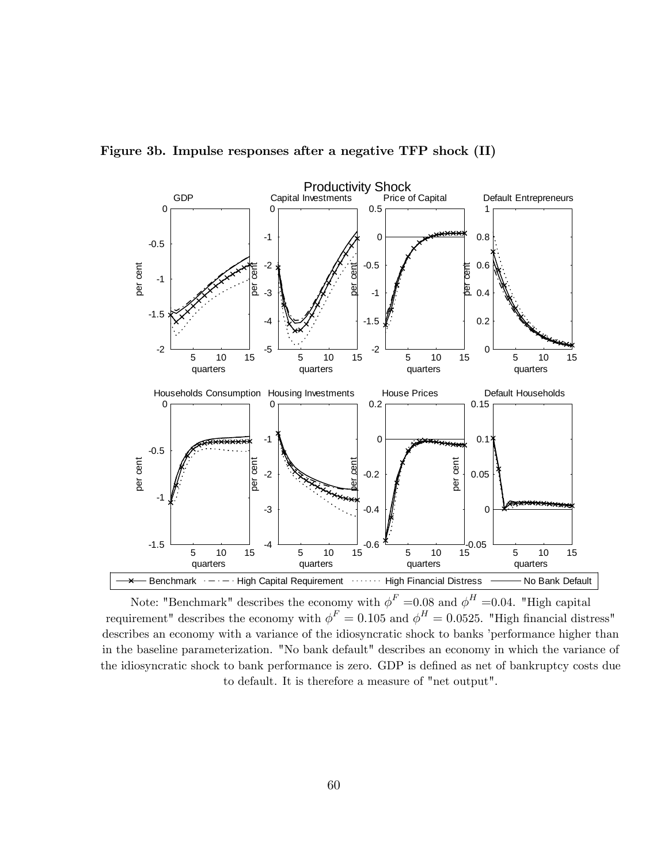

Figure 3b. Impulse responses after a negative TFP shock (II)

Note: "Benchmark" describes the economy with  $\phi^F = 0.08$  and  $\phi^H = 0.04$ . "High capital requirement" describes the economy with  $\phi^F = 0.105$  and  $\phi^H = 0.0525$ . "High financial distress" describes an economy with a variance of the idiosyncratic shock to banks 'performance higher than in the baseline parameterization. "No bank default" describes an economy in which the variance of the idiosyncratic shock to bank performance is zero. GDP is defined as net of bankruptcy costs due to default. It is therefore a measure of "net output".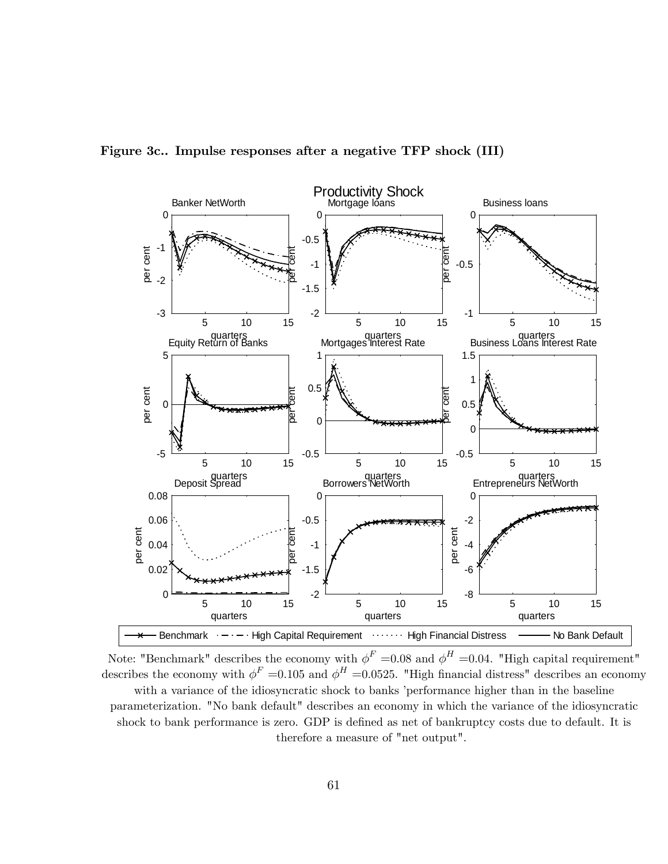

Figure 3c.. Impulse responses after a negative TFP shock (III)

Note: "Benchmark" describes the economy with  $\phi^F = 0.08$  and  $\phi^H = 0.04$ . "High capital requirement" describes the economy with  $\phi^F = 0.105$  and  $\phi^H = 0.0525$ . "High financial distress" describes an economy with a variance of the idiosyncratic shock to banks 'performance higher than in the baseline parameterization. "No bank default" describes an economy in which the variance of the idiosyncratic shock to bank performance is zero. GDP is defined as net of bankruptcy costs due to default. It is therefore a measure of "net output".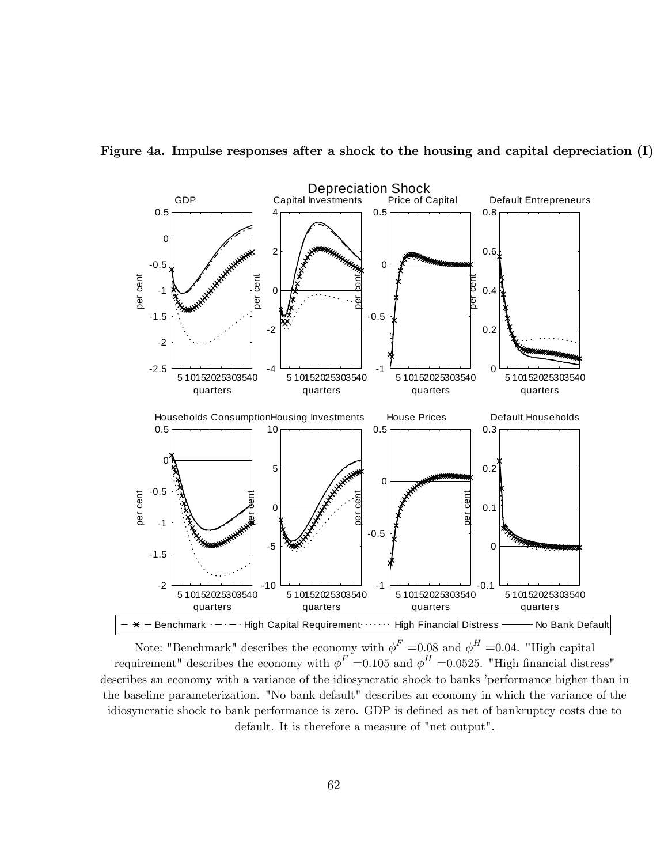

Figure 4a. Impulse responses after a shock to the housing and capital depreciation (I)

Note: "Benchmark" describes the economy with  $\phi^F = 0.08$  and  $\phi^H = 0.04$ . "High capital requirement" describes the economy with  $\phi^F = 0.105$  and  $\phi^H = 0.0525$ . "High financial distress" describes an economy with a variance of the idiosyncratic shock to banks 'performance higher than in the baseline parameterization. "No bank default" describes an economy in which the variance of the idiosyncratic shock to bank performance is zero. GDP is defined as net of bankruptcy costs due to default. It is therefore a measure of "net output".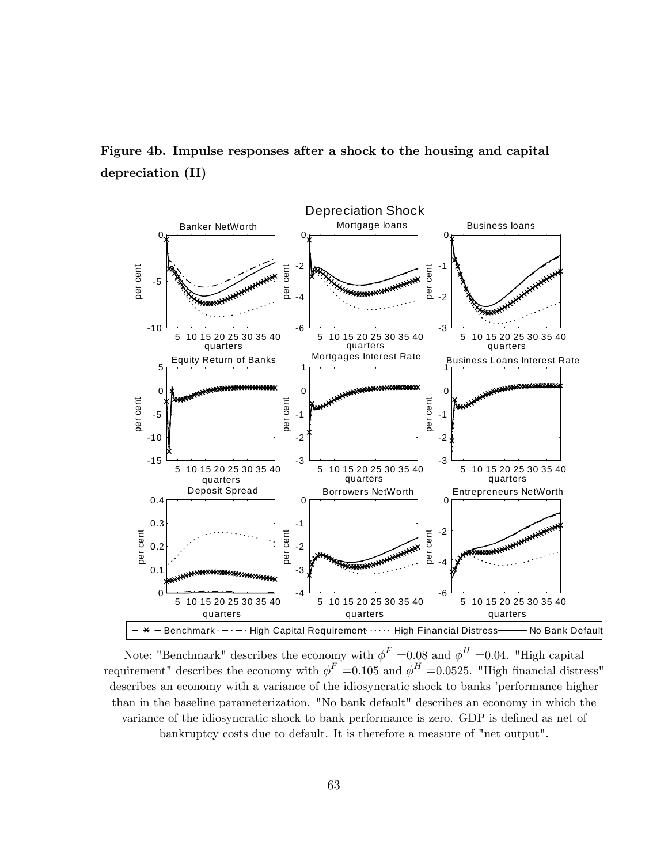Figure 4b. Impulse responses after a shock to the housing and capital depreciation (II)



Note: "Benchmark" describes the economy with  $\phi^F = 0.08$  and  $\phi^H = 0.04$ . "High capital requirement" describes the economy with  $\phi^F = 0.105$  and  $\phi^H = 0.0525$ . "High financial distress" describes an economy with a variance of the idiosyncratic shock to banks 'performance higher than in the baseline parameterization. "No bank default" describes an economy in which the variance of the idiosyncratic shock to bank performance is zero. GDP is defined as net of bankruptcy costs due to default. It is therefore a measure of "net output".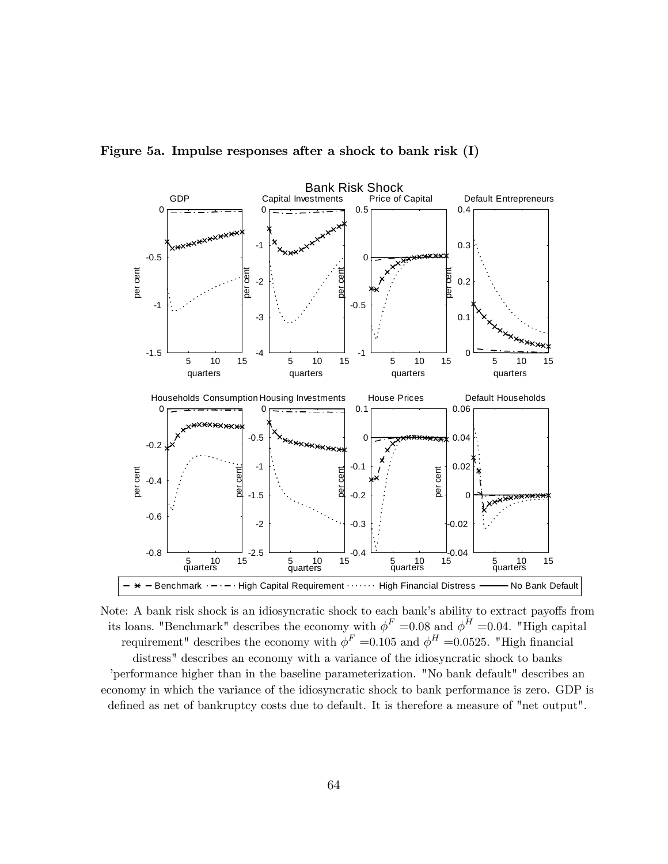

Figure 5a. Impulse responses after a shock to bank risk (I)

Note: A bank risk shock is an idiosyncratic shock to each bank's ability to extract payoffs from its loans. "Benchmark" describes the economy with  $\phi^F = 0.08$  and  $\phi^H = 0.04$ . "High capital requirement" describes the economy with  $\phi^F = 0.105$  and  $\phi^H = 0.0525$ . "High financial distress" describes an economy with a variance of the idiosyncratic shock to banks íperformance higher than in the baseline parameterization. "No bank default" describes an economy in which the variance of the idiosyncratic shock to bank performance is zero. GDP is defined as net of bankruptcy costs due to default. It is therefore a measure of "net output".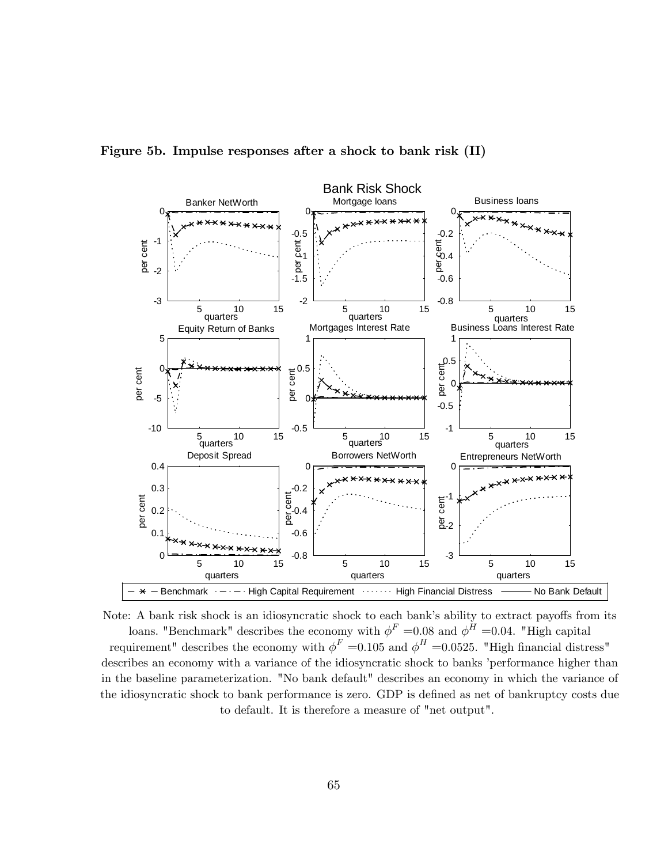

Figure 5b. Impulse responses after a shock to bank risk (II)

Note: A bank risk shock is an idiosyncratic shock to each bank's ability to extract payoffs from its loans. "Benchmark" describes the economy with  $\phi^F = 0.08$  and  $\phi^H = 0.04$ . "High capital requirement" describes the economy with  $\phi^F = 0.105$  and  $\phi^H = 0.0525$ . "High financial distress" describes an economy with a variance of the idiosyncratic shock to banks 'performance higher than in the baseline parameterization. "No bank default" describes an economy in which the variance of the idiosyncratic shock to bank performance is zero. GDP is defined as net of bankruptcy costs due to default. It is therefore a measure of "net output".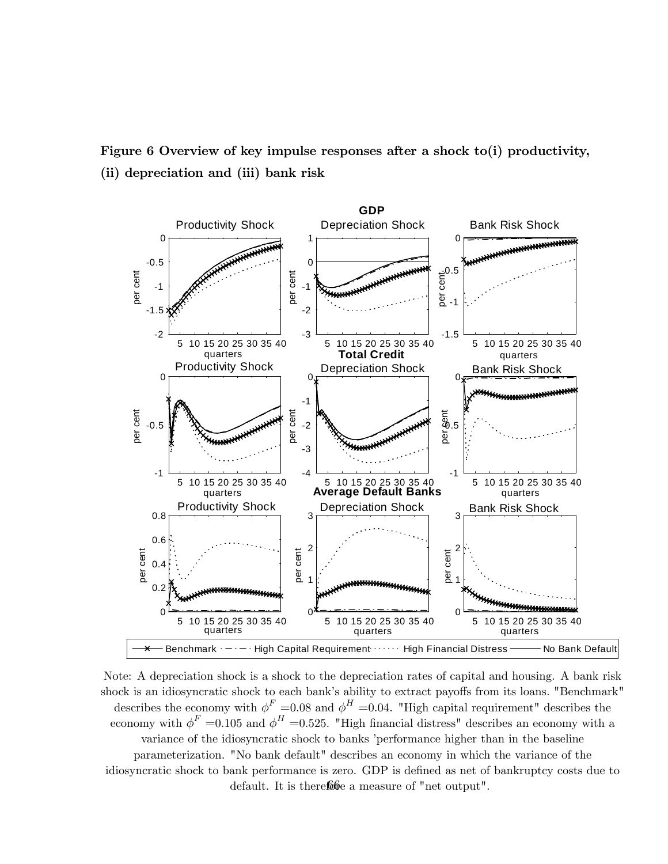Figure 6 Overview of key impulse responses after a shock to(i) productivity, (ii) depreciation and (iii) bank risk



Note: A depreciation shock is a shock to the depreciation rates of capital and housing. A bank risk shock is an idiosyncratic shock to each bank's ability to extract payoffs from its loans. "Benchmark" describes the economy with  $\phi^F = 0.08$  and  $\phi^H = 0.04$ . "High capital requirement" describes the economy with  $\phi^F = 0.105$  and  $\phi^H = 0.525$ . "High financial distress" describes an economy with a variance of the idiosyncratic shock to banks 'performance higher than in the baseline parameterization. "No bank default" describes an economy in which the variance of the idiosyncratic shock to bank performance is zero. GDP is defined as net of bankruptcy costs due to default. It is therefore a measure of "net output".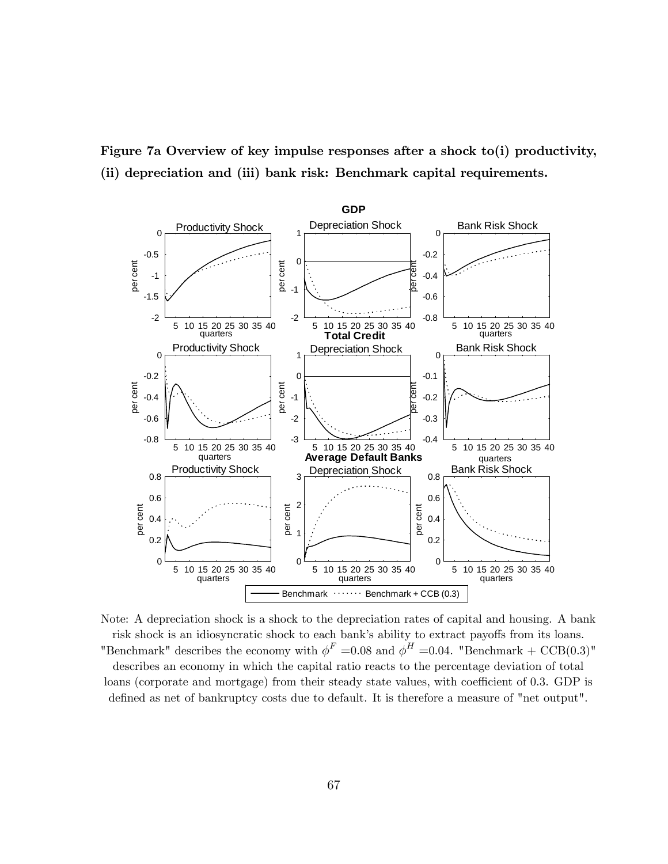



Note: A depreciation shock is a shock to the depreciation rates of capital and housing. A bank risk shock is an idiosyncratic shock to each bank's ability to extract payoffs from its loans. "Benchmark" describes the economy with  $\phi^F = 0.08$  and  $\phi^H = 0.04$ . "Benchmark + CCB(0.3)" describes an economy in which the capital ratio reacts to the percentage deviation of total loans (corporate and mortgage) from their steady state values, with coefficient of 0.3. GDP is defined as net of bankruptcy costs due to default. It is therefore a measure of "net output".